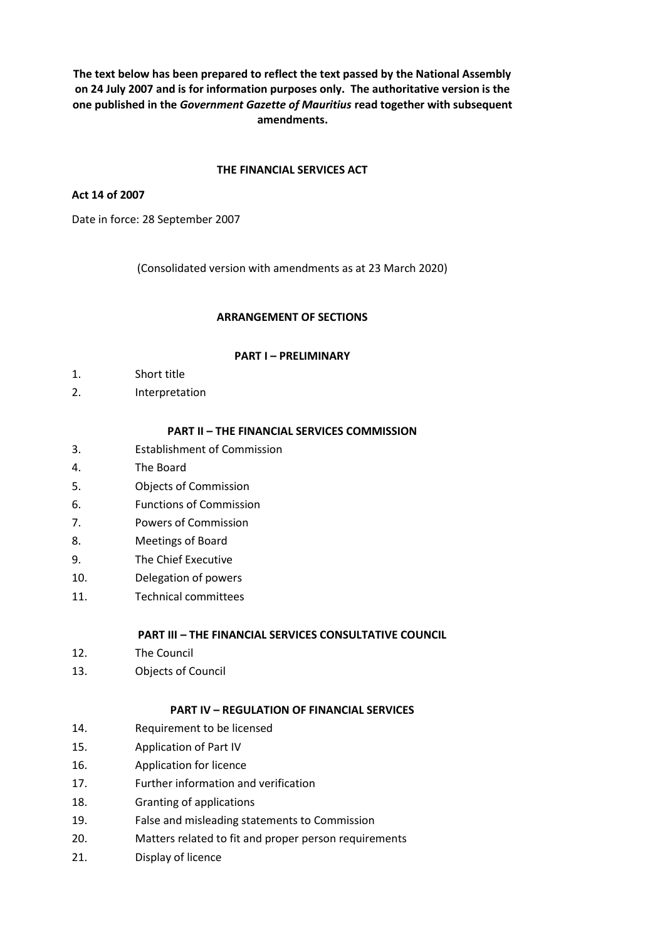**The text below has been prepared to reflect the text passed by the National Assembly on 24 July 2007 and is for information purposes only. The authoritative version is the one published in the** *Government Gazette of Mauritius* **read together with subsequent amendments.**

#### **THE FINANCIAL SERVICES ACT**

#### **Act 14 of 2007**

Date in force: 28 September 2007

(Consolidated version with amendments as at 23 March 2020)

#### **ARRANGEMENT OF SECTIONS**

#### **PART I – PRELIMINARY**

- 1. Short title
- 2. Interpretation

#### **PART II – THE FINANCIAL SERVICES COMMISSION**

- 3. Establishment of Commission
- 4. The Board
- 5. Objects of Commission
- 6. Functions of Commission
- 7. Powers of Commission
- 8. Meetings of Board
- 9. The Chief Executive
- 10. Delegation of powers
- 11. Technical committees

#### **PART III – THE FINANCIAL SERVICES CONSULTATIVE COUNCIL**

- 12. The Council
- 13. Objects of Council

## **PART IV – REGULATION OF FINANCIAL SERVICES**

- 14. Requirement to be licensed
- 15. Application of Part IV
- 16. Application for licence
- 17. Further information and verification
- 18. Granting of applications
- 19. False and misleading statements to Commission
- 20. Matters related to fit and proper person requirements
- 21. Display of licence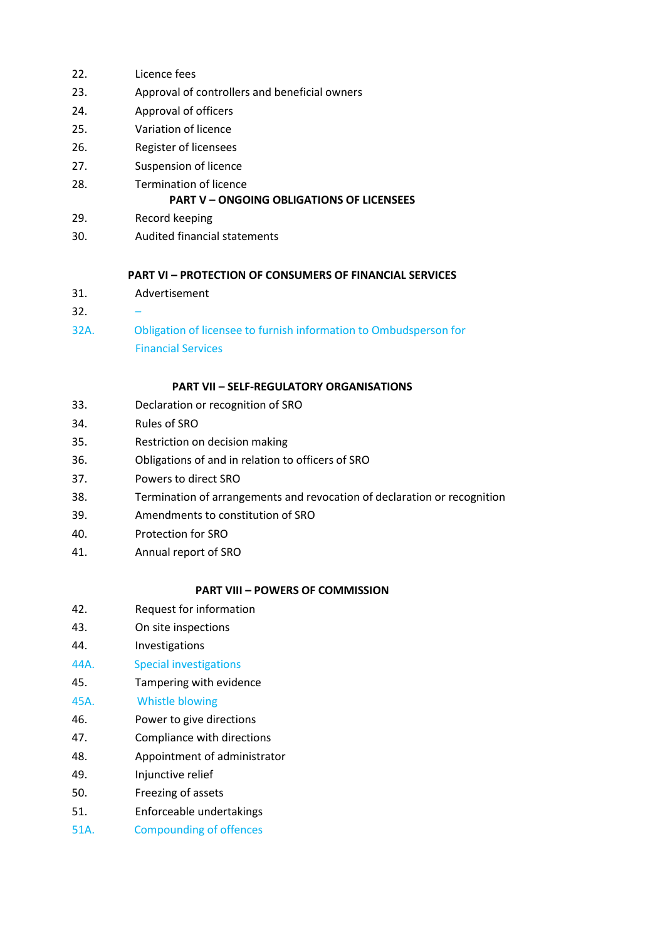- 22. Licence fees
- 23. Approval of controllers and beneficial owners
- 24. Approval of officers
- 25. Variation of licence
- 26. Register of licensees
- 27. Suspension of licence
- 28. Termination of licence

## **PART V – ONGOING OBLIGATIONS OF LICENSEES**

- 29. Record keeping
- 30. Audited financial statements

# **PART VI – PROTECTION OF CONSUMERS OF FINANCIAL SERVICES**

- 31. Advertisement
- $32.$
- 32A. Obligation of licensee to furnish information to Ombudsperson for Financial Services

#### **PART VII – SELF-REGULATORY ORGANISATIONS**

- 33. Declaration or recognition of SRO
- 34. Rules of SRO
- 35. Restriction on decision making
- 36. Obligations of and in relation to officers of SRO
- 37. Powers to direct SRO
- 38. Termination of arrangements and revocation of declaration or recognition
- 39. Amendments to constitution of SRO
- 40. Protection for SRO
- 41. Annual report of SRO

# **PART VIII – POWERS OF COMMISSION**

- 42. Request for information
- 43. On site inspections
- 44. Investigations
- 44A. Special investigations
- 45. Tampering with evidence

# 45A. Whistle blowing

- 46. Power to give directions
- 47. Compliance with directions
- 48. Appointment of administrator
- 49. Injunctive relief
- 50. Freezing of assets
- 51. Enforceable undertakings
- 51A. Compounding of offences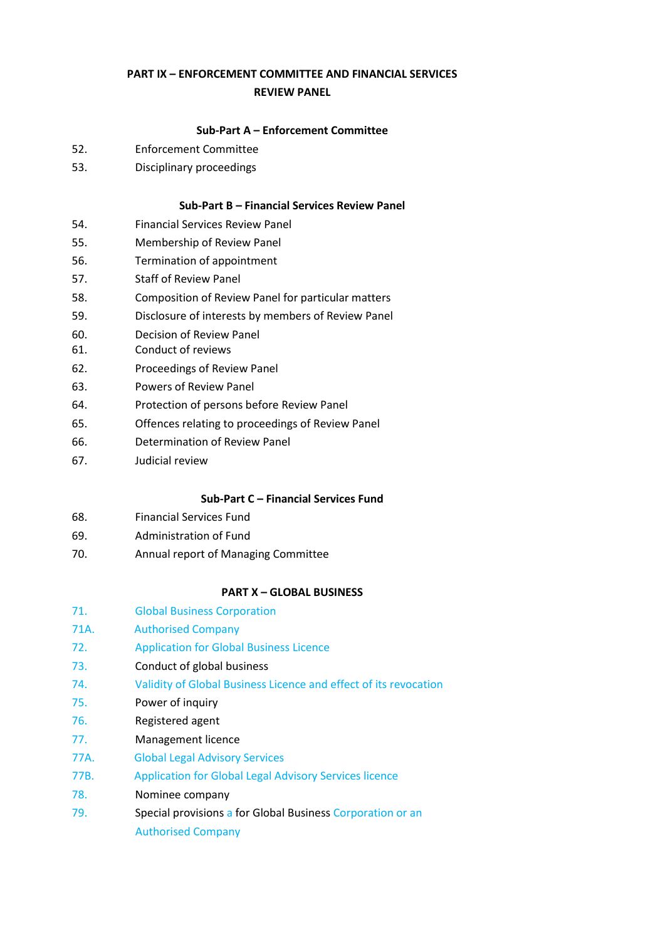# **PART IX – ENFORCEMENT COMMITTEE AND FINANCIAL SERVICES REVIEW PANEL**

## **Sub-Part A – Enforcement Committee**

- 52. Enforcement Committee
- 53. Disciplinary proceedings

#### **Sub-Part B – Financial Services Review Panel**

- 54. Financial Services Review Panel
- 55. Membership of Review Panel
- 56. Termination of appointment
- 57. Staff of Review Panel
- 58. Composition of Review Panel for particular matters
- 59. Disclosure of interests by members of Review Panel
- 60. Decision of Review Panel
- 61. Conduct of reviews
- 62. Proceedings of Review Panel
- 63. Powers of Review Panel
- 64. Protection of persons before Review Panel
- 65. Offences relating to proceedings of Review Panel
- 66. Determination of Review Panel
- 67. Judicial review

### **Sub-Part C – Financial Services Fund**

- 68. Financial Services Fund
- 69. Administration of Fund
- 70. Annual report of Managing Committee

#### **PART X – GLOBAL BUSINESS**

- 71. Global Business Corporation
- 71A. Authorised Company
- 72. Application for Global Business Licence
- 73. Conduct of global business
- 74. Validity of Global Business Licence and effect of its revocation
- 75. Power of inquiry
- 76. Registered agent
- 77. Management licence
- 77A. Global Legal Advisory Services
- 77B. Application for Global Legal Advisory Services licence
- 78. Nominee company
- 79. Special provisions a for Global Business Corporation or an Authorised Company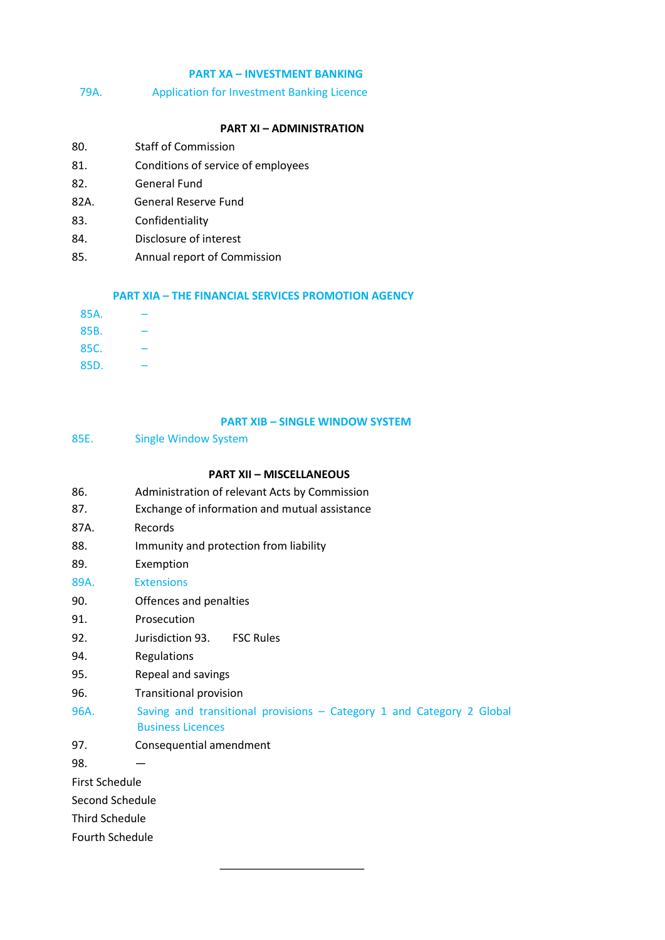## **PART XA – INVESTMENT BANKING**

79A. Application for Investment Banking Licence

### **PART XI – ADMINISTRATION**

- 80. Staff of Commission
- 81. Conditions of service of employees
- 82. General Fund
- 82A. General Reserve Fund
- 83. Confidentiality
- 84. Disclosure of interest
- 85. Annual report of Commission

#### **PART XIA – THE FINANCIAL SERVICES PROMOTION AGENCY**

| 85A. |  |
|------|--|
| 85B. |  |
| 85C. |  |
| 85D. |  |

## **PART XIB – SINGLE WINDOW SYSTEM**

85E. Single Window System

#### **PART XII – MISCELLANEOUS**

- 86. Administration of relevant Acts by Commission
- 87. Exchange of information and mutual assistance
- 87A. Records
- 88. Immunity and protection from liability
- 89. Exemption
- 89A. Extensions
- 90. Offences and penalties
- 91. Prosecution
- 92. Jurisdiction 93. FSC Rules
- 94. Regulations
- 95. Repeal and savings
- 96. Transitional provision
- 96A. Saving and transitional provisions Category 1 and Category 2 Global Business Licences
- 97. Consequential amendment

98. —

First Schedule

Second Schedule

Third Schedule

Fourth Schedule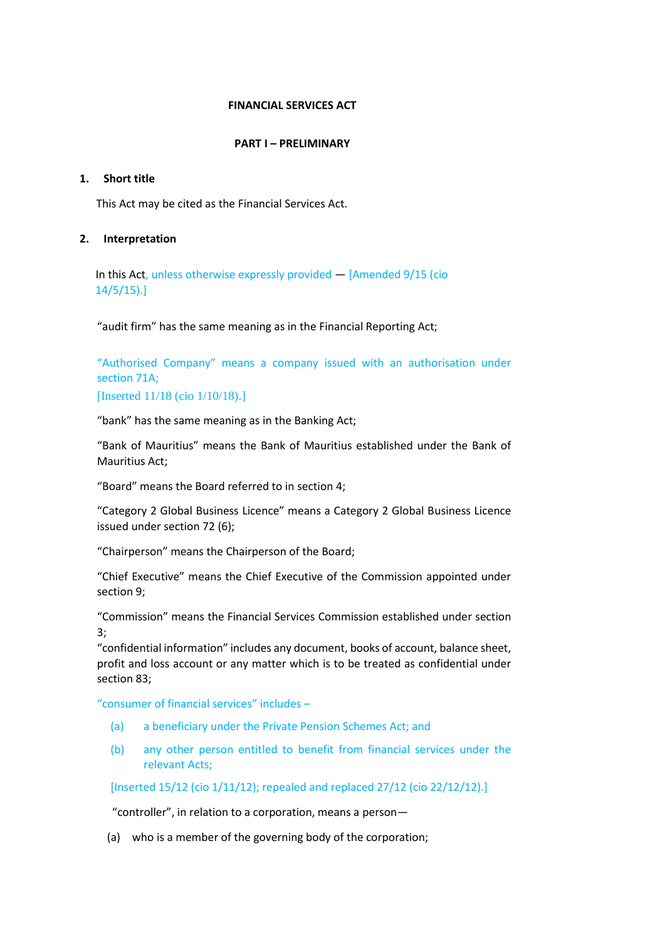## **FINANCIAL SERVICES ACT**

#### **PART I – PRELIMINARY**

#### **1. Short title**

This Act may be cited as the Financial Services Act.

#### **2. Interpretation**

In this Act, unless otherwise expressly provided — [Amended 9/15 (cio 14/5/15).]

"audit firm" has the same meaning as in the Financial Reporting Act;

"Authorised Company" means a company issued with an authorisation under section 71A;

[Inserted 11/18 (cio 1/10/18).]

"bank" has the same meaning as in the Banking Act;

"Bank of Mauritius" means the Bank of Mauritius established under the Bank of Mauritius Act;

"Board" means the Board referred to in section 4;

"Category 2 Global Business Licence" means a Category 2 Global Business Licence issued under section 72 (6);

"Chairperson" means the Chairperson of the Board;

"Chief Executive" means the Chief Executive of the Commission appointed under section 9;

"Commission" means the Financial Services Commission established under section 3;

"confidential information" includes any document, books of account, balance sheet, profit and loss account or any matter which is to be treated as confidential under section 83;

"consumer of financial services" includes –

- (a) a beneficiary under the Private Pension Schemes Act; and
- (b) any other person entitled to benefit from financial services under the relevant Acts;

[Inserted 15/12 (cio 1/11/12); repealed and replaced 27/12 (cio 22/12/12).]

"controller", in relation to a corporation, means a person—

(a) who is a member of the governing body of the corporation;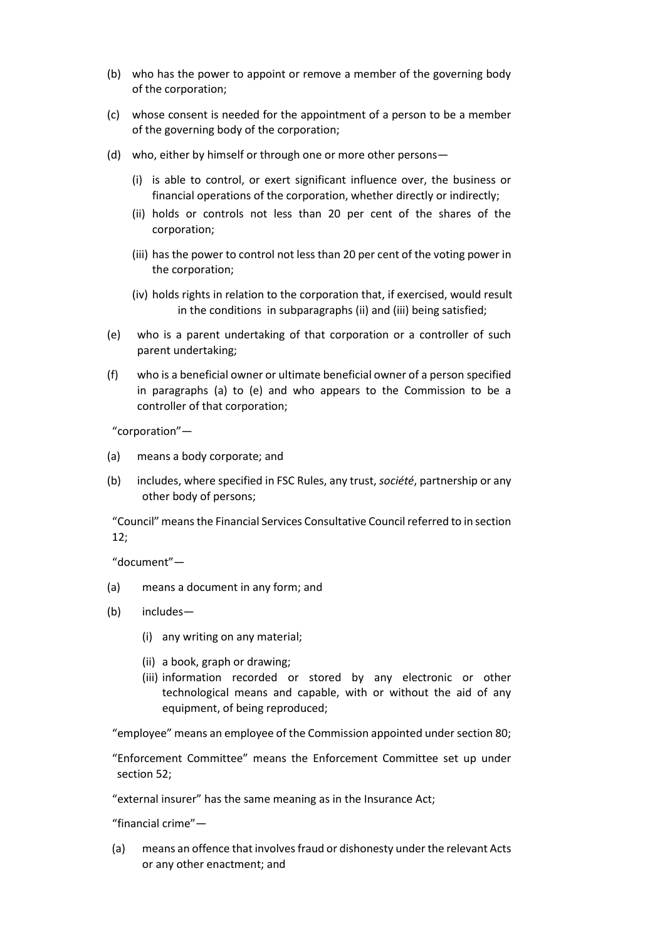- (b) who has the power to appoint or remove a member of the governing body of the corporation;
- (c) whose consent is needed for the appointment of a person to be a member of the governing body of the corporation;
- (d) who, either by himself or through one or more other persons—
	- (i) is able to control, or exert significant influence over, the business or financial operations of the corporation, whether directly or indirectly;
	- (ii) holds or controls not less than 20 per cent of the shares of the corporation;
	- (iii) has the power to control not less than 20 per cent of the voting power in the corporation;
	- (iv) holds rights in relation to the corporation that, if exercised, would result in the conditions in subparagraphs (ii) and (iii) being satisfied;
- (e) who is a parent undertaking of that corporation or a controller of such parent undertaking;
- (f) who is a beneficial owner or ultimate beneficial owner of a person specified in paragraphs (a) to (e) and who appears to the Commission to be a controller of that corporation;

"corporation"—

- (a) means a body corporate; and
- (b) includes, where specified in FSC Rules, any trust, *société*, partnership or any other body of persons;

"Council" means the Financial Services Consultative Council referred to in section 12;

"document"—

- (a) means a document in any form; and
- (b) includes—
	- (i) any writing on any material;
	- (ii) a book, graph or drawing;
	- (iii) information recorded or stored by any electronic or other technological means and capable, with or without the aid of any equipment, of being reproduced;

"employee" means an employee of the Commission appointed under section 80;

"Enforcement Committee" means the Enforcement Committee set up under section 52;

"external insurer" has the same meaning as in the Insurance Act;

"financial crime"—

(a) means an offence that involves fraud or dishonesty under the relevant Acts or any other enactment; and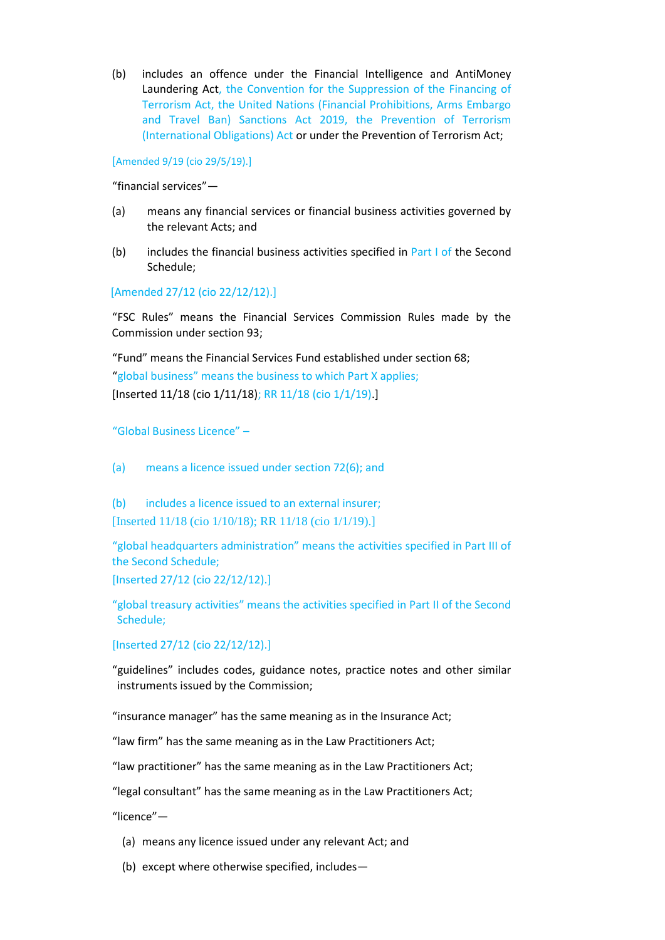(b) includes an offence under the Financial Intelligence and AntiMoney Laundering Act, the Convention for the Suppression of the Financing of Terrorism Act, the United Nations (Financial Prohibitions, Arms Embargo and Travel Ban) Sanctions Act 2019, the Prevention of Terrorism (International Obligations) Act or under the Prevention of Terrorism Act;

[Amended 9/19 (cio 29/5/19).]

"financial services"—

- (a) means any financial services or financial business activities governed by the relevant Acts; and
- (b) includes the financial business activities specified in Part I of the Second Schedule;

[Amended 27/12 (cio 22/12/12).]

"FSC Rules" means the Financial Services Commission Rules made by the Commission under section 93;

"Fund" means the Financial Services Fund established under section 68; "global business" means the business to which Part X applies; [Inserted 11/18 (cio 1/11/18); RR 11/18 (cio 1/1/19).]

"Global Business Licence" –

(a) means a licence issued under section 72(6); and

(b) includes a licence issued to an external insurer; [Inserted 11/18 (cio 1/10/18); RR 11/18 (cio 1/1/19).]

"global headquarters administration" means the activities specified in Part III of the Second Schedule;

[Inserted 27/12 (cio 22/12/12).]

"global treasury activities" means the activities specified in Part II of the Second Schedule;

[Inserted 27/12 (cio 22/12/12).]

"guidelines" includes codes, guidance notes, practice notes and other similar instruments issued by the Commission;

"insurance manager" has the same meaning as in the Insurance Act;

"law firm" has the same meaning as in the Law Practitioners Act;

"law practitioner" has the same meaning as in the Law Practitioners Act;

"legal consultant" has the same meaning as in the Law Practitioners Act;

"licence"—

- (a) means any licence issued under any relevant Act; and
- (b) except where otherwise specified, includes—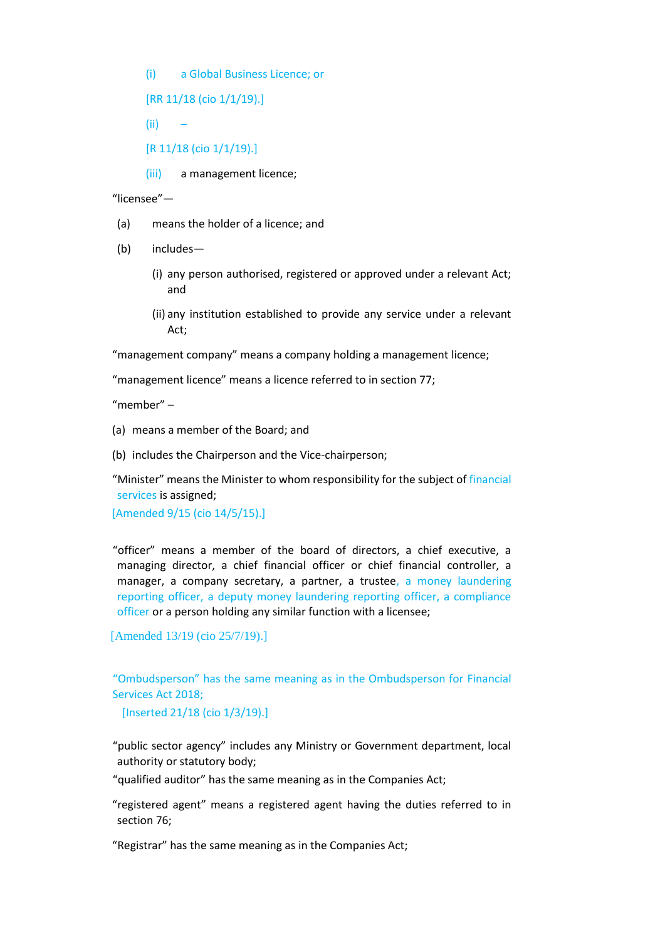(i) a Global Business Licence; or

[RR 11/18 (cio 1/1/19).]

- (ii) –
- [R 11/18 (cio 1/1/19).]
- (iii) a management licence;

"licensee"—

- (a) means the holder of a licence; and
- (b) includes—
	- (i) any person authorised, registered or approved under a relevant Act; and
	- (ii) any institution established to provide any service under a relevant Act;

"management company" means a company holding a management licence;

"management licence" means a licence referred to in section 77;

"member" –

- (a) means a member of the Board; and
- (b) includes the Chairperson and the Vice-chairperson;

"Minister" means the Minister to whom responsibility for the subject of financial services is assigned;

[Amended 9/15 (cio 14/5/15).]

"officer" means a member of the board of directors, a chief executive, a managing director, a chief financial officer or chief financial controller, a manager, a company secretary, a partner, a trustee, a money laundering reporting officer, a deputy money laundering reporting officer, a compliance officer or a person holding any similar function with a licensee;

[Amended 13/19 (cio 25/7/19).]

"Ombudsperson" has the same meaning as in the Ombudsperson for Financial Services Act 2018;

[Inserted 21/18 (cio 1/3/19).]

"public sector agency" includes any Ministry or Government department, local authority or statutory body;

"qualified auditor" has the same meaning as in the Companies Act;

"registered agent" means a registered agent having the duties referred to in section 76;

"Registrar" has the same meaning as in the Companies Act;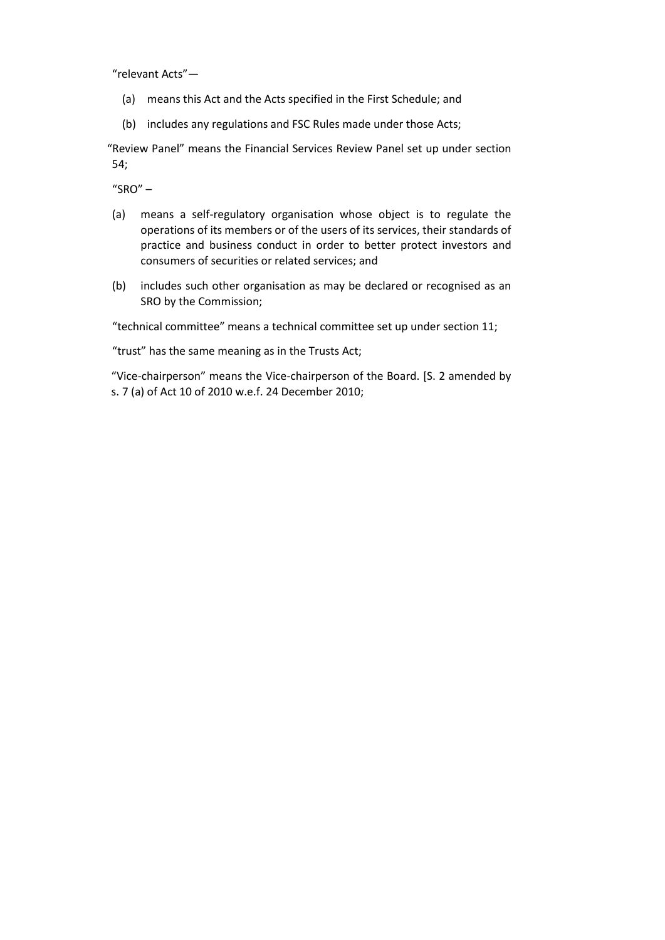"relevant Acts"—

- (a) means this Act and the Acts specified in the First Schedule; and
- (b) includes any regulations and FSC Rules made under those Acts;

"Review Panel" means the Financial Services Review Panel set up under section 54;

 $"SRO"$  –

- (a) means a self-regulatory organisation whose object is to regulate the operations of its members or of the users of its services, their standards of practice and business conduct in order to better protect investors and consumers of securities or related services; and
- (b) includes such other organisation as may be declared or recognised as an SRO by the Commission;

"technical committee" means a technical committee set up under section 11;

"trust" has the same meaning as in the Trusts Act;

"Vice-chairperson" means the Vice-chairperson of the Board. [S. 2 amended by s. 7 (a) of Act 10 of 2010 w.e.f. 24 December 2010;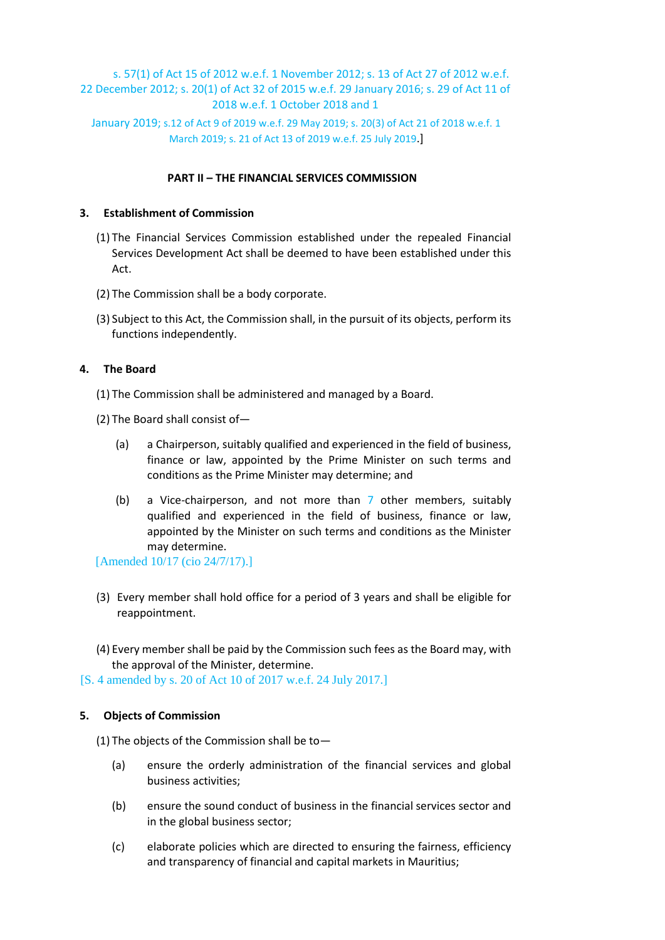# s. 57(1) of Act 15 of 2012 w.e.f. 1 November 2012; s. 13 of Act 27 of 2012 w.e.f. 22 December 2012; s. 20(1) of Act 32 of 2015 w.e.f. 29 January 2016; s. 29 of Act 11 of 2018 w.e.f. 1 October 2018 and 1

January 2019; s.12 of Act 9 of 2019 w.e.f. 29 May 2019; s. 20(3) of Act 21 of 2018 w.e.f. 1 March 2019; s. 21 of Act 13 of 2019 w.e.f. 25 July 2019.]

## **PART II – THE FINANCIAL SERVICES COMMISSION**

## **3. Establishment of Commission**

- (1) The Financial Services Commission established under the repealed Financial Services Development Act shall be deemed to have been established under this Act.
- (2) The Commission shall be a body corporate.
- (3) Subject to this Act, the Commission shall, in the pursuit of its objects, perform its functions independently.

# **4. The Board**

- (1) The Commission shall be administered and managed by a Board.
- (2) The Board shall consist of—
	- (a) a Chairperson, suitably qualified and experienced in the field of business, finance or law, appointed by the Prime Minister on such terms and conditions as the Prime Minister may determine; and
	- (b) a Vice-chairperson, and not more than 7 other members, suitably qualified and experienced in the field of business, finance or law, appointed by the Minister on such terms and conditions as the Minister may determine.

[Amended 10/17 (cio 24/7/17).]

- (3) Every member shall hold office for a period of 3 years and shall be eligible for reappointment.
- (4) Every member shall be paid by the Commission such fees as the Board may, with the approval of the Minister, determine.
- [S. 4 amended by s. 20 of Act 10 of 2017 w.e.f. 24 July 2017.]

# **5. Objects of Commission**

(1) The objects of the Commission shall be to  $-$ 

- (a) ensure the orderly administration of the financial services and global business activities;
- (b) ensure the sound conduct of business in the financial services sector and in the global business sector;
- (c) elaborate policies which are directed to ensuring the fairness, efficiency and transparency of financial and capital markets in Mauritius;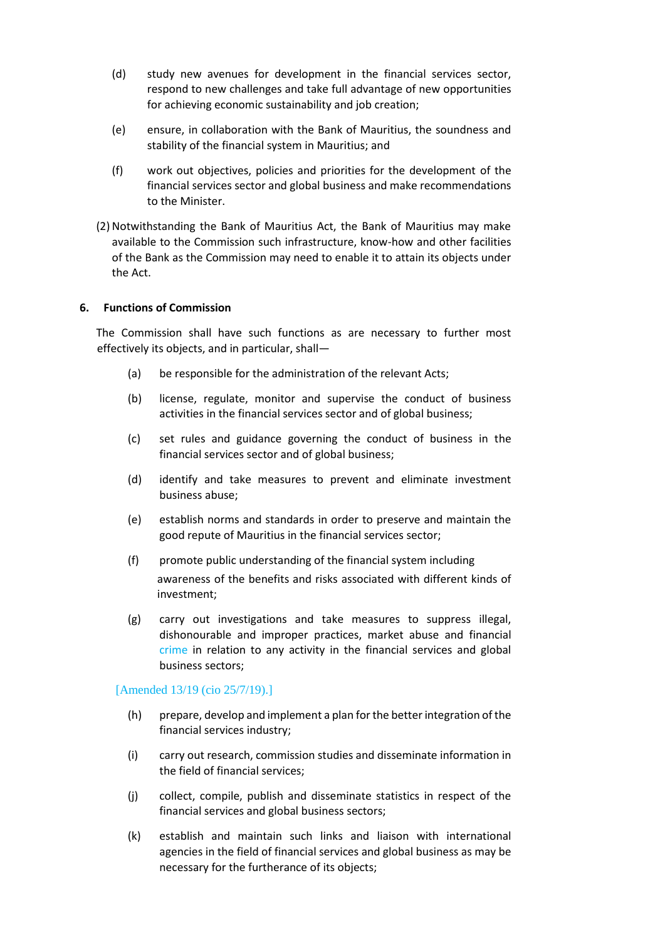- (d) study new avenues for development in the financial services sector, respond to new challenges and take full advantage of new opportunities for achieving economic sustainability and job creation;
- (e) ensure, in collaboration with the Bank of Mauritius, the soundness and stability of the financial system in Mauritius; and
- (f) work out objectives, policies and priorities for the development of the financial services sector and global business and make recommendations to the Minister.
- (2) Notwithstanding the Bank of Mauritius Act, the Bank of Mauritius may make available to the Commission such infrastructure, know-how and other facilities of the Bank as the Commission may need to enable it to attain its objects under the Act.

#### **6. Functions of Commission**

The Commission shall have such functions as are necessary to further most effectively its objects, and in particular, shall—

- (a) be responsible for the administration of the relevant Acts;
- (b) license, regulate, monitor and supervise the conduct of business activities in the financial services sector and of global business;
- (c) set rules and guidance governing the conduct of business in the financial services sector and of global business;
- (d) identify and take measures to prevent and eliminate investment business abuse;
- (e) establish norms and standards in order to preserve and maintain the good repute of Mauritius in the financial services sector;
- (f) promote public understanding of the financial system including awareness of the benefits and risks associated with different kinds of investment;
- (g) carry out investigations and take measures to suppress illegal, dishonourable and improper practices, market abuse and financial crime in relation to any activity in the financial services and global business sectors;

#### [Amended 13/19 (cio 25/7/19).]

- (h) prepare, develop and implement a plan for the better integration of the financial services industry;
- (i) carry out research, commission studies and disseminate information in the field of financial services;
- (j) collect, compile, publish and disseminate statistics in respect of the financial services and global business sectors;
- (k) establish and maintain such links and liaison with international agencies in the field of financial services and global business as may be necessary for the furtherance of its objects;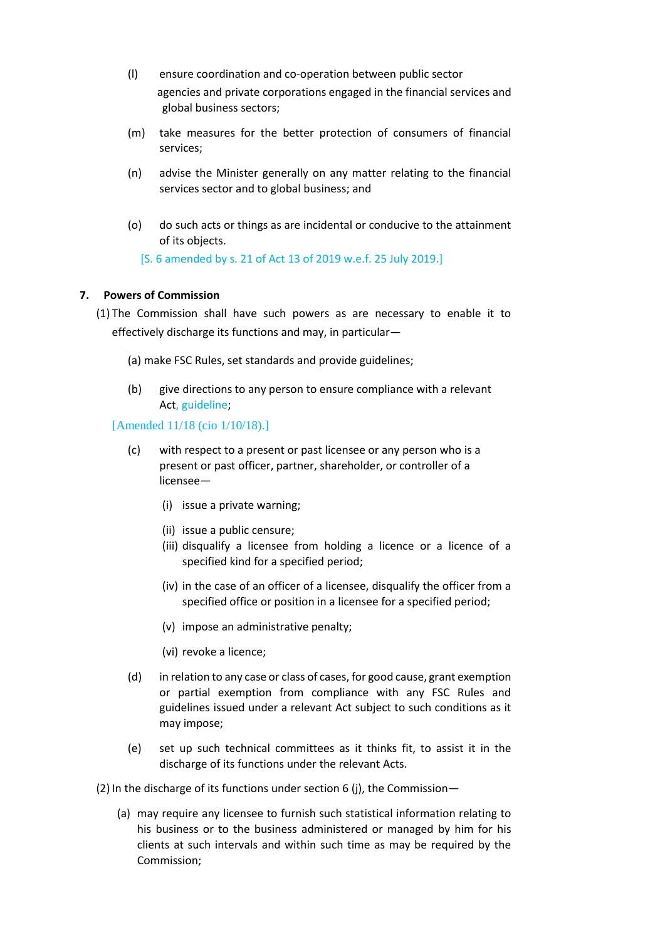- (l) ensure coordination and co-operation between public sector agencies and private corporations engaged in the financial services and global business sectors;
- (m) take measures for the better protection of consumers of financial services;
- (n) advise the Minister generally on any matter relating to the financial services sector and to global business; and
- (o) do such acts or things as are incidental or conducive to the attainment of its objects.

[S. 6 amended by s. 21 of Act 13 of 2019 w.e.f. 25 July 2019.]

## **7. Powers of Commission**

(1) The Commission shall have such powers as are necessary to enable it to effectively discharge its functions and may, in particular—

- (a) make FSC Rules, set standards and provide guidelines;
- (b) give directions to any person to ensure compliance with a relevant Act, guideline;

#### [Amended 11/18 (cio 1/10/18).]

- (c) with respect to a present or past licensee or any person who is a present or past officer, partner, shareholder, or controller of a licensee—
	- (i) issue a private warning;
	- (ii) issue a public censure;
	- (iii) disqualify a licensee from holding a licence or a licence of a specified kind for a specified period;
	- (iv) in the case of an officer of a licensee, disqualify the officer from a specified office or position in a licensee for a specified period;
	- (v) impose an administrative penalty;
	- (vi) revoke a licence;
- (d) in relation to any case or class of cases, for good cause, grant exemption or partial exemption from compliance with any FSC Rules and guidelines issued under a relevant Act subject to such conditions as it may impose;
- (e) set up such technical committees as it thinks fit, to assist it in the discharge of its functions under the relevant Acts.

(2) In the discharge of its functions under section 6 (j), the Commission—

(a) may require any licensee to furnish such statistical information relating to his business or to the business administered or managed by him for his clients at such intervals and within such time as may be required by the Commission;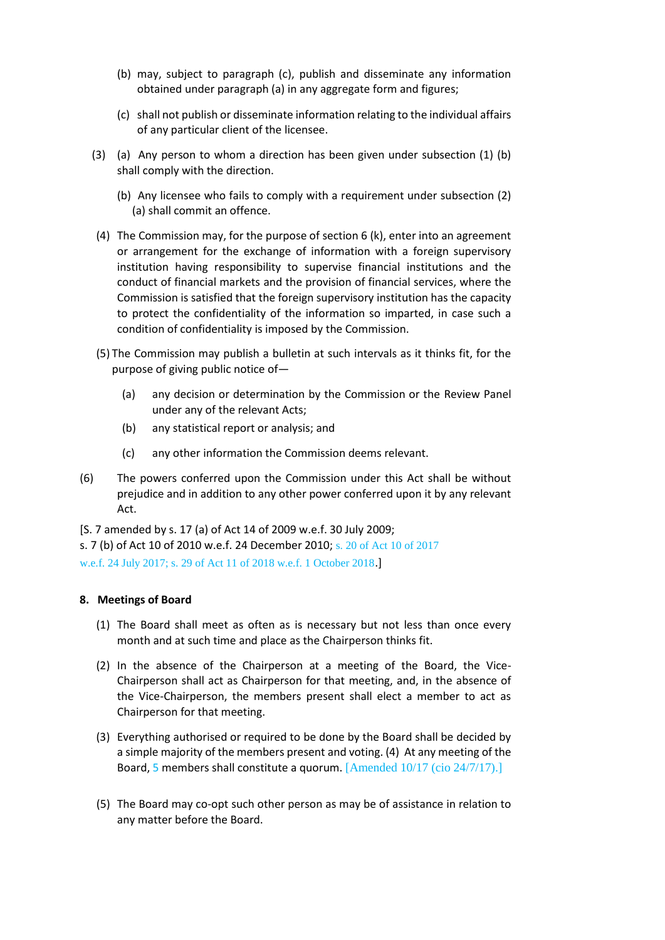- (b) may, subject to paragraph (c), publish and disseminate any information obtained under paragraph (a) in any aggregate form and figures;
- (c) shall not publish or disseminate information relating to the individual affairs of any particular client of the licensee.
- (3) (a) Any person to whom a direction has been given under subsection (1) (b) shall comply with the direction.
	- (b) Any licensee who fails to comply with a requirement under subsection (2) (a) shall commit an offence.
- (4) The Commission may, for the purpose of section 6 (k), enter into an agreement or arrangement for the exchange of information with a foreign supervisory institution having responsibility to supervise financial institutions and the conduct of financial markets and the provision of financial services, where the Commission is satisfied that the foreign supervisory institution has the capacity to protect the confidentiality of the information so imparted, in case such a condition of confidentiality is imposed by the Commission.
- (5) The Commission may publish a bulletin at such intervals as it thinks fit, for the purpose of giving public notice of—
	- (a) any decision or determination by the Commission or the Review Panel under any of the relevant Acts;
	- (b) any statistical report or analysis; and
	- (c) any other information the Commission deems relevant.
- (6) The powers conferred upon the Commission under this Act shall be without prejudice and in addition to any other power conferred upon it by any relevant Act.

[S. 7 amended by s. 17 (a) of Act 14 of 2009 w.e.f. 30 July 2009; s. 7 (b) of Act 10 of 2010 w.e.f. 24 December 2010; s. 20 of Act 10 of 2017 w.e.f. 24 July 2017; s. 29 of Act 11 of 2018 w.e.f. 1 October 2018.]

## **8. Meetings of Board**

- (1) The Board shall meet as often as is necessary but not less than once every month and at such time and place as the Chairperson thinks fit.
- (2) In the absence of the Chairperson at a meeting of the Board, the Vice-Chairperson shall act as Chairperson for that meeting, and, in the absence of the Vice-Chairperson, the members present shall elect a member to act as Chairperson for that meeting.
- (3) Everything authorised or required to be done by the Board shall be decided by a simple majority of the members present and voting. (4) At any meeting of the Board, 5 members shall constitute a quorum. [Amended 10/17 (cio 24/7/17).]
- (5) The Board may co-opt such other person as may be of assistance in relation to any matter before the Board.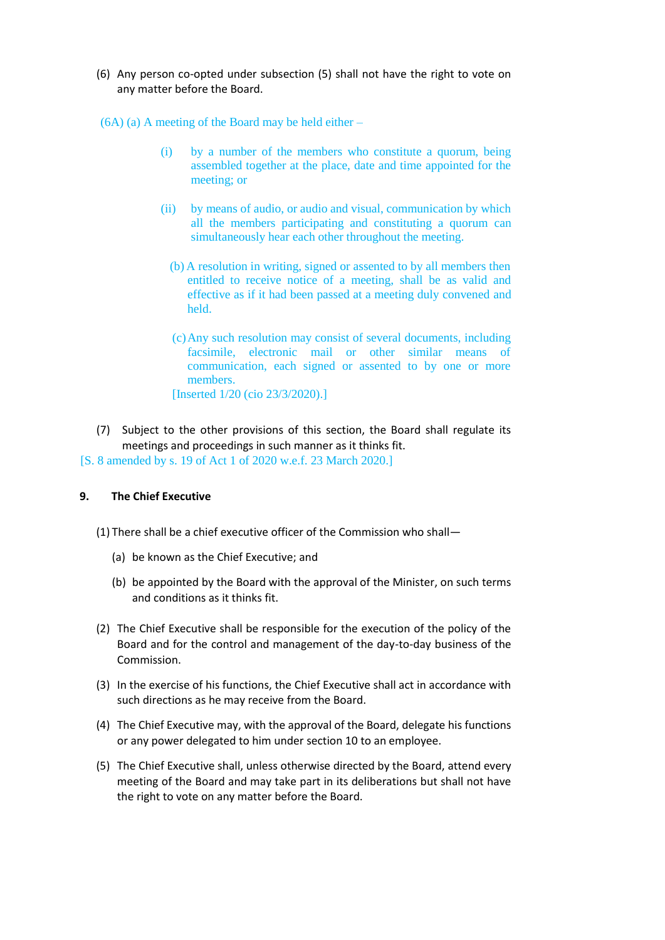- (6) Any person co-opted under subsection (5) shall not have the right to vote on any matter before the Board.
- (6A) (a) A meeting of the Board may be held either
	- (i) by a number of the members who constitute a quorum, being assembled together at the place, date and time appointed for the meeting; or
	- (ii) by means of audio, or audio and visual, communication by which all the members participating and constituting a quorum can simultaneously hear each other throughout the meeting.
		- (b) A resolution in writing, signed or assented to by all members then entitled to receive notice of a meeting, shall be as valid and effective as if it had been passed at a meeting duly convened and held.
		- (c)Any such resolution may consist of several documents, including facsimile, electronic mail or other similar means of communication, each signed or assented to by one or more members. [Inserted 1/20 (cio 23/3/2020).]
- (7) Subject to the other provisions of this section, the Board shall regulate its meetings and proceedings in such manner as it thinks fit.

[S. 8 amended by s. 19 of Act 1 of 2020 w.e.f. 23 March 2020.]

# **9. The Chief Executive**

- (1) There shall be a chief executive officer of the Commission who shall—
	- (a) be known as the Chief Executive; and
	- (b) be appointed by the Board with the approval of the Minister, on such terms and conditions as it thinks fit.
- (2) The Chief Executive shall be responsible for the execution of the policy of the Board and for the control and management of the day-to-day business of the Commission.
- (3) In the exercise of his functions, the Chief Executive shall act in accordance with such directions as he may receive from the Board.
- (4) The Chief Executive may, with the approval of the Board, delegate his functions or any power delegated to him under section 10 to an employee.
- (5) The Chief Executive shall, unless otherwise directed by the Board, attend every meeting of the Board and may take part in its deliberations but shall not have the right to vote on any matter before the Board.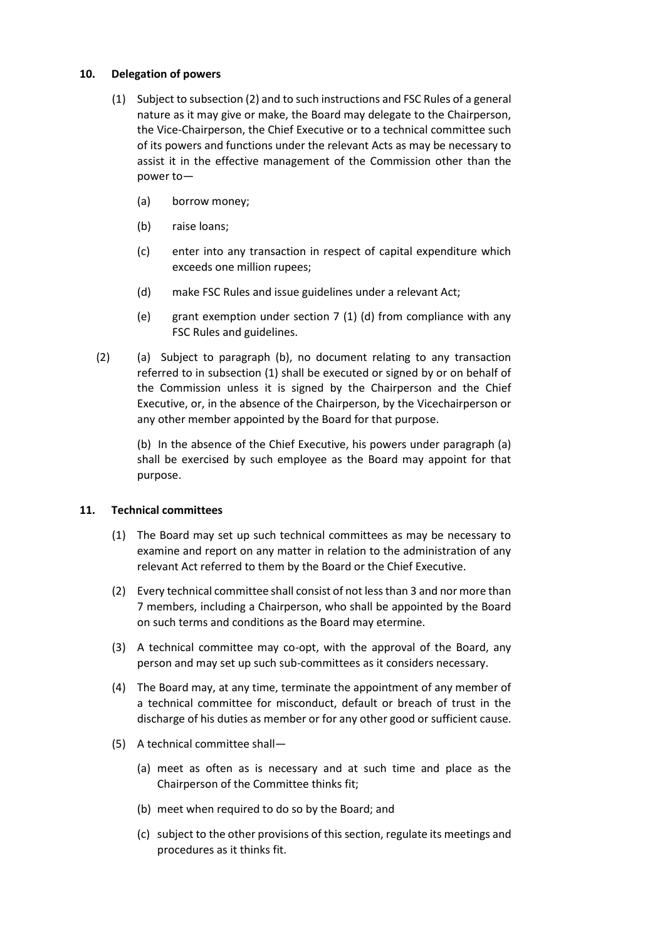## **10. Delegation of powers**

- (1) Subject to subsection (2) and to such instructions and FSC Rules of a general nature as it may give or make, the Board may delegate to the Chairperson, the Vice-Chairperson, the Chief Executive or to a technical committee such of its powers and functions under the relevant Acts as may be necessary to assist it in the effective management of the Commission other than the power to—
	- (a) borrow money;
	- (b) raise loans;
	- (c) enter into any transaction in respect of capital expenditure which exceeds one million rupees;
	- (d) make FSC Rules and issue guidelines under a relevant Act;
	- (e) grant exemption under section 7 (1) (d) from compliance with any FSC Rules and guidelines.
- (2) (a) Subject to paragraph (b), no document relating to any transaction referred to in subsection (1) shall be executed or signed by or on behalf of the Commission unless it is signed by the Chairperson and the Chief Executive, or, in the absence of the Chairperson, by the Vicechairperson or any other member appointed by the Board for that purpose.

(b) In the absence of the Chief Executive, his powers under paragraph (a) shall be exercised by such employee as the Board may appoint for that purpose.

# **11. Technical committees**

- (1) The Board may set up such technical committees as may be necessary to examine and report on any matter in relation to the administration of any relevant Act referred to them by the Board or the Chief Executive.
- (2) Every technical committee shall consist of not less than 3 and nor more than 7 members, including a Chairperson, who shall be appointed by the Board on such terms and conditions as the Board may etermine.
- (3) A technical committee may co-opt, with the approval of the Board, any person and may set up such sub-committees as it considers necessary.
- (4) The Board may, at any time, terminate the appointment of any member of a technical committee for misconduct, default or breach of trust in the discharge of his duties as member or for any other good or sufficient cause.
- (5) A technical committee shall—
	- (a) meet as often as is necessary and at such time and place as the Chairperson of the Committee thinks fit;
	- (b) meet when required to do so by the Board; and
	- (c) subject to the other provisions of this section, regulate its meetings and procedures as it thinks fit.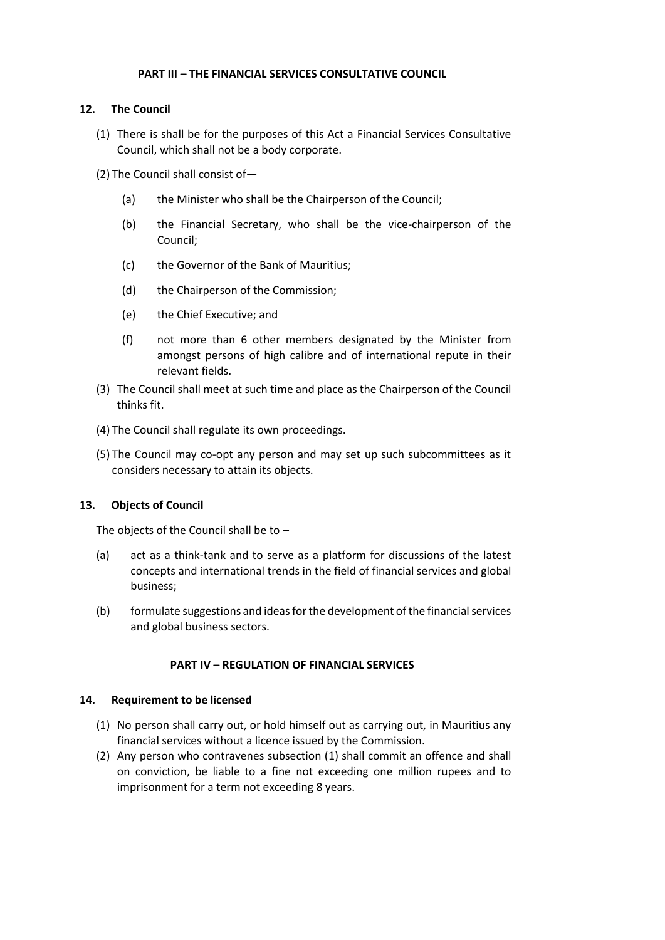## **PART III – THE FINANCIAL SERVICES CONSULTATIVE COUNCIL**

# **12. The Council**

- (1) There is shall be for the purposes of this Act a Financial Services Consultative Council, which shall not be a body corporate.
- (2) The Council shall consist of—
	- (a) the Minister who shall be the Chairperson of the Council;
	- (b) the Financial Secretary, who shall be the vice-chairperson of the Council;
	- (c) the Governor of the Bank of Mauritius;
	- (d) the Chairperson of the Commission;
	- (e) the Chief Executive; and
	- (f) not more than 6 other members designated by the Minister from amongst persons of high calibre and of international repute in their relevant fields.
- (3) The Council shall meet at such time and place as the Chairperson of the Council thinks fit.
- (4) The Council shall regulate its own proceedings.
- (5) The Council may co-opt any person and may set up such subcommittees as it considers necessary to attain its objects.

## **13. Objects of Council**

The objects of the Council shall be to –

- (a) act as a think-tank and to serve as a platform for discussions of the latest concepts and international trends in the field of financial services and global business;
- (b) formulate suggestions and ideas for the development of the financial services and global business sectors.

## **PART IV – REGULATION OF FINANCIAL SERVICES**

## **14. Requirement to be licensed**

- (1) No person shall carry out, or hold himself out as carrying out, in Mauritius any financial services without a licence issued by the Commission.
- (2) Any person who contravenes subsection (1) shall commit an offence and shall on conviction, be liable to a fine not exceeding one million rupees and to imprisonment for a term not exceeding 8 years.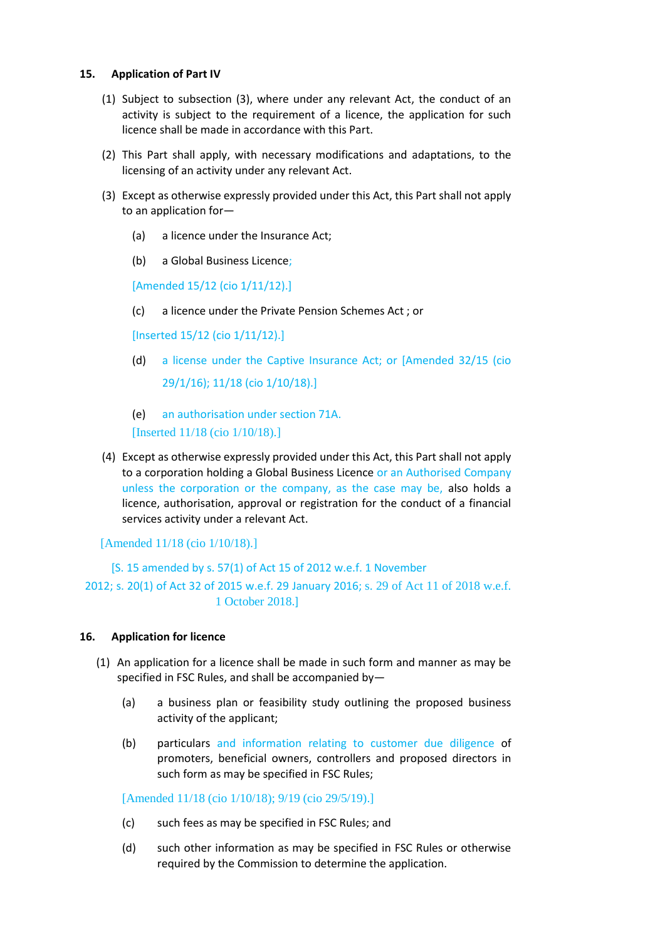## **15. Application of Part IV**

- (1) Subject to subsection (3), where under any relevant Act, the conduct of an activity is subject to the requirement of a licence, the application for such licence shall be made in accordance with this Part.
- (2) This Part shall apply, with necessary modifications and adaptations, to the licensing of an activity under any relevant Act.
- (3) Except as otherwise expressly provided under this Act, this Part shall not apply to an application for—
	- (a) a licence under the Insurance Act;
	- (b) a Global Business Licence;

[Amended 15/12 (cio 1/11/12).]

(c) a licence under the Private Pension Schemes Act ; or

[Inserted 15/12 (cio 1/11/12).]

- (d) a license under the Captive Insurance Act; or [Amended 32/15 (cio 29/1/16); 11/18 (cio 1/10/18).]
- (e) an authorisation under section 71A. [Inserted 11/18 (cio 1/10/18).]
- (4) Except as otherwise expressly provided under this Act, this Part shall not apply to a corporation holding a Global Business Licence or an Authorised Company unless the corporation or the company, as the case may be, also holds a licence, authorisation, approval or registration for the conduct of a financial services activity under a relevant Act.

[Amended 11/18 (cio 1/10/18).]

[S. 15 amended by s. 57(1) of Act 15 of 2012 w.e.f. 1 November 2012; s. 20(1) of Act 32 of 2015 w.e.f. 29 January 2016; s. 29 of Act 11 of 2018 w.e.f. 1 October 2018.]

## **16. Application for licence**

- (1) An application for a licence shall be made in such form and manner as may be specified in FSC Rules, and shall be accompanied by—
	- (a) a business plan or feasibility study outlining the proposed business activity of the applicant;
	- (b) particulars and information relating to customer due diligence of promoters, beneficial owners, controllers and proposed directors in such form as may be specified in FSC Rules;

[Amended 11/18 (cio 1/10/18); 9/19 (cio 29/5/19).]

- (c) such fees as may be specified in FSC Rules; and
- (d) such other information as may be specified in FSC Rules or otherwise required by the Commission to determine the application.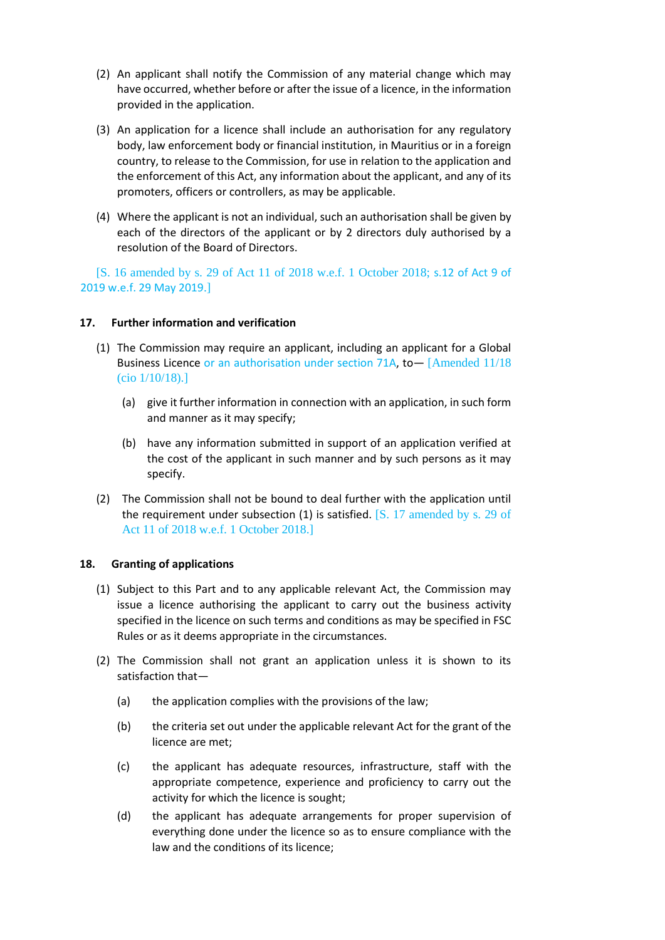- (2) An applicant shall notify the Commission of any material change which may have occurred, whether before or after the issue of a licence, in the information provided in the application.
- (3) An application for a licence shall include an authorisation for any regulatory body, law enforcement body or financial institution, in Mauritius or in a foreign country, to release to the Commission, for use in relation to the application and the enforcement of this Act, any information about the applicant, and any of its promoters, officers or controllers, as may be applicable.
- (4) Where the applicant is not an individual, such an authorisation shall be given by each of the directors of the applicant or by 2 directors duly authorised by a resolution of the Board of Directors.

[S. 16 amended by s. 29 of Act 11 of 2018 w.e.f. 1 October 2018; s.12 of Act 9 of 2019 w.e.f. 29 May 2019.]

## **17. Further information and verification**

- (1) The Commission may require an applicant, including an applicant for a Global Business Licence or an authorisation under section 71A, to  $-$  [Amended 11/18] (cio 1/10/18).]
	- (a) give it further information in connection with an application, in such form and manner as it may specify;
	- (b) have any information submitted in support of an application verified at the cost of the applicant in such manner and by such persons as it may specify.
- (2) The Commission shall not be bound to deal further with the application until the requirement under subsection (1) is satisfied. [S. 17 amended by s. 29 of Act 11 of 2018 w.e.f. 1 October 2018.]

## **18. Granting of applications**

- (1) Subject to this Part and to any applicable relevant Act, the Commission may issue a licence authorising the applicant to carry out the business activity specified in the licence on such terms and conditions as may be specified in FSC Rules or as it deems appropriate in the circumstances.
- (2) The Commission shall not grant an application unless it is shown to its satisfaction that—
	- (a) the application complies with the provisions of the law;
	- (b) the criteria set out under the applicable relevant Act for the grant of the licence are met;
	- (c) the applicant has adequate resources, infrastructure, staff with the appropriate competence, experience and proficiency to carry out the activity for which the licence is sought;
	- (d) the applicant has adequate arrangements for proper supervision of everything done under the licence so as to ensure compliance with the law and the conditions of its licence;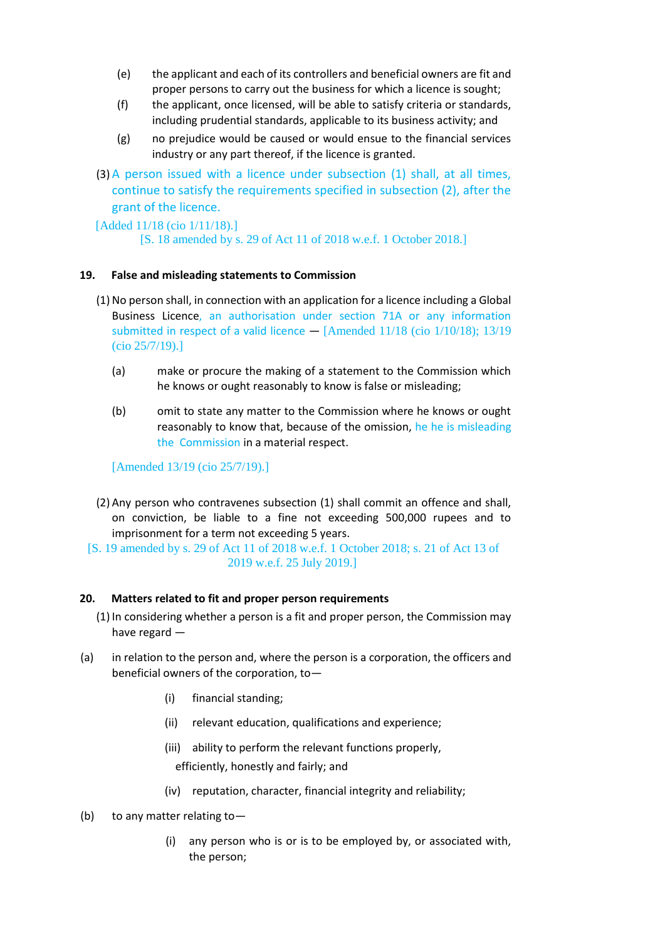- (e) the applicant and each of its controllers and beneficial owners are fit and proper persons to carry out the business for which a licence is sought;
- (f) the applicant, once licensed, will be able to satisfy criteria or standards, including prudential standards, applicable to its business activity; and
- (g) no prejudice would be caused or would ensue to the financial services industry or any part thereof, if the licence is granted.
- (3) A person issued with a licence under subsection (1) shall, at all times, continue to satisfy the requirements specified in subsection (2), after the grant of the licence.

[Added 11/18 (cio 1/11/18).]

[S. 18 amended by s. 29 of Act 11 of 2018 w.e.f. 1 October 2018.]

## **19. False and misleading statements to Commission**

- (1) No person shall, in connection with an application for a licence including a Global Business Licence, an authorisation under section 71A or any information submitted in respect of a valid licence  $-$  [Amended 11/18 (cio 1/10/18); 13/19 (cio 25/7/19).]
	- (a) make or procure the making of a statement to the Commission which he knows or ought reasonably to know is false or misleading;
	- (b) omit to state any matter to the Commission where he knows or ought reasonably to know that, because of the omission, he he is misleading the Commission in a material respect.

[Amended 13/19 (cio 25/7/19).]

- (2) Any person who contravenes subsection (1) shall commit an offence and shall, on conviction, be liable to a fine not exceeding 500,000 rupees and to imprisonment for a term not exceeding 5 years.
- [S. 19 amended by s. 29 of Act 11 of 2018 w.e.f. 1 October 2018; s. 21 of Act 13 of 2019 w.e.f. 25 July 2019.]

## **20. Matters related to fit and proper person requirements**

- (1) In considering whether a person is a fit and proper person, the Commission may have regard —
- (a) in relation to the person and, where the person is a corporation, the officers and beneficial owners of the corporation, to—
	- (i) financial standing;
	- (ii) relevant education, qualifications and experience;
	- (iii) ability to perform the relevant functions properly, efficiently, honestly and fairly; and
	- (iv) reputation, character, financial integrity and reliability;
- (b) to any matter relating to—
	- (i) any person who is or is to be employed by, or associated with, the person;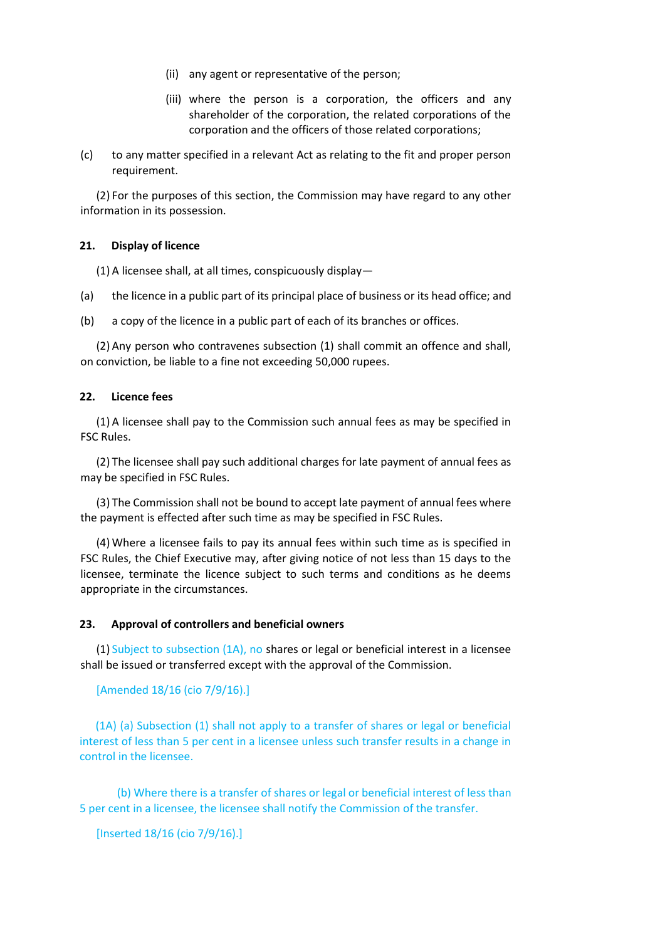- (ii) any agent or representative of the person;
- (iii) where the person is a corporation, the officers and any shareholder of the corporation, the related corporations of the corporation and the officers of those related corporations;
- (c) to any matter specified in a relevant Act as relating to the fit and proper person requirement.

(2) For the purposes of this section, the Commission may have regard to any other information in its possession.

## **21. Display of licence**

(1) A licensee shall, at all times, conspicuously display—

- (a) the licence in a public part of its principal place of business or its head office; and
- (b) a copy of the licence in a public part of each of its branches or offices.

(2) Any person who contravenes subsection (1) shall commit an offence and shall, on conviction, be liable to a fine not exceeding 50,000 rupees.

#### **22. Licence fees**

(1) A licensee shall pay to the Commission such annual fees as may be specified in FSC Rules.

(2) The licensee shall pay such additional charges for late payment of annual fees as may be specified in FSC Rules.

(3) The Commission shall not be bound to accept late payment of annual fees where the payment is effected after such time as may be specified in FSC Rules.

(4) Where a licensee fails to pay its annual fees within such time as is specified in FSC Rules, the Chief Executive may, after giving notice of not less than 15 days to the licensee, terminate the licence subject to such terms and conditions as he deems appropriate in the circumstances.

#### **23. Approval of controllers and beneficial owners**

(1) Subject to subsection (1A), no shares or legal or beneficial interest in a licensee shall be issued or transferred except with the approval of the Commission.

[Amended 18/16 (cio 7/9/16).]

(1A) (a) Subsection (1) shall not apply to a transfer of shares or legal or beneficial interest of less than 5 per cent in a licensee unless such transfer results in a change in control in the licensee.

(b) Where there is a transfer of shares or legal or beneficial interest of less than 5 per cent in a licensee, the licensee shall notify the Commission of the transfer.

[Inserted 18/16 (cio 7/9/16).]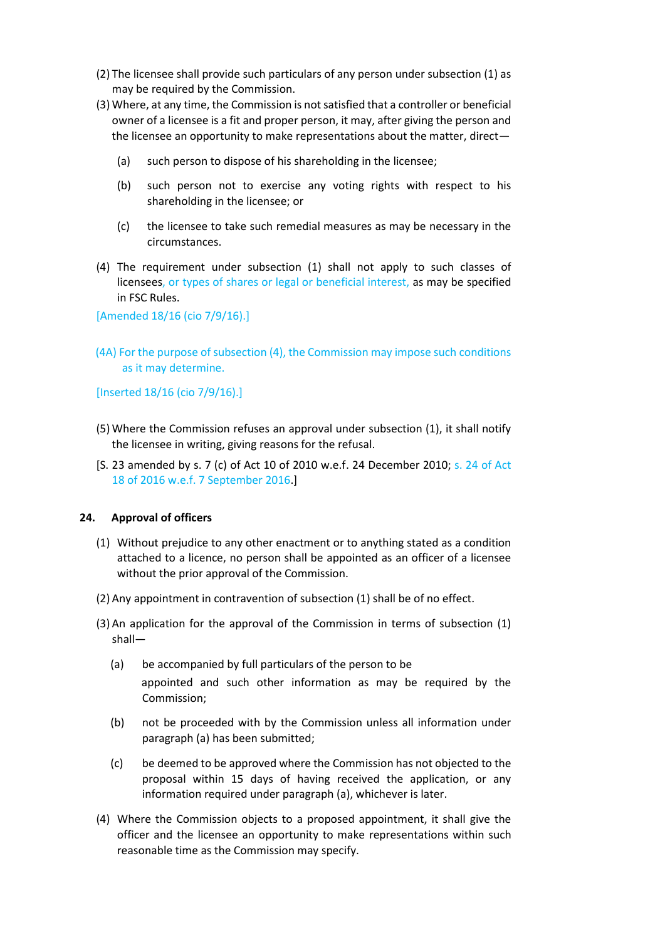- (2) The licensee shall provide such particulars of any person under subsection (1) as may be required by the Commission.
- (3) Where, at any time, the Commission is not satisfied that a controller or beneficial owner of a licensee is a fit and proper person, it may, after giving the person and the licensee an opportunity to make representations about the matter, direct—
	- (a) such person to dispose of his shareholding in the licensee;
	- (b) such person not to exercise any voting rights with respect to his shareholding in the licensee; or
	- (c) the licensee to take such remedial measures as may be necessary in the circumstances.
- (4) The requirement under subsection (1) shall not apply to such classes of licensees, or types of shares or legal or beneficial interest, as may be specified in FSC Rules.

[Amended 18/16 (cio 7/9/16).]

(4A) For the purpose of subsection (4), the Commission may impose such conditions as it may determine.

[Inserted 18/16 (cio 7/9/16).]

- (5) Where the Commission refuses an approval under subsection (1), it shall notify the licensee in writing, giving reasons for the refusal.
- [S. 23 amended by s. 7 (c) of Act 10 of 2010 w.e.f. 24 December 2010; s. 24 of Act 18 of 2016 w.e.f. 7 September 2016.]

## **24. Approval of officers**

- (1) Without prejudice to any other enactment or to anything stated as a condition attached to a licence, no person shall be appointed as an officer of a licensee without the prior approval of the Commission.
- (2) Any appointment in contravention of subsection (1) shall be of no effect.
- (3) An application for the approval of the Commission in terms of subsection (1) shall—
	- (a) be accompanied by full particulars of the person to be appointed and such other information as may be required by the Commission;
	- (b) not be proceeded with by the Commission unless all information under paragraph (a) has been submitted;
	- (c) be deemed to be approved where the Commission has not objected to the proposal within 15 days of having received the application, or any information required under paragraph (a), whichever is later.
- (4) Where the Commission objects to a proposed appointment, it shall give the officer and the licensee an opportunity to make representations within such reasonable time as the Commission may specify.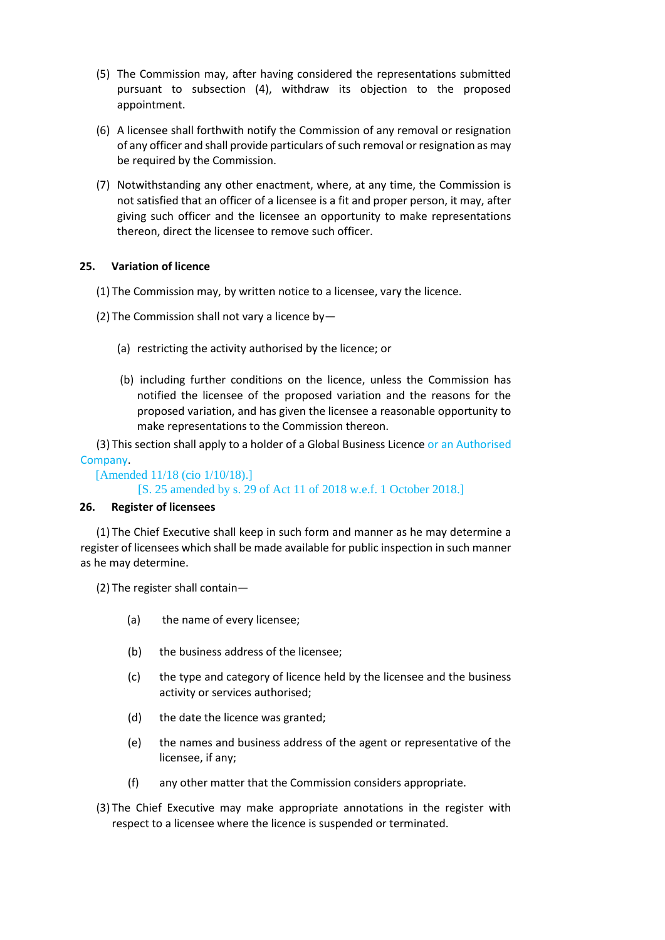- (5) The Commission may, after having considered the representations submitted pursuant to subsection (4), withdraw its objection to the proposed appointment.
- (6) A licensee shall forthwith notify the Commission of any removal or resignation of any officer and shall provide particulars of such removal or resignation as may be required by the Commission.
- (7) Notwithstanding any other enactment, where, at any time, the Commission is not satisfied that an officer of a licensee is a fit and proper person, it may, after giving such officer and the licensee an opportunity to make representations thereon, direct the licensee to remove such officer.

# **25. Variation of licence**

- (1) The Commission may, by written notice to a licensee, vary the licence.
- (2) The Commission shall not vary a licence by—
	- (a) restricting the activity authorised by the licence; or
	- (b) including further conditions on the licence, unless the Commission has notified the licensee of the proposed variation and the reasons for the proposed variation, and has given the licensee a reasonable opportunity to make representations to the Commission thereon.

(3) This section shall apply to a holder of a Global Business Licence or an Authorised Company.

[Amended 11/18 (cio 1/10/18).] [S. 25 amended by s. 29 of Act 11 of 2018 w.e.f. 1 October 2018.]

## **26. Register of licensees**

(1) The Chief Executive shall keep in such form and manner as he may determine a register of licensees which shall be made available for public inspection in such manner as he may determine.

(2) The register shall contain—

- (a) the name of every licensee;
- (b) the business address of the licensee;
- (c) the type and category of licence held by the licensee and the business activity or services authorised;
- (d) the date the licence was granted;
- (e) the names and business address of the agent or representative of the licensee, if any;
- (f) any other matter that the Commission considers appropriate.
- (3) The Chief Executive may make appropriate annotations in the register with respect to a licensee where the licence is suspended or terminated.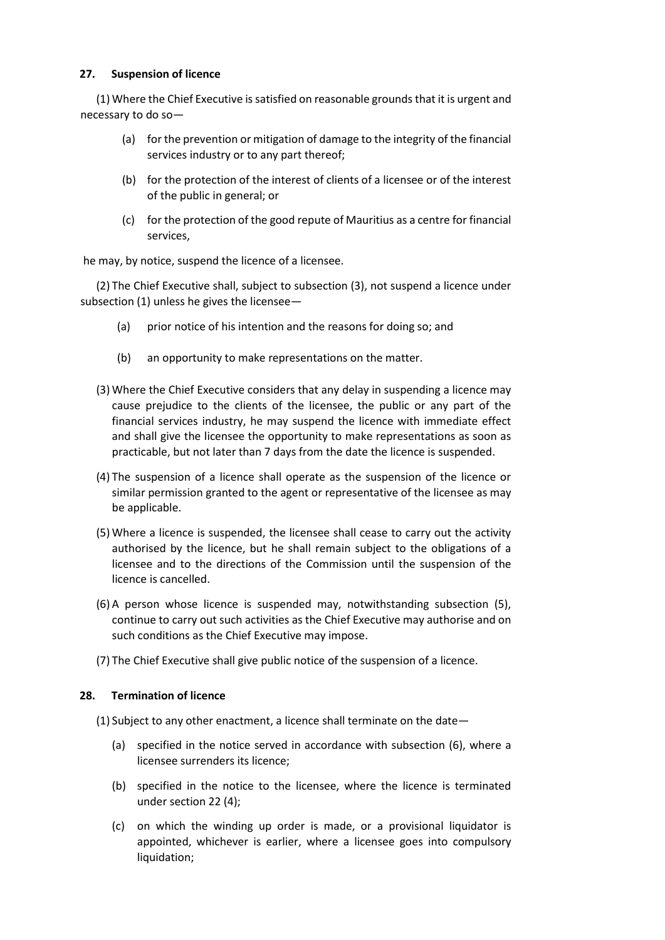# **27. Suspension of licence**

(1) Where the Chief Executive is satisfied on reasonable grounds that it is urgent and necessary to do so—

- (a) for the prevention or mitigation of damage to the integrity of the financial services industry or to any part thereof;
- (b) for the protection of the interest of clients of a licensee or of the interest of the public in general; or
- (c) for the protection of the good repute of Mauritius as a centre for financial services,

he may, by notice, suspend the licence of a licensee.

(2) The Chief Executive shall, subject to subsection (3), not suspend a licence under subsection (1) unless he gives the licensee—

- (a) prior notice of his intention and the reasons for doing so; and
- (b) an opportunity to make representations on the matter.
- (3) Where the Chief Executive considers that any delay in suspending a licence may cause prejudice to the clients of the licensee, the public or any part of the financial services industry, he may suspend the licence with immediate effect and shall give the licensee the opportunity to make representations as soon as practicable, but not later than 7 days from the date the licence is suspended.
- (4) The suspension of a licence shall operate as the suspension of the licence or similar permission granted to the agent or representative of the licensee as may be applicable.
- (5) Where a licence is suspended, the licensee shall cease to carry out the activity authorised by the licence, but he shall remain subject to the obligations of a licensee and to the directions of the Commission until the suspension of the licence is cancelled.
- (6) A person whose licence is suspended may, notwithstanding subsection (5), continue to carry out such activities as the Chief Executive may authorise and on such conditions as the Chief Executive may impose.
- (7) The Chief Executive shall give public notice of the suspension of a licence.

# **28. Termination of licence**

- (1) Subject to any other enactment, a licence shall terminate on the date—
	- (a) specified in the notice served in accordance with subsection (6), where a licensee surrenders its licence;
	- (b) specified in the notice to the licensee, where the licence is terminated under section 22 (4);
	- (c) on which the winding up order is made, or a provisional liquidator is appointed, whichever is earlier, where a licensee goes into compulsory liquidation;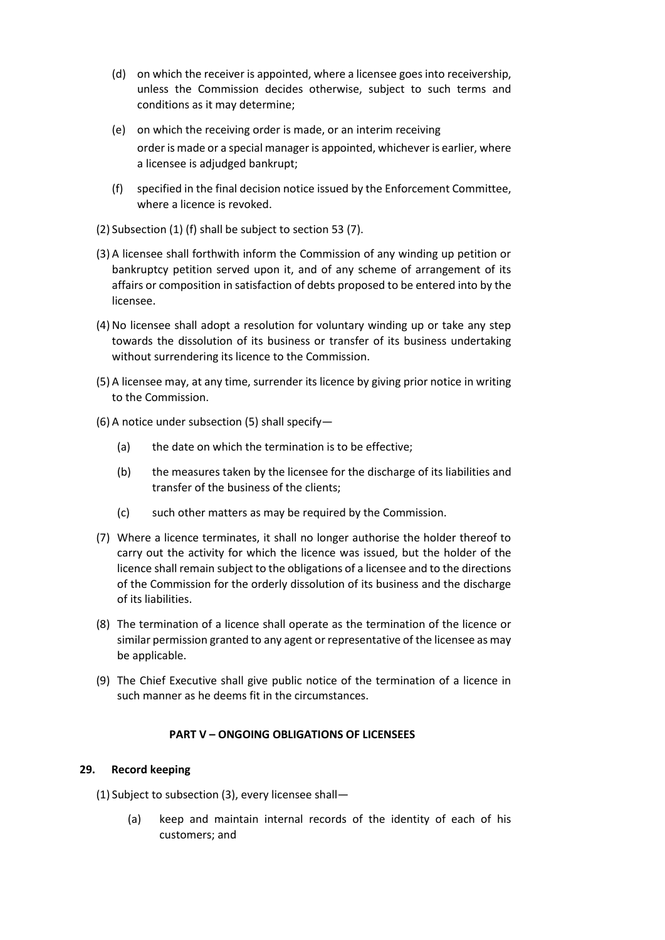- (d) on which the receiver is appointed, where a licensee goes into receivership, unless the Commission decides otherwise, subject to such terms and conditions as it may determine;
- (e) on which the receiving order is made, or an interim receiving order is made or a special manager is appointed, whichever is earlier, where a licensee is adjudged bankrupt;
- (f) specified in the final decision notice issued by the Enforcement Committee, where a licence is revoked.
- (2) Subsection (1) (f) shall be subject to section 53 (7).
- (3) A licensee shall forthwith inform the Commission of any winding up petition or bankruptcy petition served upon it, and of any scheme of arrangement of its affairs or composition in satisfaction of debts proposed to be entered into by the licensee.
- (4) No licensee shall adopt a resolution for voluntary winding up or take any step towards the dissolution of its business or transfer of its business undertaking without surrendering its licence to the Commission.
- (5) A licensee may, at any time, surrender its licence by giving prior notice in writing to the Commission.
- (6) A notice under subsection (5) shall specify—
	- (a) the date on which the termination is to be effective;
	- (b) the measures taken by the licensee for the discharge of its liabilities and transfer of the business of the clients;
	- (c) such other matters as may be required by the Commission.
- (7) Where a licence terminates, it shall no longer authorise the holder thereof to carry out the activity for which the licence was issued, but the holder of the licence shall remain subject to the obligations of a licensee and to the directions of the Commission for the orderly dissolution of its business and the discharge of its liabilities.
- (8) The termination of a licence shall operate as the termination of the licence or similar permission granted to any agent or representative of the licensee as may be applicable.
- (9) The Chief Executive shall give public notice of the termination of a licence in such manner as he deems fit in the circumstances.

## **PART V – ONGOING OBLIGATIONS OF LICENSEES**

## **29. Record keeping**

- (1) Subject to subsection (3), every licensee shall—
	- (a) keep and maintain internal records of the identity of each of his customers; and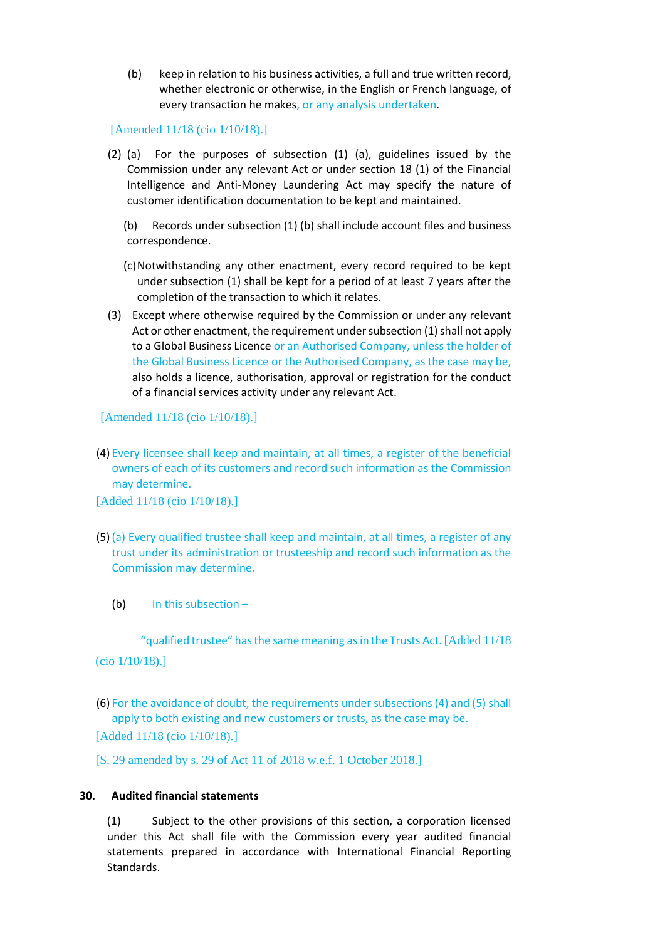(b) keep in relation to his business activities, a full and true written record, whether electronic or otherwise, in the English or French language, of every transaction he makes, or any analysis undertaken.

#### [Amended 11/18 (cio 1/10/18).]

- (2) (a) For the purposes of subsection (1) (a), guidelines issued by the Commission under any relevant Act or under section 18 (1) of the Financial Intelligence and Anti-Money Laundering Act may specify the nature of customer identification documentation to be kept and maintained.
	- (b) Records under subsection (1) (b) shall include account files and business correspondence.
	- (c)Notwithstanding any other enactment, every record required to be kept under subsection (1) shall be kept for a period of at least 7 years after the completion of the transaction to which it relates.
- (3) Except where otherwise required by the Commission or under any relevant Act or other enactment, the requirement under subsection (1) shall not apply to a Global Business Licence or an Authorised Company, unless the holder of the Global Business Licence or the Authorised Company, as the case may be, also holds a licence, authorisation, approval or registration for the conduct of a financial services activity under any relevant Act.

[Amended 11/18 (cio 1/10/18).]

(4) Every licensee shall keep and maintain, at all times, a register of the beneficial owners of each of its customers and record such information as the Commission may determine.

[Added 11/18 (cio 1/10/18).]

- (5) (a) Every qualified trustee shall keep and maintain, at all times, a register of any trust under its administration or trusteeship and record such information as the Commission may determine.
	- (b) In this subsection –

"qualified trustee" has the same meaning as in the Trusts Act. [Added 11/18

(cio 1/10/18).]

(6) For the avoidance of doubt, the requirements under subsections (4) and (5) shall apply to both existing and new customers or trusts, as the case may be.

[Added 11/18 (cio 1/10/18).]

[S. 29 amended by s. 29 of Act 11 of 2018 w.e.f. 1 October 2018.]

#### **30. Audited financial statements**

(1) Subject to the other provisions of this section, a corporation licensed under this Act shall file with the Commission every year audited financial statements prepared in accordance with International Financial Reporting Standards.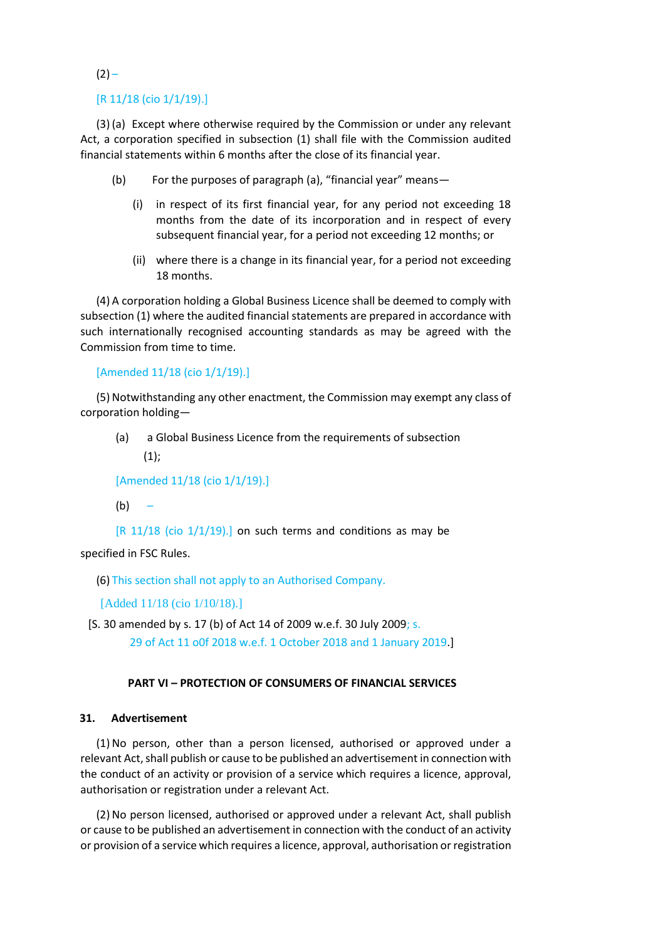# $(2) -$

#### [R 11/18 (cio 1/1/19).]

(3) (a) Except where otherwise required by the Commission or under any relevant Act, a corporation specified in subsection (1) shall file with the Commission audited financial statements within 6 months after the close of its financial year.

- (b) For the purposes of paragraph (a), "financial year" means—
	- (i) in respect of its first financial year, for any period not exceeding 18 months from the date of its incorporation and in respect of every subsequent financial year, for a period not exceeding 12 months; or
	- (ii) where there is a change in its financial year, for a period not exceeding 18 months.

(4) A corporation holding a Global Business Licence shall be deemed to comply with subsection (1) where the audited financial statements are prepared in accordance with such internationally recognised accounting standards as may be agreed with the Commission from time to time.

#### [Amended 11/18 (cio 1/1/19).]

(5) Notwithstanding any other enactment, the Commission may exempt any class of corporation holding—

(a) a Global Business Licence from the requirements of subsection  $(1);$ 

[Amended 11/18 (cio 1/1/19).]

 $(b) -$ 

 $[R 11/18$  (cio  $1/1/19$ ).] on such terms and conditions as may be

specified in FSC Rules.

(6) This section shall not apply to an Authorised Company.

[Added 11/18 (cio 1/10/18).]

[S. 30 amended by s. 17 (b) of Act 14 of 2009 w.e.f. 30 July 2009; s. 29 of Act 11 o0f 2018 w.e.f. 1 October 2018 and 1 January 2019.]

#### **PART VI – PROTECTION OF CONSUMERS OF FINANCIAL SERVICES**

#### **31. Advertisement**

(1) No person, other than a person licensed, authorised or approved under a relevant Act, shall publish or cause to be published an advertisement in connection with the conduct of an activity or provision of a service which requires a licence, approval, authorisation or registration under a relevant Act.

(2) No person licensed, authorised or approved under a relevant Act, shall publish or cause to be published an advertisement in connection with the conduct of an activity or provision of a service which requires a licence, approval, authorisation or registration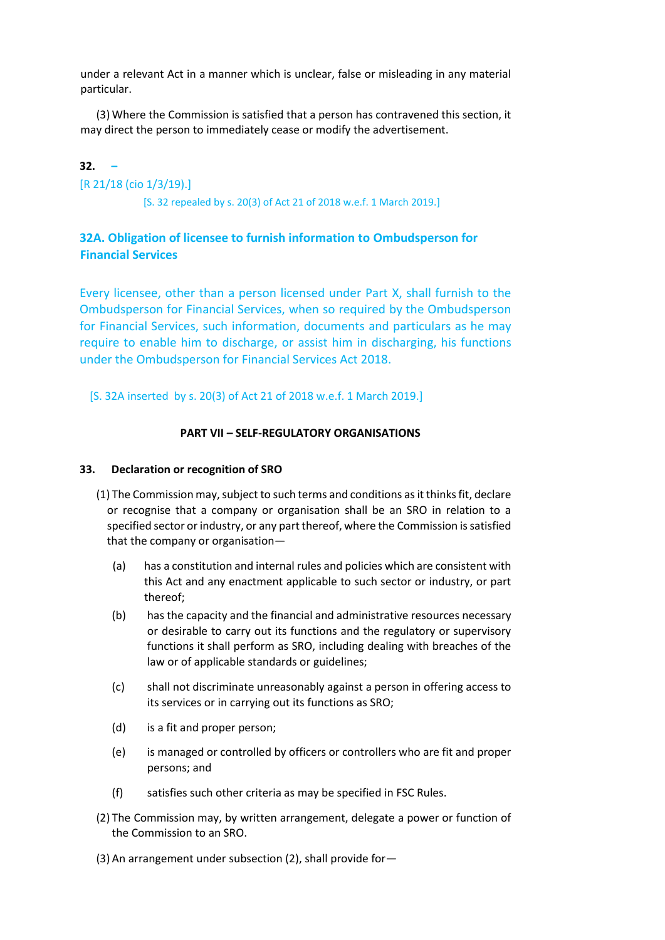under a relevant Act in a manner which is unclear, false or misleading in any material particular.

(3) Where the Commission is satisfied that a person has contravened this section, it may direct the person to immediately cease or modify the advertisement.

## **32. –**

[R 21/18 (cio 1/3/19).]

[S. 32 repealed by s. 20(3) of Act 21 of 2018 w.e.f. 1 March 2019.]

# **32A. Obligation of licensee to furnish information to Ombudsperson for Financial Services**

Every licensee, other than a person licensed under Part X, shall furnish to the Ombudsperson for Financial Services, when so required by the Ombudsperson for Financial Services, such information, documents and particulars as he may require to enable him to discharge, or assist him in discharging, his functions under the Ombudsperson for Financial Services Act 2018.

[S. 32A inserted by s. 20(3) of Act 21 of 2018 w.e.f. 1 March 2019.]

#### **PART VII – SELF-REGULATORY ORGANISATIONS**

#### **33. Declaration or recognition of SRO**

- (1) The Commission may, subject to such terms and conditions as it thinks fit, declare or recognise that a company or organisation shall be an SRO in relation to a specified sector or industry, or any part thereof, where the Commission is satisfied that the company or organisation—
	- (a) has a constitution and internal rules and policies which are consistent with this Act and any enactment applicable to such sector or industry, or part thereof;
	- (b) has the capacity and the financial and administrative resources necessary or desirable to carry out its functions and the regulatory or supervisory functions it shall perform as SRO, including dealing with breaches of the law or of applicable standards or guidelines;
	- (c) shall not discriminate unreasonably against a person in offering access to its services or in carrying out its functions as SRO;
	- (d) is a fit and proper person;
	- (e) is managed or controlled by officers or controllers who are fit and proper persons; and
	- (f) satisfies such other criteria as may be specified in FSC Rules.
- (2) The Commission may, by written arrangement, delegate a power or function of the Commission to an SRO.
- (3) An arrangement under subsection (2), shall provide for—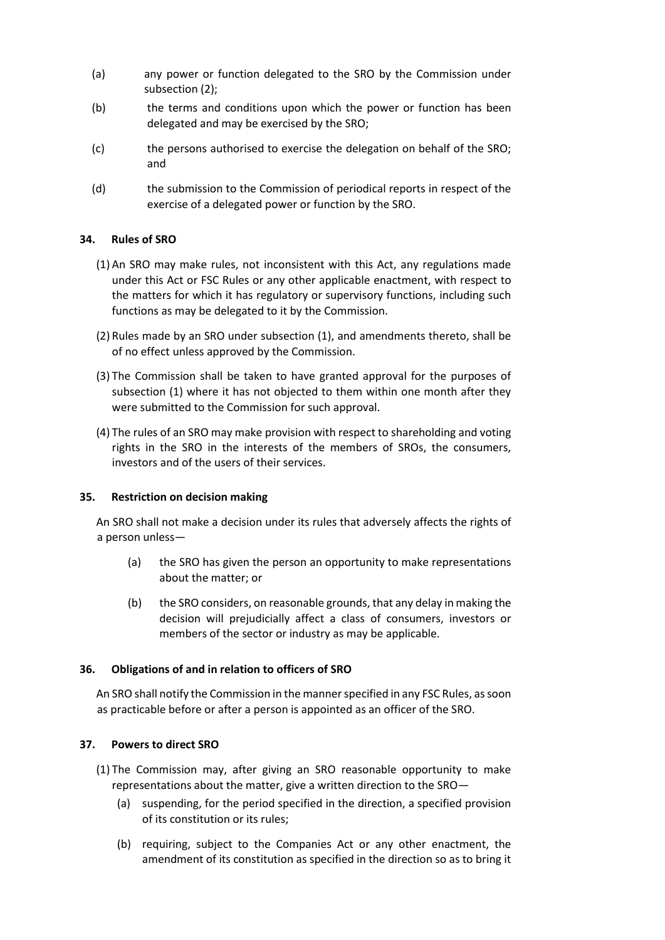- (a) any power or function delegated to the SRO by the Commission under subsection (2);
- (b) the terms and conditions upon which the power or function has been delegated and may be exercised by the SRO;
- (c) the persons authorised to exercise the delegation on behalf of the SRO; and
- (d) the submission to the Commission of periodical reports in respect of the exercise of a delegated power or function by the SRO.

# **34. Rules of SRO**

- (1) An SRO may make rules, not inconsistent with this Act, any regulations made under this Act or FSC Rules or any other applicable enactment, with respect to the matters for which it has regulatory or supervisory functions, including such functions as may be delegated to it by the Commission.
- (2) Rules made by an SRO under subsection (1), and amendments thereto, shall be of no effect unless approved by the Commission.
- (3) The Commission shall be taken to have granted approval for the purposes of subsection (1) where it has not objected to them within one month after they were submitted to the Commission for such approval.
- (4) The rules of an SRO may make provision with respect to shareholding and voting rights in the SRO in the interests of the members of SROs, the consumers, investors and of the users of their services.

## **35. Restriction on decision making**

An SRO shall not make a decision under its rules that adversely affects the rights of a person unless—

- (a) the SRO has given the person an opportunity to make representations about the matter; or
- (b) the SRO considers, on reasonable grounds, that any delay in making the decision will prejudicially affect a class of consumers, investors or members of the sector or industry as may be applicable.

## **36. Obligations of and in relation to officers of SRO**

An SRO shall notify the Commission in the manner specified in any FSC Rules, as soon as practicable before or after a person is appointed as an officer of the SRO.

## **37. Powers to direct SRO**

- (1) The Commission may, after giving an SRO reasonable opportunity to make representations about the matter, give a written direction to the SRO—
	- (a) suspending, for the period specified in the direction, a specified provision of its constitution or its rules;
	- (b) requiring, subject to the Companies Act or any other enactment, the amendment of its constitution as specified in the direction so as to bring it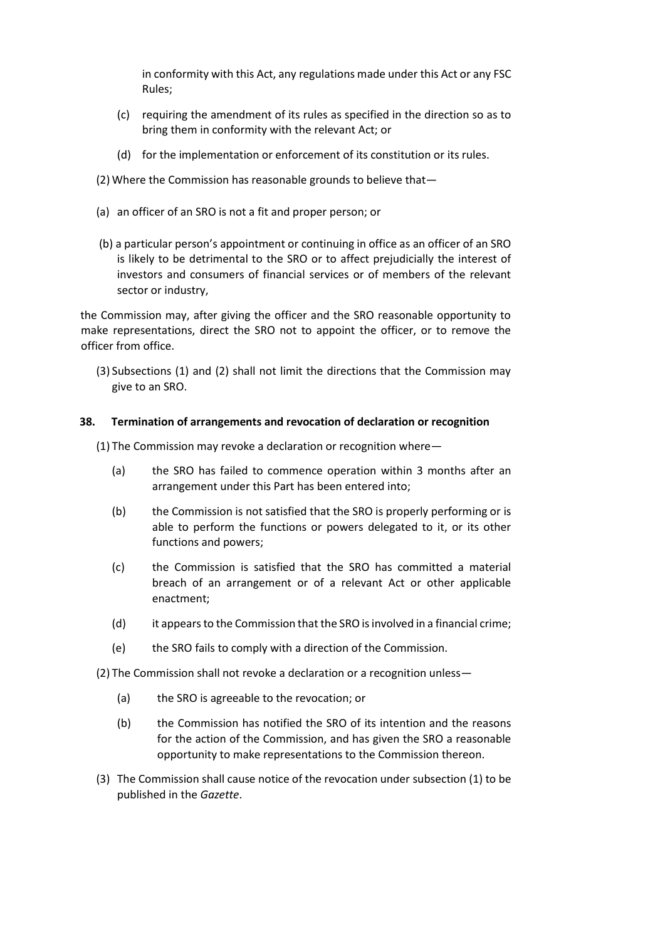in conformity with this Act, any regulations made under this Act or any FSC Rules;

- (c) requiring the amendment of its rules as specified in the direction so as to bring them in conformity with the relevant Act; or
- (d) for the implementation or enforcement of its constitution or its rules.
- (2) Where the Commission has reasonable grounds to believe that—
- (a) an officer of an SRO is not a fit and proper person; or
- (b) a particular person's appointment or continuing in office as an officer of an SRO is likely to be detrimental to the SRO or to affect prejudicially the interest of investors and consumers of financial services or of members of the relevant sector or industry,

the Commission may, after giving the officer and the SRO reasonable opportunity to make representations, direct the SRO not to appoint the officer, or to remove the officer from office.

(3) Subsections (1) and (2) shall not limit the directions that the Commission may give to an SRO.

#### **38. Termination of arrangements and revocation of declaration or recognition**

(1) The Commission may revoke a declaration or recognition where—

- (a) the SRO has failed to commence operation within 3 months after an arrangement under this Part has been entered into;
- (b) the Commission is not satisfied that the SRO is properly performing or is able to perform the functions or powers delegated to it, or its other functions and powers;
- (c) the Commission is satisfied that the SRO has committed a material breach of an arrangement or of a relevant Act or other applicable enactment;
- (d) it appears to the Commission that the SRO is involved in a financial crime;
- (e) the SRO fails to comply with a direction of the Commission.

(2) The Commission shall not revoke a declaration or a recognition unless—

- (a) the SRO is agreeable to the revocation; or
- (b) the Commission has notified the SRO of its intention and the reasons for the action of the Commission, and has given the SRO a reasonable opportunity to make representations to the Commission thereon.
- (3) The Commission shall cause notice of the revocation under subsection (1) to be published in the *Gazette*.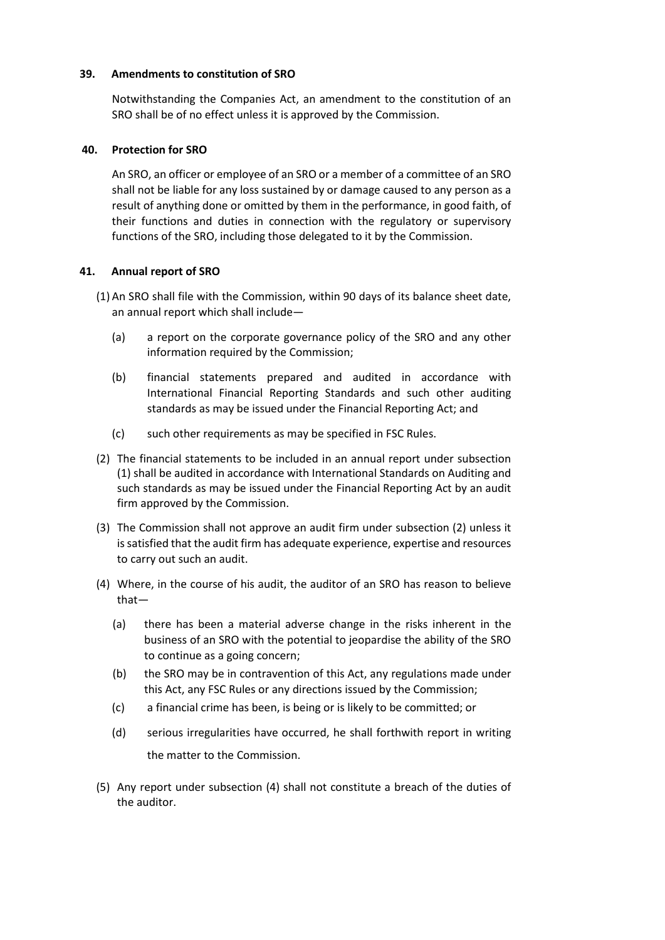## **39. Amendments to constitution of SRO**

Notwithstanding the Companies Act, an amendment to the constitution of an SRO shall be of no effect unless it is approved by the Commission.

## **40. Protection for SRO**

An SRO, an officer or employee of an SRO or a member of a committee of an SRO shall not be liable for any loss sustained by or damage caused to any person as a result of anything done or omitted by them in the performance, in good faith, of their functions and duties in connection with the regulatory or supervisory functions of the SRO, including those delegated to it by the Commission.

# **41. Annual report of SRO**

- (1) An SRO shall file with the Commission, within 90 days of its balance sheet date, an annual report which shall include—
	- (a) a report on the corporate governance policy of the SRO and any other information required by the Commission;
	- (b) financial statements prepared and audited in accordance with International Financial Reporting Standards and such other auditing standards as may be issued under the Financial Reporting Act; and
	- (c) such other requirements as may be specified in FSC Rules.
- (2) The financial statements to be included in an annual report under subsection (1) shall be audited in accordance with International Standards on Auditing and such standards as may be issued under the Financial Reporting Act by an audit firm approved by the Commission.
- (3) The Commission shall not approve an audit firm under subsection (2) unless it is satisfied that the audit firm has adequate experience, expertise and resources to carry out such an audit.
- (4) Where, in the course of his audit, the auditor of an SRO has reason to believe that—
	- (a) there has been a material adverse change in the risks inherent in the business of an SRO with the potential to jeopardise the ability of the SRO to continue as a going concern;
	- (b) the SRO may be in contravention of this Act, any regulations made under this Act, any FSC Rules or any directions issued by the Commission;
	- (c) a financial crime has been, is being or is likely to be committed; or
	- (d) serious irregularities have occurred, he shall forthwith report in writing the matter to the Commission.
- (5) Any report under subsection (4) shall not constitute a breach of the duties of the auditor.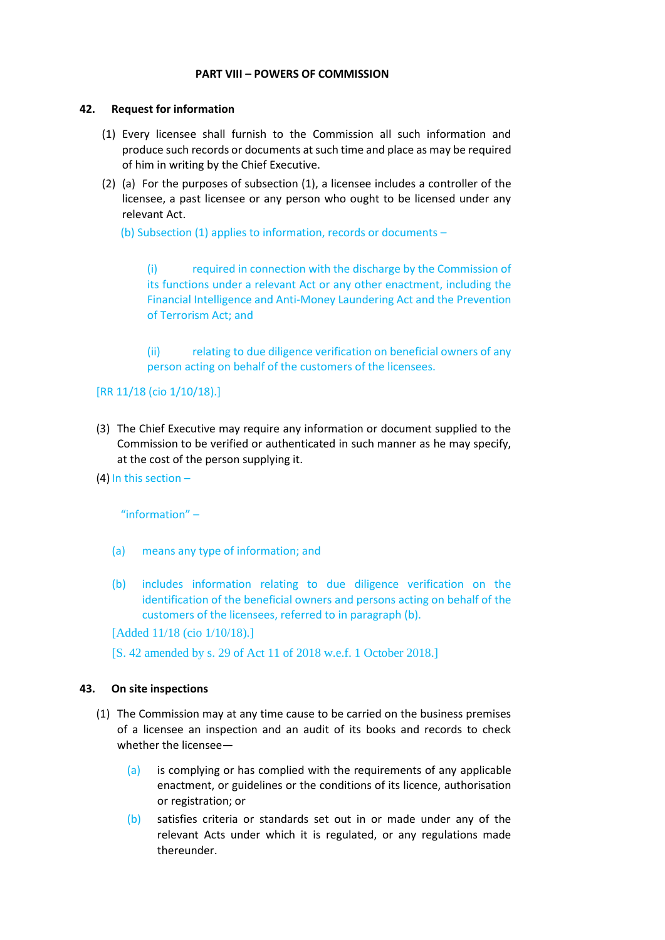## **PART VIII – POWERS OF COMMISSION**

#### **42. Request for information**

- (1) Every licensee shall furnish to the Commission all such information and produce such records or documents at such time and place as may be required of him in writing by the Chief Executive.
- (2) (a) For the purposes of subsection (1), a licensee includes a controller of the licensee, a past licensee or any person who ought to be licensed under any relevant Act.

(b) Subsection (1) applies to information, records or documents –

(i) required in connection with the discharge by the Commission of its functions under a relevant Act or any other enactment, including the Financial Intelligence and Anti-Money Laundering Act and the Prevention of Terrorism Act; and

(ii) relating to due diligence verification on beneficial owners of any person acting on behalf of the customers of the licensees.

#### [RR 11/18 (cio 1/10/18).]

- (3) The Chief Executive may require any information or document supplied to the Commission to be verified or authenticated in such manner as he may specify, at the cost of the person supplying it.
- (4) In this section –

"information" –

- (a) means any type of information; and
- (b) includes information relating to due diligence verification on the identification of the beneficial owners and persons acting on behalf of the customers of the licensees, referred to in paragraph (b).

[Added 11/18 (cio 1/10/18).]

[S. 42 amended by s. 29 of Act 11 of 2018 w.e.f. 1 October 2018.]

#### **43. On site inspections**

- (1) The Commission may at any time cause to be carried on the business premises of a licensee an inspection and an audit of its books and records to check whether the licensee—
	- (a) is complying or has complied with the requirements of any applicable enactment, or guidelines or the conditions of its licence, authorisation or registration; or
	- (b) satisfies criteria or standards set out in or made under any of the relevant Acts under which it is regulated, or any regulations made thereunder.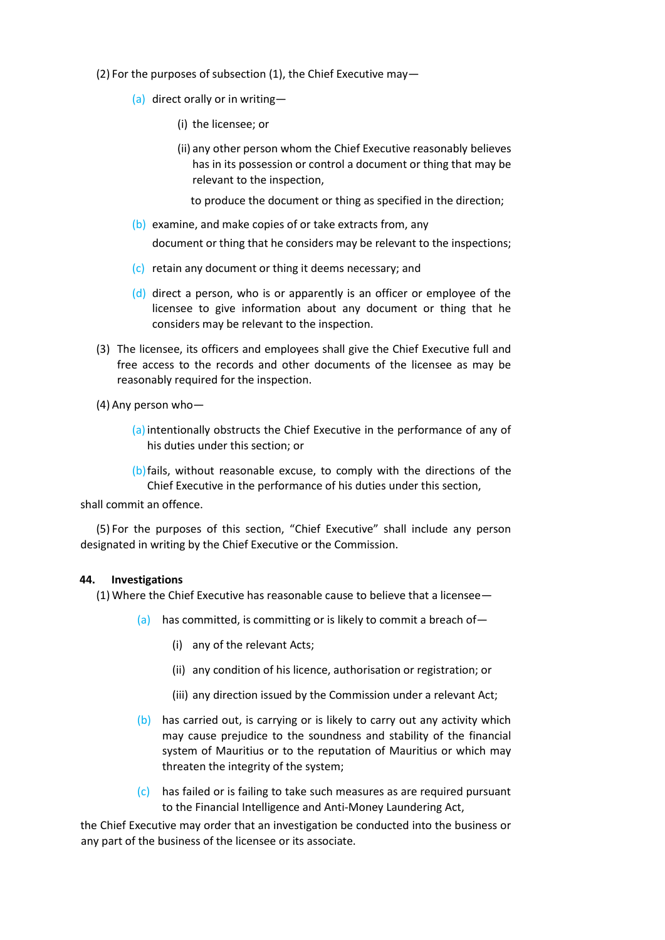- (2) For the purposes of subsection (1), the Chief Executive may—
	- (a) direct orally or in writing—
		- (i) the licensee; or
		- (ii) any other person whom the Chief Executive reasonably believes has in its possession or control a document or thing that may be relevant to the inspection,
			- to produce the document or thing as specified in the direction;
	- (b) examine, and make copies of or take extracts from, any document or thing that he considers may be relevant to the inspections;
	- (c) retain any document or thing it deems necessary; and
	- (d) direct a person, who is or apparently is an officer or employee of the licensee to give information about any document or thing that he considers may be relevant to the inspection.
- (3) The licensee, its officers and employees shall give the Chief Executive full and free access to the records and other documents of the licensee as may be reasonably required for the inspection.
- (4) Any person who—
	- (a)intentionally obstructs the Chief Executive in the performance of any of his duties under this section; or
	- (b)fails, without reasonable excuse, to comply with the directions of the Chief Executive in the performance of his duties under this section,

shall commit an offence.

(5) For the purposes of this section, "Chief Executive" shall include any person designated in writing by the Chief Executive or the Commission.

#### **44. Investigations**

(1) Where the Chief Executive has reasonable cause to believe that a licensee—

- (a) has committed, is committing or is likely to commit a breach of-
	- (i) any of the relevant Acts;
	- (ii) any condition of his licence, authorisation or registration; or
	- (iii) any direction issued by the Commission under a relevant Act;
- (b) has carried out, is carrying or is likely to carry out any activity which may cause prejudice to the soundness and stability of the financial system of Mauritius or to the reputation of Mauritius or which may threaten the integrity of the system;
- (c) has failed or is failing to take such measures as are required pursuant to the Financial Intelligence and Anti-Money Laundering Act,

the Chief Executive may order that an investigation be conducted into the business or any part of the business of the licensee or its associate.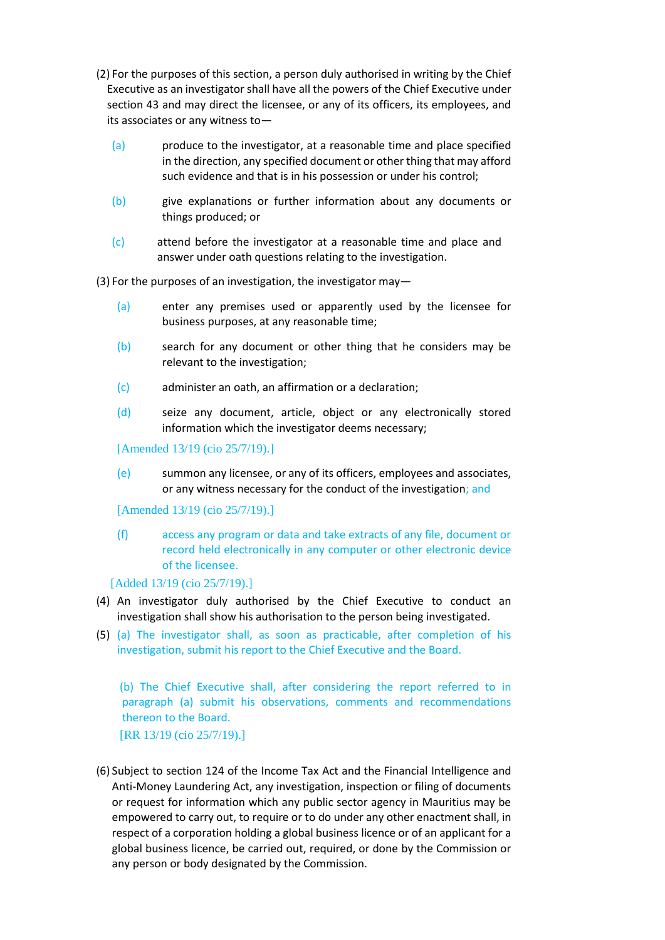- (2) For the purposes of this section, a person duly authorised in writing by the Chief Executive as an investigator shall have all the powers of the Chief Executive under section 43 and may direct the licensee, or any of its officers, its employees, and its associates or any witness to—
	- (a) produce to the investigator, at a reasonable time and place specified in the direction, any specified document or other thing that may afford such evidence and that is in his possession or under his control;
	- (b) give explanations or further information about any documents or things produced; or
	- (c) attend before the investigator at a reasonable time and place and answer under oath questions relating to the investigation.

(3) For the purposes of an investigation, the investigator may—

- (a) enter any premises used or apparently used by the licensee for business purposes, at any reasonable time;
- (b) search for any document or other thing that he considers may be relevant to the investigation;
- (c) administer an oath, an affirmation or a declaration;
- (d) seize any document, article, object or any electronically stored information which the investigator deems necessary;

[Amended 13/19 (cio 25/7/19).]

(e) summon any licensee, or any of its officers, employees and associates, or any witness necessary for the conduct of the investigation; and

[Amended 13/19 (cio 25/7/19).]

(f) access any program or data and take extracts of any file, document or record held electronically in any computer or other electronic device of the licensee.

[Added 13/19 (cio 25/7/19).]

- (4) An investigator duly authorised by the Chief Executive to conduct an investigation shall show his authorisation to the person being investigated.
- (5) (a) The investigator shall, as soon as practicable, after completion of his investigation, submit his report to the Chief Executive and the Board.

(b) The Chief Executive shall, after considering the report referred to in paragraph (a) submit his observations, comments and recommendations thereon to the Board.

[RR 13/19 (cio 25/7/19).]

(6) Subject to section 124 of the Income Tax Act and the Financial Intelligence and Anti-Money Laundering Act, any investigation, inspection or filing of documents or request for information which any public sector agency in Mauritius may be empowered to carry out, to require or to do under any other enactment shall, in respect of a corporation holding a global business licence or of an applicant for a global business licence, be carried out, required, or done by the Commission or any person or body designated by the Commission.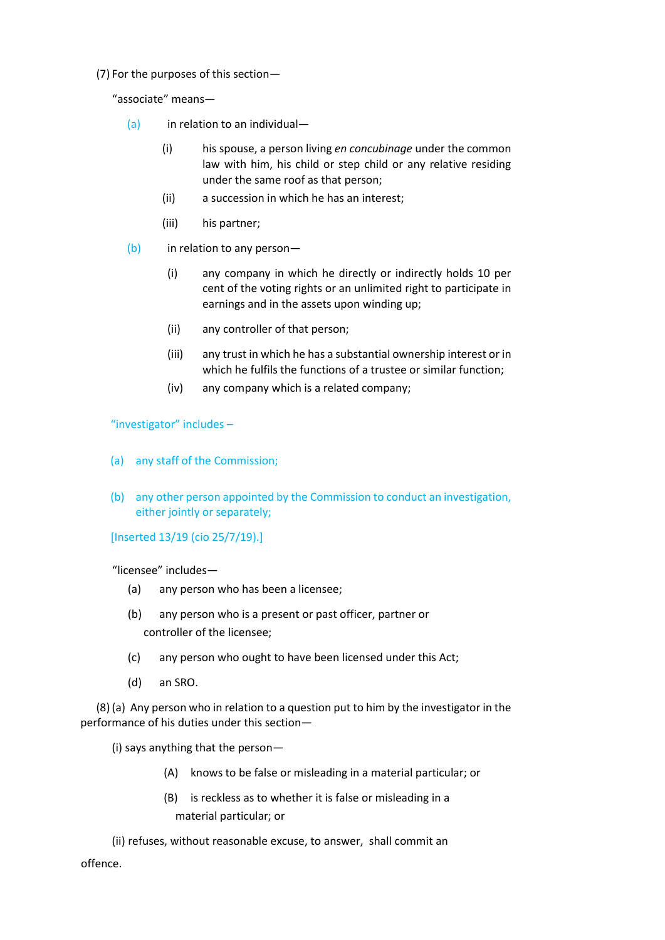(7) For the purposes of this section—

"associate" means—

- $(a)$  in relation to an individual-
	- (i) his spouse, a person living *en concubinage* under the common law with him, his child or step child or any relative residing under the same roof as that person;
	- (ii) a succession in which he has an interest;
	- (iii) his partner;
- (b) in relation to any person—
	- (i) any company in which he directly or indirectly holds 10 per cent of the voting rights or an unlimited right to participate in earnings and in the assets upon winding up;
	- (ii) any controller of that person;
	- (iii) any trust in which he has a substantial ownership interest or in which he fulfils the functions of a trustee or similar function;
	- (iv) any company which is a related company;

"investigator" includes –

- (a) any staff of the Commission;
- (b) any other person appointed by the Commission to conduct an investigation, either jointly or separately;

[Inserted 13/19 (cio 25/7/19).]

"licensee" includes—

- (a) any person who has been a licensee;
- (b) any person who is a present or past officer, partner or controller of the licensee;
- (c) any person who ought to have been licensed under this Act;
- (d) an SRO.

(8) (a) Any person who in relation to a question put to him by the investigator in the performance of his duties under this section—

(i) says anything that the person—

- (A) knows to be false or misleading in a material particular; or
- (B) is reckless as to whether it is false or misleading in a material particular; or

(ii) refuses, without reasonable excuse, to answer, shall commit an offence.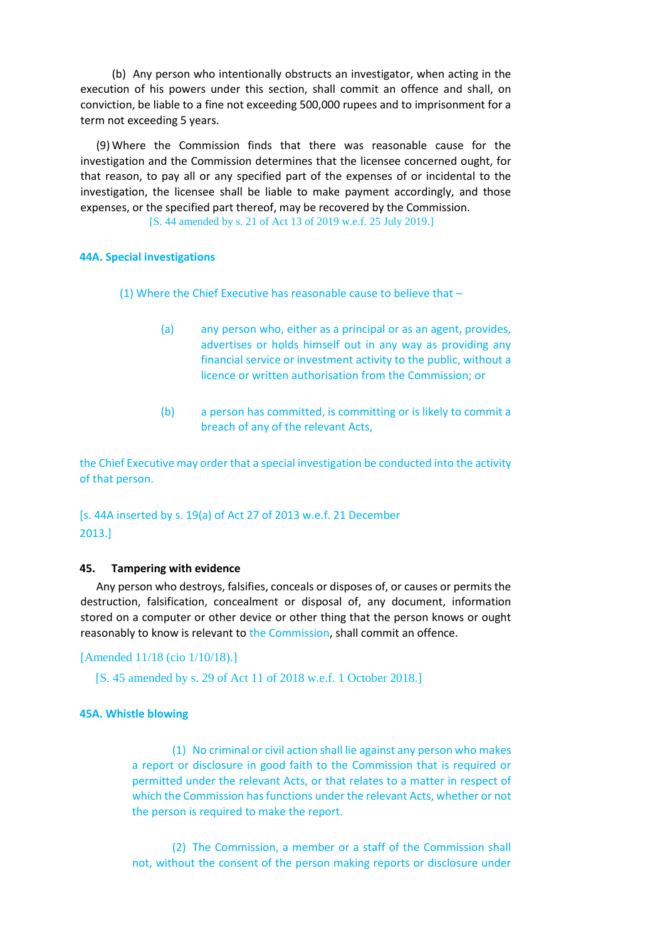(b) Any person who intentionally obstructs an investigator, when acting in the execution of his powers under this section, shall commit an offence and shall, on conviction, be liable to a fine not exceeding 500,000 rupees and to imprisonment for a term not exceeding 5 years.

(9) Where the Commission finds that there was reasonable cause for the investigation and the Commission determines that the licensee concerned ought, for that reason, to pay all or any specified part of the expenses of or incidental to the investigation, the licensee shall be liable to make payment accordingly, and those expenses, or the specified part thereof, may be recovered by the Commission.

[S. 44 amended by s. 21 of Act 13 of 2019 w.e.f. 25 July 2019.]

#### **44A. Special investigations**

(1) Where the Chief Executive has reasonable cause to believe that –

- (a) any person who, either as a principal or as an agent, provides, advertises or holds himself out in any way as providing any financial service or investment activity to the public, without a licence or written authorisation from the Commission; or
- (b) a person has committed, is committing or is likely to commit a breach of any of the relevant Acts,

the Chief Executive may order that a special investigation be conducted into the activity of that person.

# [s. 44A inserted by s. 19(a) of Act 27 of 2013 w.e.f. 21 December 2013.]

#### **45. Tampering with evidence**

Any person who destroys, falsifies, conceals or disposes of, or causes or permits the destruction, falsification, concealment or disposal of, any document, information stored on a computer or other device or other thing that the person knows or ought reasonably to know is relevant to the Commission, shall commit an offence.

#### [Amended 11/18 (cio 1/10/18).]

[S. 45 amended by s. 29 of Act 11 of 2018 w.e.f. 1 October 2018.]

#### **45A. Whistle blowing**

(1) No criminal or civil action shall lie against any person who makes a report or disclosure in good faith to the Commission that is required or permitted under the relevant Acts, or that relates to a matter in respect of which the Commission has functions under the relevant Acts, whether or not the person is required to make the report.

(2) The Commission, a member or a staff of the Commission shall not, without the consent of the person making reports or disclosure under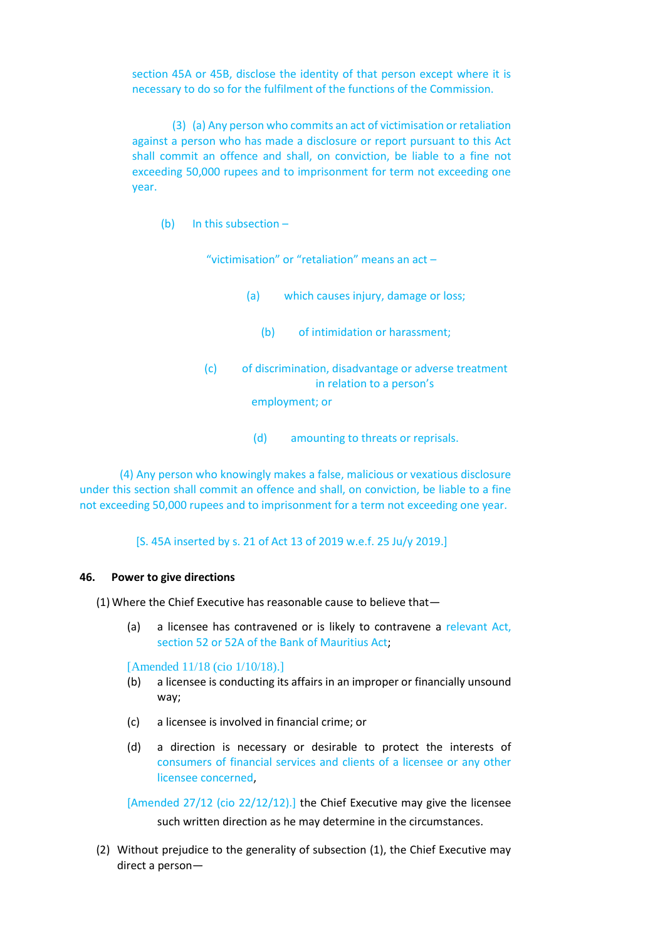section 45A or 45B, disclose the identity of that person except where it is necessary to do so for the fulfilment of the functions of the Commission.

(3) (a) Any person who commits an act of victimisation or retaliation against a person who has made a disclosure or report pursuant to this Act shall commit an offence and shall, on conviction, be liable to a fine not exceeding 50,000 rupees and to imprisonment for term not exceeding one year.

(b) In this subsection –

"victimisation" or "retaliation" means an act –

- (a) which causes injury, damage or loss;
	- (b) of intimidation or harassment;
- (c) of discrimination, disadvantage or adverse treatment in relation to a person's

employment; or

(d) amounting to threats or reprisals.

(4) Any person who knowingly makes a false, malicious or vexatious disclosure under this section shall commit an offence and shall, on conviction, be liable to a fine not exceeding 50,000 rupees and to imprisonment for a term not exceeding one year.

[S. 45A inserted by s. 21 of Act 13 of 2019 w.e.f. 25 Ju/y 2019.]

#### **46. Power to give directions**

(1) Where the Chief Executive has reasonable cause to believe that—

(a) a licensee has contravened or is likely to contravene a relevant Act, section 52 or 52A of the Bank of Mauritius Act;

[Amended 11/18 (cio 1/10/18).]

- (b) a licensee is conducting its affairs in an improper or financially unsound way;
- (c) a licensee is involved in financial crime; or
- (d) a direction is necessary or desirable to protect the interests of consumers of financial services and clients of a licensee or any other licensee concerned,

[Amended 27/12 (cio 22/12/12).] the Chief Executive may give the licensee such written direction as he may determine in the circumstances.

(2) Without prejudice to the generality of subsection (1), the Chief Executive may direct a person—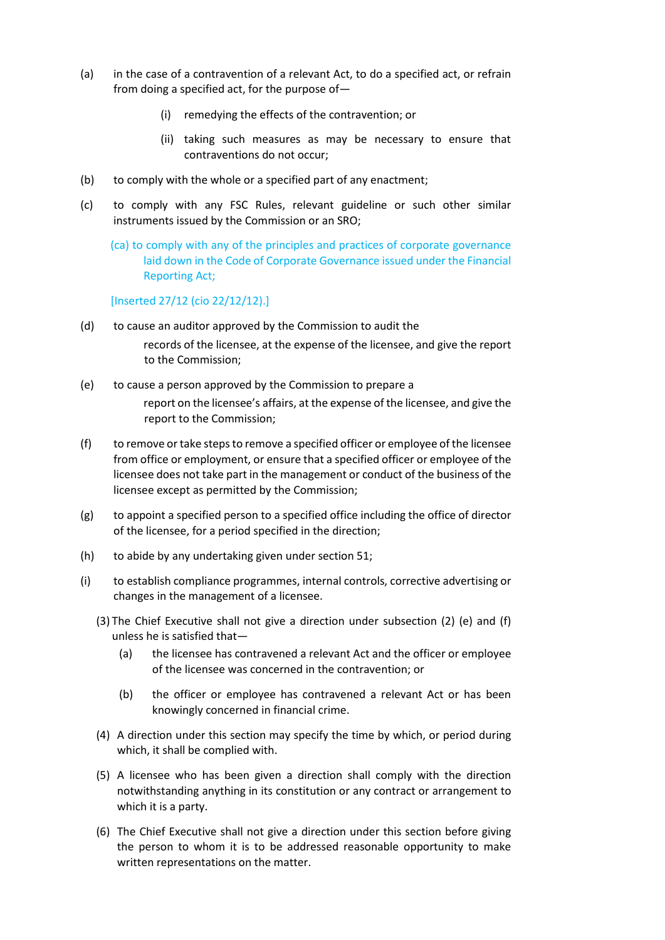- (a) in the case of a contravention of a relevant Act, to do a specified act, or refrain from doing a specified act, for the purpose of—
	- (i) remedying the effects of the contravention; or
	- (ii) taking such measures as may be necessary to ensure that contraventions do not occur;
- (b) to comply with the whole or a specified part of any enactment;
- (c) to comply with any FSC Rules, relevant guideline or such other similar instruments issued by the Commission or an SRO;
	- (ca) to comply with any of the principles and practices of corporate governance laid down in the Code of Corporate Governance issued under the Financial Reporting Act;

## [Inserted 27/12 (cio 22/12/12).]

- (d) to cause an auditor approved by the Commission to audit the records of the licensee, at the expense of the licensee, and give the report to the Commission;
- (e) to cause a person approved by the Commission to prepare a report on the licensee's affairs, at the expense of the licensee, and give the report to the Commission;
- (f) to remove or take steps to remove a specified officer or employee of the licensee from office or employment, or ensure that a specified officer or employee of the licensee does not take part in the management or conduct of the business of the licensee except as permitted by the Commission;
- (g) to appoint a specified person to a specified office including the office of director of the licensee, for a period specified in the direction;
- (h) to abide by any undertaking given under section 51;
- (i) to establish compliance programmes, internal controls, corrective advertising or changes in the management of a licensee.
	- (3) The Chief Executive shall not give a direction under subsection (2) (e) and (f) unless he is satisfied that—
		- (a) the licensee has contravened a relevant Act and the officer or employee of the licensee was concerned in the contravention; or
		- (b) the officer or employee has contravened a relevant Act or has been knowingly concerned in financial crime.
	- (4) A direction under this section may specify the time by which, or period during which, it shall be complied with.
	- (5) A licensee who has been given a direction shall comply with the direction notwithstanding anything in its constitution or any contract or arrangement to which it is a party.
	- (6) The Chief Executive shall not give a direction under this section before giving the person to whom it is to be addressed reasonable opportunity to make written representations on the matter.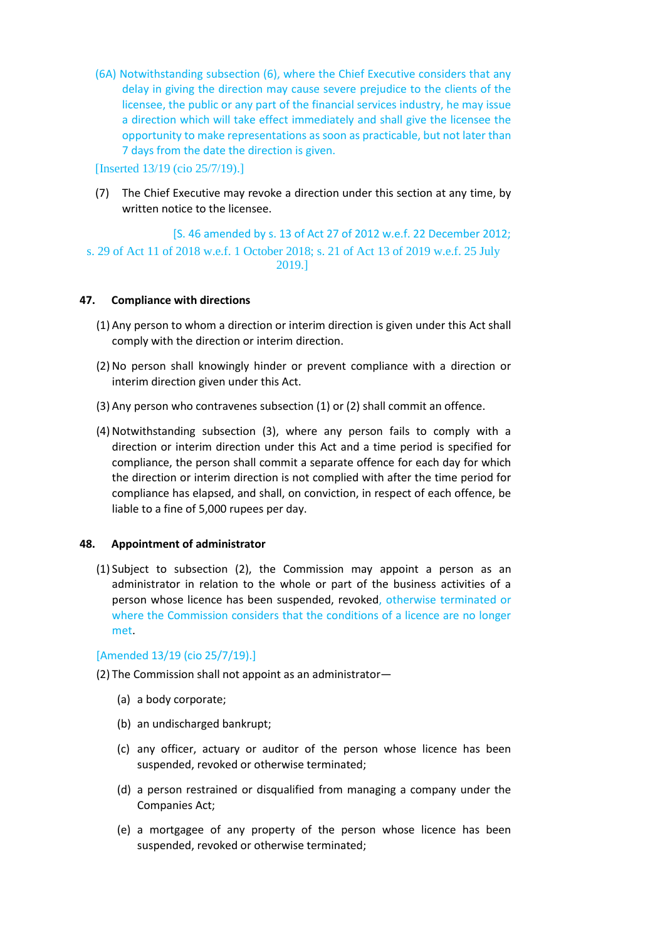(6A) Notwithstanding subsection (6), where the Chief Executive considers that any delay in giving the direction may cause severe prejudice to the clients of the licensee, the public or any part of the financial services industry, he may issue a direction which will take effect immediately and shall give the licensee the opportunity to make representations as soon as practicable, but not later than 7 days from the date the direction is given.

[Inserted 13/19 (cio 25/7/19).]

(7) The Chief Executive may revoke a direction under this section at any time, by written notice to the licensee.

[S. 46 amended by s. 13 of Act 27 of 2012 w.e.f. 22 December 2012; s. 29 of Act 11 of 2018 w.e.f. 1 October 2018; s. 21 of Act 13 of 2019 w.e.f. 25 July 2019.]

## **47. Compliance with directions**

- (1) Any person to whom a direction or interim direction is given under this Act shall comply with the direction or interim direction.
- (2) No person shall knowingly hinder or prevent compliance with a direction or interim direction given under this Act.
- (3) Any person who contravenes subsection (1) or (2) shall commit an offence.
- (4) Notwithstanding subsection (3), where any person fails to comply with a direction or interim direction under this Act and a time period is specified for compliance, the person shall commit a separate offence for each day for which the direction or interim direction is not complied with after the time period for compliance has elapsed, and shall, on conviction, in respect of each offence, be liable to a fine of 5,000 rupees per day.

## **48. Appointment of administrator**

(1) Subject to subsection (2), the Commission may appoint a person as an administrator in relation to the whole or part of the business activities of a person whose licence has been suspended, revoked, otherwise terminated or where the Commission considers that the conditions of a licence are no longer met.

## [Amended 13/19 (cio 25/7/19).]

(2) The Commission shall not appoint as an administrator—

- (a) a body corporate;
- (b) an undischarged bankrupt;
- (c) any officer, actuary or auditor of the person whose licence has been suspended, revoked or otherwise terminated;
- (d) a person restrained or disqualified from managing a company under the Companies Act;
- (e) a mortgagee of any property of the person whose licence has been suspended, revoked or otherwise terminated;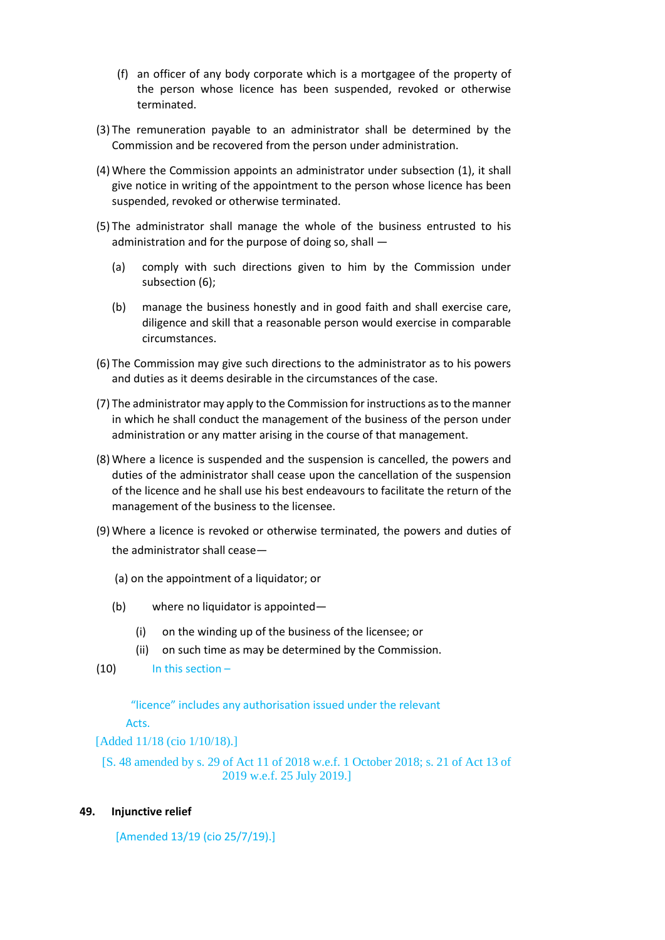- (f) an officer of any body corporate which is a mortgagee of the property of the person whose licence has been suspended, revoked or otherwise terminated.
- (3) The remuneration payable to an administrator shall be determined by the Commission and be recovered from the person under administration.
- (4) Where the Commission appoints an administrator under subsection (1), it shall give notice in writing of the appointment to the person whose licence has been suspended, revoked or otherwise terminated.
- (5) The administrator shall manage the whole of the business entrusted to his administration and for the purpose of doing so, shall —
	- (a) comply with such directions given to him by the Commission under subsection (6);
	- (b) manage the business honestly and in good faith and shall exercise care, diligence and skill that a reasonable person would exercise in comparable circumstances.
- (6) The Commission may give such directions to the administrator as to his powers and duties as it deems desirable in the circumstances of the case.
- (7) The administrator may apply to the Commission for instructions as to the manner in which he shall conduct the management of the business of the person under administration or any matter arising in the course of that management.
- (8) Where a licence is suspended and the suspension is cancelled, the powers and duties of the administrator shall cease upon the cancellation of the suspension of the licence and he shall use his best endeavours to facilitate the return of the management of the business to the licensee.
- (9) Where a licence is revoked or otherwise terminated, the powers and duties of the administrator shall cease—
	- (a) on the appointment of a liquidator; or
	- (b) where no liquidator is appointed—
		- (i) on the winding up of the business of the licensee; or
		- (ii) on such time as may be determined by the Commission.
- $(10)$  In this section –

"licence" includes any authorisation issued under the relevant Acts.

[Added 11/18 (cio 1/10/18).]

[S. 48 amended by s. 29 of Act 11 of 2018 w.e.f. 1 October 2018; s. 21 of Act 13 of 2019 w.e.f. 25 July 2019.]

## **49. Injunctive relief**

[Amended 13/19 (cio 25/7/19).]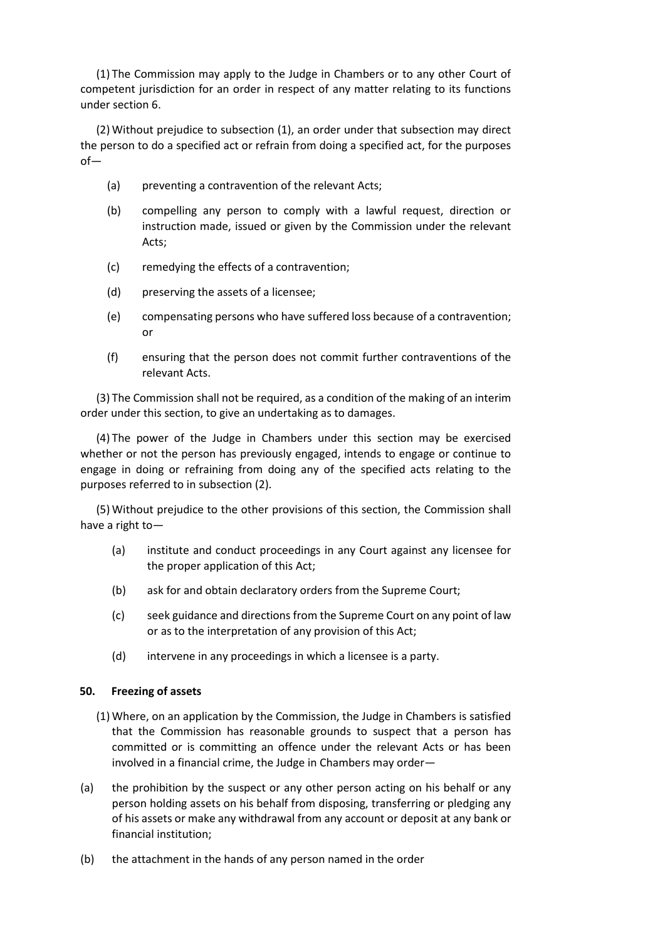(1) The Commission may apply to the Judge in Chambers or to any other Court of competent jurisdiction for an order in respect of any matter relating to its functions under section 6.

(2) Without prejudice to subsection (1), an order under that subsection may direct the person to do a specified act or refrain from doing a specified act, for the purposes of—

- (a) preventing a contravention of the relevant Acts;
- (b) compelling any person to comply with a lawful request, direction or instruction made, issued or given by the Commission under the relevant Acts;
- (c) remedying the effects of a contravention;
- (d) preserving the assets of a licensee;
- (e) compensating persons who have suffered loss because of a contravention; or
- (f) ensuring that the person does not commit further contraventions of the relevant Acts.

(3) The Commission shall not be required, as a condition of the making of an interim order under this section, to give an undertaking as to damages.

(4) The power of the Judge in Chambers under this section may be exercised whether or not the person has previously engaged, intends to engage or continue to engage in doing or refraining from doing any of the specified acts relating to the purposes referred to in subsection (2).

(5) Without prejudice to the other provisions of this section, the Commission shall have a right to—

- (a) institute and conduct proceedings in any Court against any licensee for the proper application of this Act;
- (b) ask for and obtain declaratory orders from the Supreme Court;
- (c) seek guidance and directions from the Supreme Court on any point of law or as to the interpretation of any provision of this Act;
- (d) intervene in any proceedings in which a licensee is a party.

## **50. Freezing of assets**

- (1) Where, on an application by the Commission, the Judge in Chambers is satisfied that the Commission has reasonable grounds to suspect that a person has committed or is committing an offence under the relevant Acts or has been involved in a financial crime, the Judge in Chambers may order—
- (a) the prohibition by the suspect or any other person acting on his behalf or any person holding assets on his behalf from disposing, transferring or pledging any of his assets or make any withdrawal from any account or deposit at any bank or financial institution;
- (b) the attachment in the hands of any person named in the order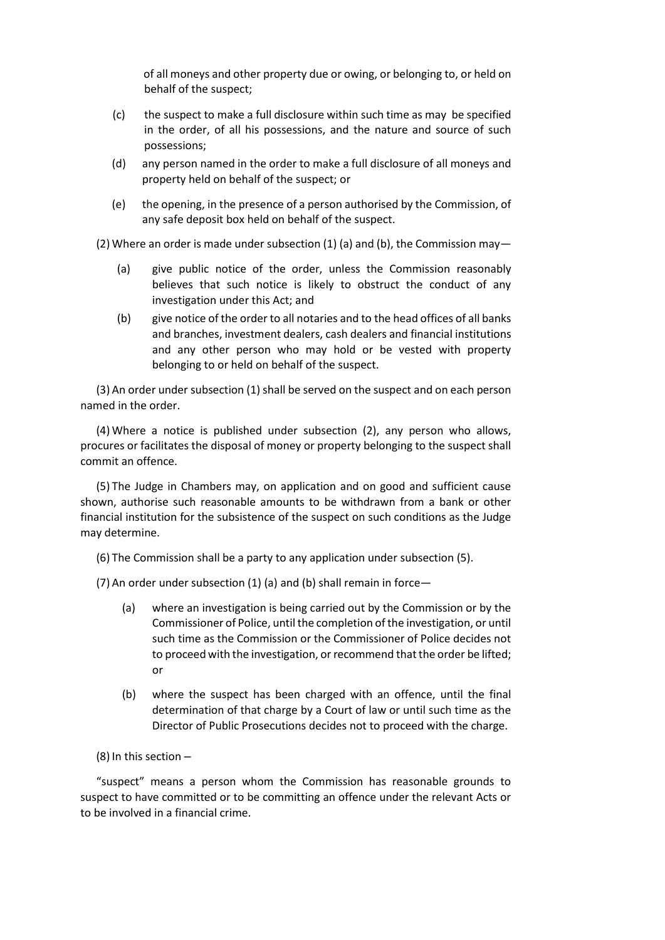of all moneys and other property due or owing, or belonging to, or held on behalf of the suspect;

- (c) the suspect to make a full disclosure within such time as may be specified in the order, of all his possessions, and the nature and source of such possessions;
- (d) any person named in the order to make a full disclosure of all moneys and property held on behalf of the suspect; or
- (e) the opening, in the presence of a person authorised by the Commission, of any safe deposit box held on behalf of the suspect.

(2) Where an order is made under subsection  $(1)$  (a) and (b), the Commission may—

- (a) give public notice of the order, unless the Commission reasonably believes that such notice is likely to obstruct the conduct of any investigation under this Act; and
- (b) give notice of the order to all notaries and to the head offices of all banks and branches, investment dealers, cash dealers and financial institutions and any other person who may hold or be vested with property belonging to or held on behalf of the suspect.

(3) An order under subsection (1) shall be served on the suspect and on each person named in the order.

(4) Where a notice is published under subsection (2), any person who allows, procures or facilitates the disposal of money or property belonging to the suspect shall commit an offence.

(5) The Judge in Chambers may, on application and on good and sufficient cause shown, authorise such reasonable amounts to be withdrawn from a bank or other financial institution for the subsistence of the suspect on such conditions as the Judge may determine.

(6) The Commission shall be a party to any application under subsection (5).

(7) An order under subsection (1) (a) and (b) shall remain in force—

- (a) where an investigation is being carried out by the Commission or by the Commissioner of Police, until the completion of the investigation, or until such time as the Commission or the Commissioner of Police decides not to proceed with the investigation, or recommend that the order be lifted; or
- (b) where the suspect has been charged with an offence, until the final determination of that charge by a Court of law or until such time as the Director of Public Prosecutions decides not to proceed with the charge.

(8) In this section –

"suspect" means a person whom the Commission has reasonable grounds to suspect to have committed or to be committing an offence under the relevant Acts or to be involved in a financial crime.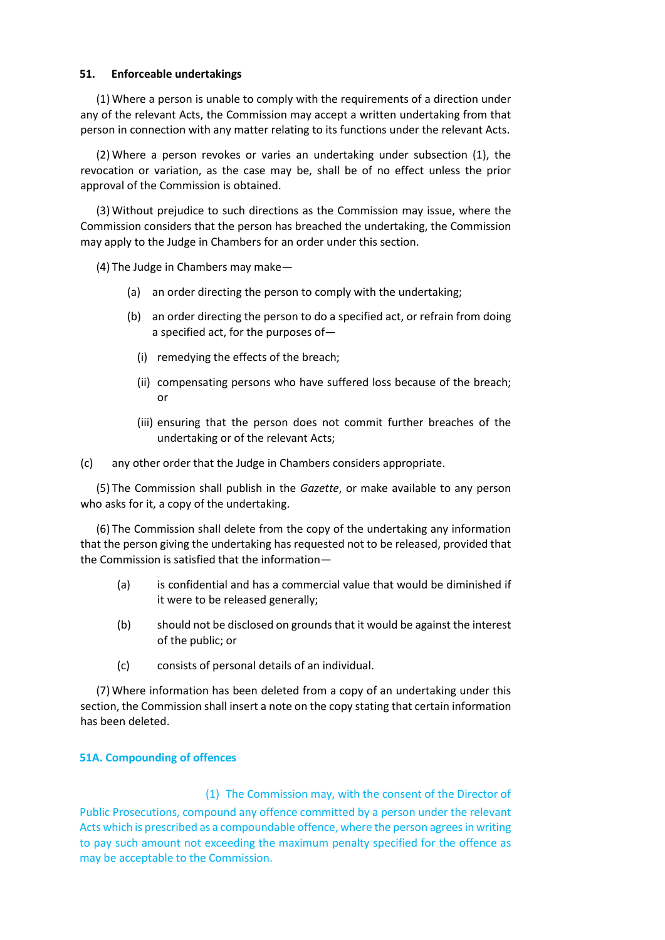#### **51. Enforceable undertakings**

(1) Where a person is unable to comply with the requirements of a direction under any of the relevant Acts, the Commission may accept a written undertaking from that person in connection with any matter relating to its functions under the relevant Acts.

(2) Where a person revokes or varies an undertaking under subsection (1), the revocation or variation, as the case may be, shall be of no effect unless the prior approval of the Commission is obtained.

(3) Without prejudice to such directions as the Commission may issue, where the Commission considers that the person has breached the undertaking, the Commission may apply to the Judge in Chambers for an order under this section.

(4) The Judge in Chambers may make—

- (a) an order directing the person to comply with the undertaking;
- (b) an order directing the person to do a specified act, or refrain from doing a specified act, for the purposes of—
	- (i) remedying the effects of the breach;
	- (ii) compensating persons who have suffered loss because of the breach; or
	- (iii) ensuring that the person does not commit further breaches of the undertaking or of the relevant Acts;

(c) any other order that the Judge in Chambers considers appropriate.

(5) The Commission shall publish in the *Gazette*, or make available to any person who asks for it, a copy of the undertaking.

(6) The Commission shall delete from the copy of the undertaking any information that the person giving the undertaking has requested not to be released, provided that the Commission is satisfied that the information—

- (a) is confidential and has a commercial value that would be diminished if it were to be released generally;
- (b) should not be disclosed on grounds that it would be against the interest of the public; or
- (c) consists of personal details of an individual.

(7) Where information has been deleted from a copy of an undertaking under this section, the Commission shall insert a note on the copy stating that certain information has been deleted.

## **51A. Compounding of offences**

#### (1) The Commission may, with the consent of the Director of

Public Prosecutions, compound any offence committed by a person under the relevant Acts which is prescribed as a compoundable offence, where the person agrees in writing to pay such amount not exceeding the maximum penalty specified for the offence as may be acceptable to the Commission.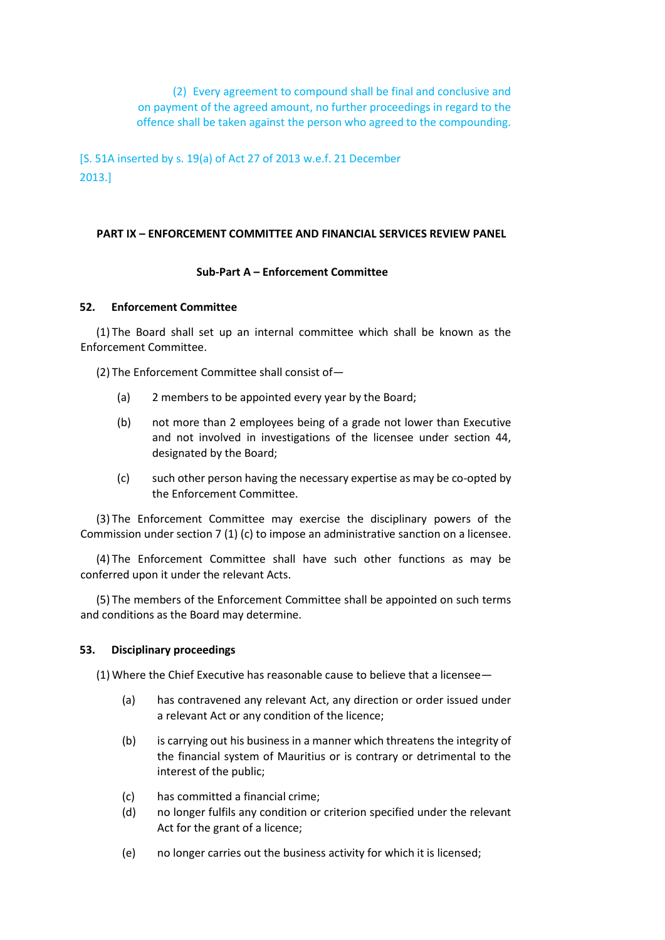(2) Every agreement to compound shall be final and conclusive and on payment of the agreed amount, no further proceedings in regard to the offence shall be taken against the person who agreed to the compounding.

[S. 51A inserted by s. 19(a) of Act 27 of 2013 w.e.f. 21 December 2013.]

#### **PART IX – ENFORCEMENT COMMITTEE AND FINANCIAL SERVICES REVIEW PANEL**

#### **Sub-Part A – Enforcement Committee**

#### **52. Enforcement Committee**

(1) The Board shall set up an internal committee which shall be known as the Enforcement Committee.

(2) The Enforcement Committee shall consist of—

- (a) 2 members to be appointed every year by the Board;
- (b) not more than 2 employees being of a grade not lower than Executive and not involved in investigations of the licensee under section 44, designated by the Board;
- (c) such other person having the necessary expertise as may be co-opted by the Enforcement Committee.

(3) The Enforcement Committee may exercise the disciplinary powers of the Commission under section 7 (1) (c) to impose an administrative sanction on a licensee.

(4) The Enforcement Committee shall have such other functions as may be conferred upon it under the relevant Acts.

(5) The members of the Enforcement Committee shall be appointed on such terms and conditions as the Board may determine.

#### **53. Disciplinary proceedings**

(1) Where the Chief Executive has reasonable cause to believe that a licensee—

- (a) has contravened any relevant Act, any direction or order issued under a relevant Act or any condition of the licence;
- (b) is carrying out his business in a manner which threatens the integrity of the financial system of Mauritius or is contrary or detrimental to the interest of the public;
- (c) has committed a financial crime;
- (d) no longer fulfils any condition or criterion specified under the relevant Act for the grant of a licence;
- (e) no longer carries out the business activity for which it is licensed;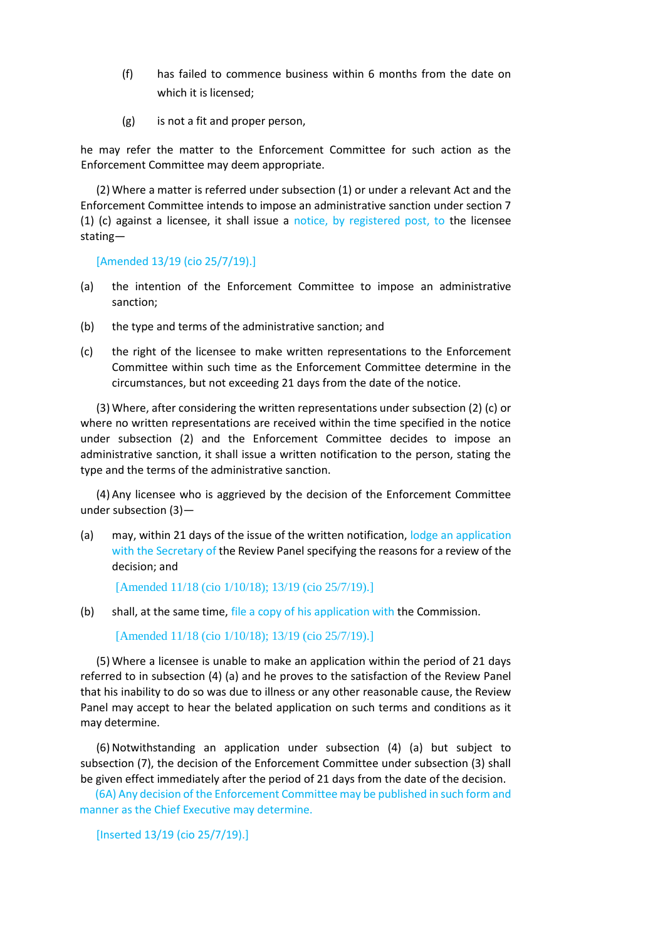- (f) has failed to commence business within 6 months from the date on which it is licensed;
- (g) is not a fit and proper person,

he may refer the matter to the Enforcement Committee for such action as the Enforcement Committee may deem appropriate.

(2) Where a matter is referred under subsection (1) or under a relevant Act and the Enforcement Committee intends to impose an administrative sanction under section 7 (1) (c) against a licensee, it shall issue a notice, by registered post, to the licensee stating—

[Amended 13/19 (cio 25/7/19).]

- (a) the intention of the Enforcement Committee to impose an administrative sanction;
- (b) the type and terms of the administrative sanction; and
- (c) the right of the licensee to make written representations to the Enforcement Committee within such time as the Enforcement Committee determine in the circumstances, but not exceeding 21 days from the date of the notice.

(3) Where, after considering the written representations under subsection (2) (c) or where no written representations are received within the time specified in the notice under subsection (2) and the Enforcement Committee decides to impose an administrative sanction, it shall issue a written notification to the person, stating the type and the terms of the administrative sanction.

(4) Any licensee who is aggrieved by the decision of the Enforcement Committee under subsection (3)—

(a) may, within 21 days of the issue of the written notification, lodge an application with the Secretary of the Review Panel specifying the reasons for a review of the decision; and

[Amended 11/18 (cio 1/10/18); 13/19 (cio 25/7/19).]

(b) shall, at the same time, file a copy of his application with the Commission.

[Amended 11/18 (cio 1/10/18); 13/19 (cio 25/7/19).]

(5) Where a licensee is unable to make an application within the period of 21 days referred to in subsection (4) (a) and he proves to the satisfaction of the Review Panel that his inability to do so was due to illness or any other reasonable cause, the Review Panel may accept to hear the belated application on such terms and conditions as it may determine.

(6) Notwithstanding an application under subsection (4) (a) but subject to subsection (7), the decision of the Enforcement Committee under subsection (3) shall be given effect immediately after the period of 21 days from the date of the decision.

(6A) Any decision of the Enforcement Committee may be published in such form and manner as the Chief Executive may determine.

```
[Inserted 13/19 (cio 25/7/19).]
```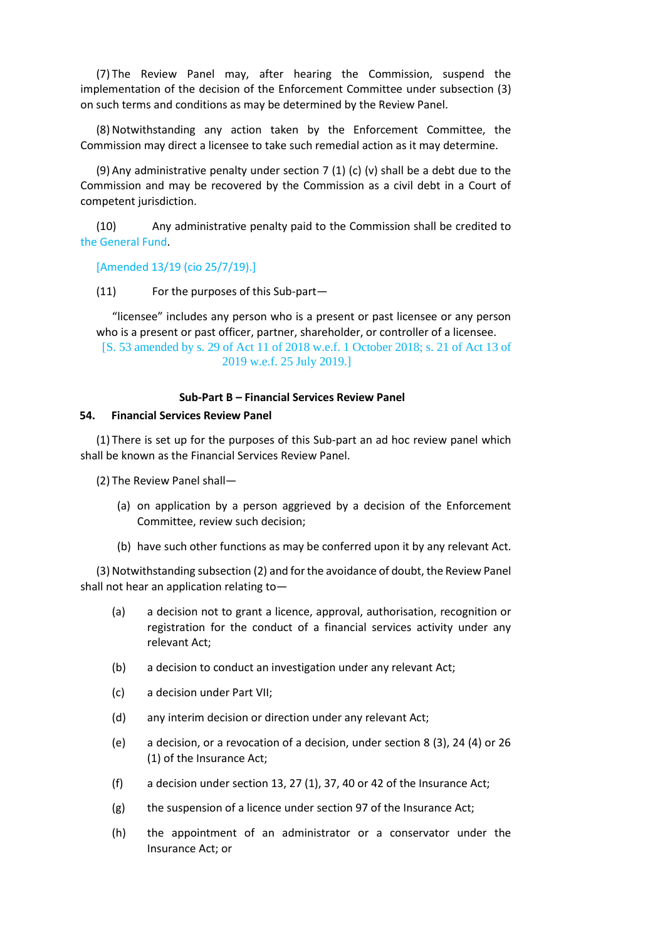(7) The Review Panel may, after hearing the Commission, suspend the implementation of the decision of the Enforcement Committee under subsection (3) on such terms and conditions as may be determined by the Review Panel.

(8) Notwithstanding any action taken by the Enforcement Committee, the Commission may direct a licensee to take such remedial action as it may determine.

(9) Any administrative penalty under section 7 (1) (c) (v) shall be a debt due to the Commission and may be recovered by the Commission as a civil debt in a Court of competent jurisdiction.

(10) Any administrative penalty paid to the Commission shall be credited to the General Fund.

[Amended 13/19 (cio 25/7/19).]

(11) For the purposes of this Sub-part—

"licensee" includes any person who is a present or past licensee or any person who is a present or past officer, partner, shareholder, or controller of a licensee. [S. 53 amended by s. 29 of Act 11 of 2018 w.e.f. 1 October 2018; s. 21 of Act 13 of 2019 w.e.f. 25 July 2019.]

#### **Sub-Part B – Financial Services Review Panel**

#### **54. Financial Services Review Panel**

(1) There is set up for the purposes of this Sub-part an ad hoc review panel which shall be known as the Financial Services Review Panel.

(2) The Review Panel shall—

- (a) on application by a person aggrieved by a decision of the Enforcement Committee, review such decision;
- (b) have such other functions as may be conferred upon it by any relevant Act.

(3) Notwithstanding subsection (2) and for the avoidance of doubt, the Review Panel shall not hear an application relating to—

- (a) a decision not to grant a licence, approval, authorisation, recognition or registration for the conduct of a financial services activity under any relevant Act;
- (b) a decision to conduct an investigation under any relevant Act;
- (c) a decision under Part VII;
- (d) any interim decision or direction under any relevant Act;
- (e) a decision, or a revocation of a decision, under section 8 (3), 24 (4) or 26 (1) of the Insurance Act;
- (f) a decision under section 13, 27 (1), 37, 40 or 42 of the Insurance Act;
- (g) the suspension of a licence under section 97 of the Insurance Act;
- (h) the appointment of an administrator or a conservator under the Insurance Act; or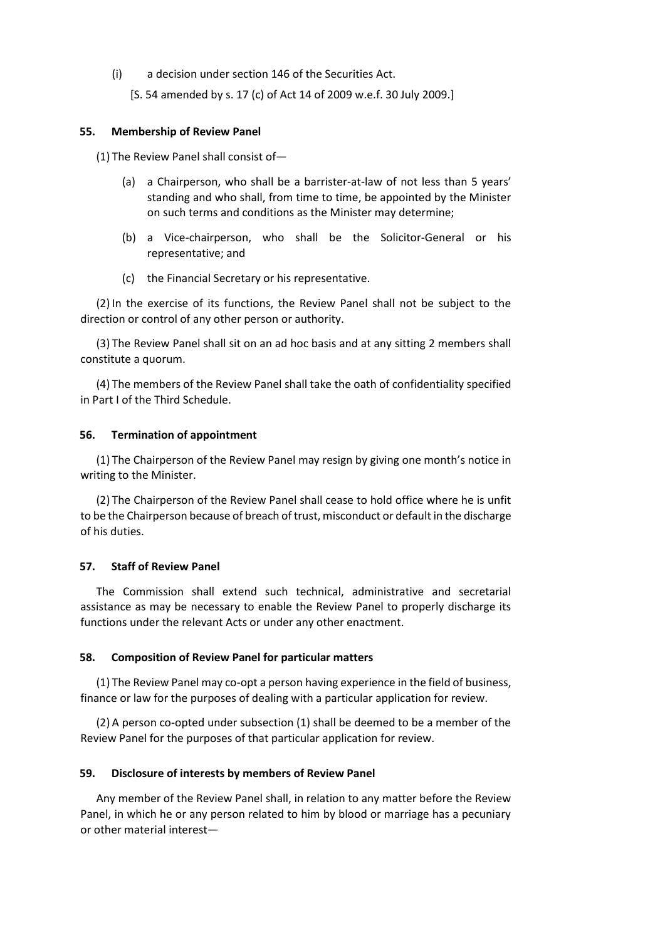(i) a decision under section 146 of the Securities Act.

[S. 54 amended by s. 17 (c) of Act 14 of 2009 w.e.f. 30 July 2009.]

#### **55. Membership of Review Panel**

(1) The Review Panel shall consist of—

- (a) a Chairperson, who shall be a barrister-at-law of not less than 5 years' standing and who shall, from time to time, be appointed by the Minister on such terms and conditions as the Minister may determine;
- (b) a Vice-chairperson, who shall be the Solicitor-General or his representative; and
- (c) the Financial Secretary or his representative.

(2) In the exercise of its functions, the Review Panel shall not be subject to the direction or control of any other person or authority.

(3) The Review Panel shall sit on an ad hoc basis and at any sitting 2 members shall constitute a quorum.

(4) The members of the Review Panel shall take the oath of confidentiality specified in Part I of the Third Schedule.

#### **56. Termination of appointment**

(1) The Chairperson of the Review Panel may resign by giving one month's notice in writing to the Minister.

(2) The Chairperson of the Review Panel shall cease to hold office where he is unfit to be the Chairperson because of breach of trust, misconduct or default in the discharge of his duties.

## **57. Staff of Review Panel**

The Commission shall extend such technical, administrative and secretarial assistance as may be necessary to enable the Review Panel to properly discharge its functions under the relevant Acts or under any other enactment.

#### **58. Composition of Review Panel for particular matters**

(1) The Review Panel may co-opt a person having experience in the field of business, finance or law for the purposes of dealing with a particular application for review.

(2) A person co-opted under subsection (1) shall be deemed to be a member of the Review Panel for the purposes of that particular application for review.

## **59. Disclosure of interests by members of Review Panel**

Any member of the Review Panel shall, in relation to any matter before the Review Panel, in which he or any person related to him by blood or marriage has a pecuniary or other material interest—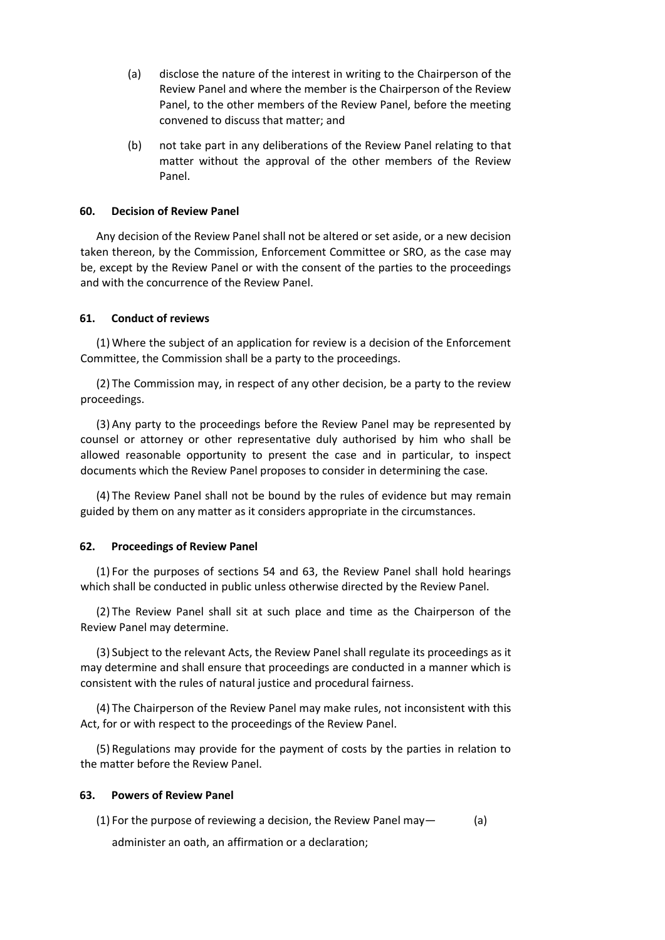- (a) disclose the nature of the interest in writing to the Chairperson of the Review Panel and where the member is the Chairperson of the Review Panel, to the other members of the Review Panel, before the meeting convened to discuss that matter; and
- (b) not take part in any deliberations of the Review Panel relating to that matter without the approval of the other members of the Review Panel.

#### **60. Decision of Review Panel**

Any decision of the Review Panel shall not be altered or set aside, or a new decision taken thereon, by the Commission, Enforcement Committee or SRO, as the case may be, except by the Review Panel or with the consent of the parties to the proceedings and with the concurrence of the Review Panel.

#### **61. Conduct of reviews**

(1) Where the subject of an application for review is a decision of the Enforcement Committee, the Commission shall be a party to the proceedings.

(2) The Commission may, in respect of any other decision, be a party to the review proceedings.

(3) Any party to the proceedings before the Review Panel may be represented by counsel or attorney or other representative duly authorised by him who shall be allowed reasonable opportunity to present the case and in particular, to inspect documents which the Review Panel proposes to consider in determining the case.

(4) The Review Panel shall not be bound by the rules of evidence but may remain guided by them on any matter as it considers appropriate in the circumstances.

#### **62. Proceedings of Review Panel**

(1) For the purposes of sections 54 and 63, the Review Panel shall hold hearings which shall be conducted in public unless otherwise directed by the Review Panel.

(2) The Review Panel shall sit at such place and time as the Chairperson of the Review Panel may determine.

(3) Subject to the relevant Acts, the Review Panel shall regulate its proceedings as it may determine and shall ensure that proceedings are conducted in a manner which is consistent with the rules of natural justice and procedural fairness.

(4) The Chairperson of the Review Panel may make rules, not inconsistent with this Act, for or with respect to the proceedings of the Review Panel.

(5) Regulations may provide for the payment of costs by the parties in relation to the matter before the Review Panel.

#### **63. Powers of Review Panel**

(1) For the purpose of reviewing a decision, the Review Panel may— (a)

administer an oath, an affirmation or a declaration;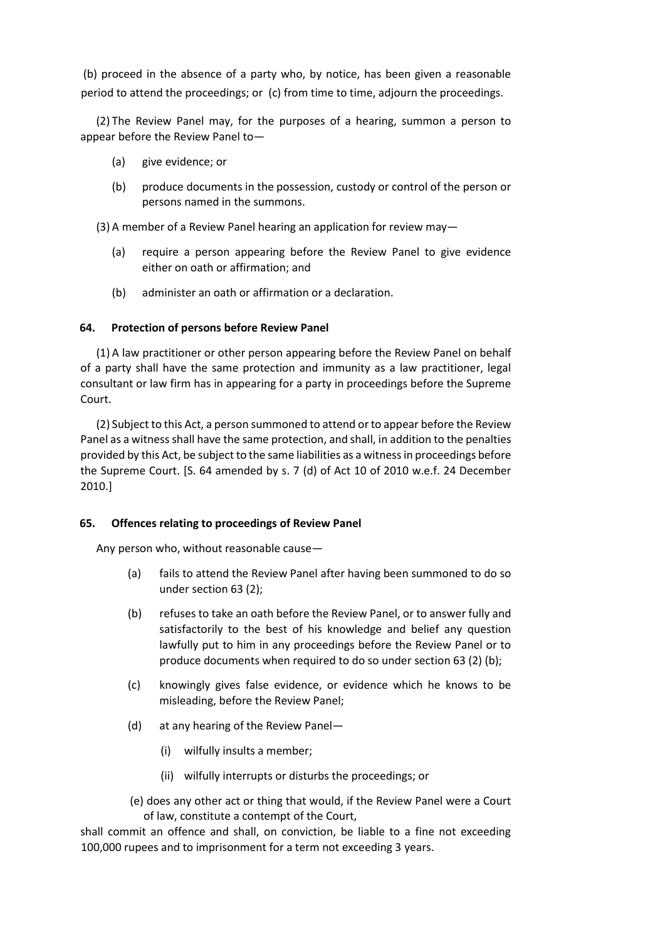(b) proceed in the absence of a party who, by notice, has been given a reasonable period to attend the proceedings; or (c) from time to time, adjourn the proceedings.

(2) The Review Panel may, for the purposes of a hearing, summon a person to appear before the Review Panel to—

- (a) give evidence; or
- (b) produce documents in the possession, custody or control of the person or persons named in the summons.

(3) A member of a Review Panel hearing an application for review may—

- (a) require a person appearing before the Review Panel to give evidence either on oath or affirmation; and
- (b) administer an oath or affirmation or a declaration.

## **64. Protection of persons before Review Panel**

(1) A law practitioner or other person appearing before the Review Panel on behalf of a party shall have the same protection and immunity as a law practitioner, legal consultant or law firm has in appearing for a party in proceedings before the Supreme Court.

(2) Subject to this Act, a person summoned to attend or to appear before the Review Panel as a witness shall have the same protection, and shall, in addition to the penalties provided by this Act, be subject to the same liabilities as a witness in proceedings before the Supreme Court. [S. 64 amended by s. 7 (d) of Act 10 of 2010 w.e.f. 24 December 2010.]

## **65. Offences relating to proceedings of Review Panel**

Any person who, without reasonable cause—

- (a) fails to attend the Review Panel after having been summoned to do so under section 63 (2);
- (b) refuses to take an oath before the Review Panel, or to answer fully and satisfactorily to the best of his knowledge and belief any question lawfully put to him in any proceedings before the Review Panel or to produce documents when required to do so under section 63 (2) (b);
- (c) knowingly gives false evidence, or evidence which he knows to be misleading, before the Review Panel;
- (d) at any hearing of the Review Panel—
	- (i) wilfully insults a member;
	- (ii) wilfully interrupts or disturbs the proceedings; or

(e) does any other act or thing that would, if the Review Panel were a Court of law, constitute a contempt of the Court,

shall commit an offence and shall, on conviction, be liable to a fine not exceeding 100,000 rupees and to imprisonment for a term not exceeding 3 years.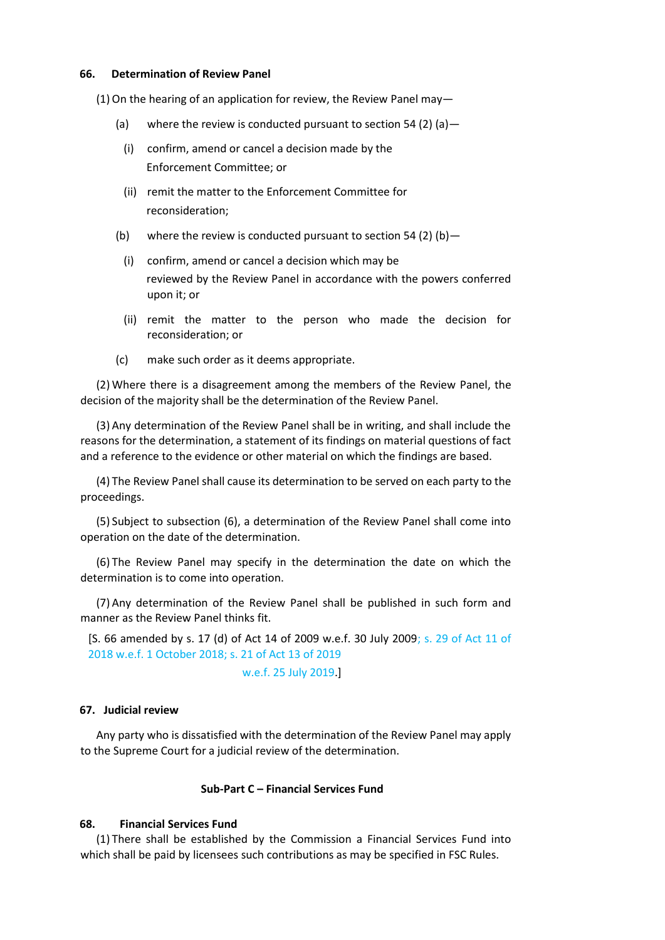#### **66. Determination of Review Panel**

(1)On the hearing of an application for review, the Review Panel may—

- (a) where the review is conducted pursuant to section 54 (2) (a)  $-$ 
	- (i) confirm, amend or cancel a decision made by the Enforcement Committee; or
	- (ii) remit the matter to the Enforcement Committee for reconsideration;
- (b) where the review is conducted pursuant to section 54 (2) (b)  $-$ 
	- (i) confirm, amend or cancel a decision which may be reviewed by the Review Panel in accordance with the powers conferred upon it; or
	- (ii) remit the matter to the person who made the decision for reconsideration; or
- (c) make such order as it deems appropriate.

(2) Where there is a disagreement among the members of the Review Panel, the decision of the majority shall be the determination of the Review Panel.

(3) Any determination of the Review Panel shall be in writing, and shall include the reasons for the determination, a statement of its findings on material questions of fact and a reference to the evidence or other material on which the findings are based.

(4) The Review Panel shall cause its determination to be served on each party to the proceedings.

(5) Subject to subsection (6), a determination of the Review Panel shall come into operation on the date of the determination.

(6) The Review Panel may specify in the determination the date on which the determination is to come into operation.

(7) Any determination of the Review Panel shall be published in such form and manner as the Review Panel thinks fit.

[S. 66 amended by s. 17 (d) of Act 14 of 2009 w.e.f. 30 July 2009; s. 29 of Act 11 of 2018 w.e.f. 1 October 2018; s. 21 of Act 13 of 2019

w.e.f. 25 July 2019.]

## **67. Judicial review**

Any party who is dissatisfied with the determination of the Review Panel may apply to the Supreme Court for a judicial review of the determination.

#### **Sub-Part C – Financial Services Fund**

## **68. Financial Services Fund**

(1) There shall be established by the Commission a Financial Services Fund into which shall be paid by licensees such contributions as may be specified in FSC Rules.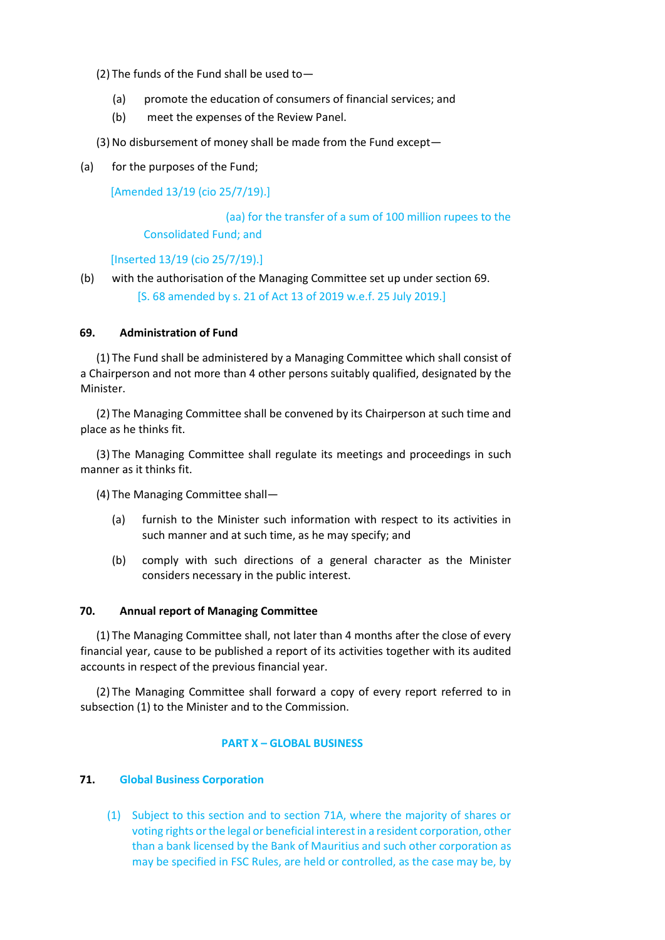(2) The funds of the Fund shall be used to—

- (a) promote the education of consumers of financial services; and
- (b) meet the expenses of the Review Panel.

(3) No disbursement of money shall be made from the Fund except—

(a) for the purposes of the Fund;

[Amended 13/19 (cio 25/7/19).]

(aa) for the transfer of a sum of 100 million rupees to the Consolidated Fund; and

[Inserted 13/19 (cio 25/7/19).]

(b) with the authorisation of the Managing Committee set up under section 69. [S. 68 amended by s. 21 of Act 13 of 2019 w.e.f. 25 July 2019.]

## **69. Administration of Fund**

(1) The Fund shall be administered by a Managing Committee which shall consist of a Chairperson and not more than 4 other persons suitably qualified, designated by the Minister.

(2) The Managing Committee shall be convened by its Chairperson at such time and place as he thinks fit.

(3) The Managing Committee shall regulate its meetings and proceedings in such manner as it thinks fit.

(4) The Managing Committee shall—

- (a) furnish to the Minister such information with respect to its activities in such manner and at such time, as he may specify; and
- (b) comply with such directions of a general character as the Minister considers necessary in the public interest.

## **70. Annual report of Managing Committee**

(1) The Managing Committee shall, not later than 4 months after the close of every financial year, cause to be published a report of its activities together with its audited accounts in respect of the previous financial year.

(2) The Managing Committee shall forward a copy of every report referred to in subsection (1) to the Minister and to the Commission.

## **PART X – GLOBAL BUSINESS**

## **71. Global Business Corporation**

(1) Subject to this section and to section 71A, where the majority of shares or voting rights or the legal or beneficial interest in a resident corporation, other than a bank licensed by the Bank of Mauritius and such other corporation as may be specified in FSC Rules, are held or controlled, as the case may be, by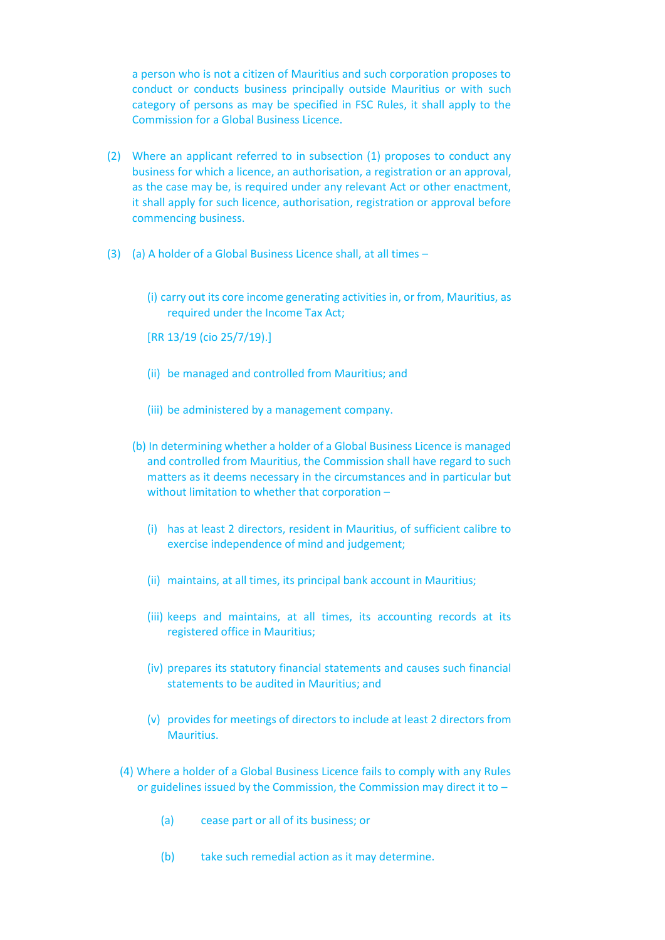a person who is not a citizen of Mauritius and such corporation proposes to conduct or conducts business principally outside Mauritius or with such category of persons as may be specified in FSC Rules, it shall apply to the Commission for a Global Business Licence.

- (2) Where an applicant referred to in subsection (1) proposes to conduct any business for which a licence, an authorisation, a registration or an approval, as the case may be, is required under any relevant Act or other enactment, it shall apply for such licence, authorisation, registration or approval before commencing business.
- (3) (a) A holder of a Global Business Licence shall, at all times
	- (i) carry out its core income generating activities in, or from, Mauritius, as required under the Income Tax Act;
	- [RR 13/19 (cio 25/7/19).]
	- (ii) be managed and controlled from Mauritius; and
	- (iii) be administered by a management company.
	- (b) In determining whether a holder of a Global Business Licence is managed and controlled from Mauritius, the Commission shall have regard to such matters as it deems necessary in the circumstances and in particular but without limitation to whether that corporation –
		- (i) has at least 2 directors, resident in Mauritius, of sufficient calibre to exercise independence of mind and judgement;
		- (ii) maintains, at all times, its principal bank account in Mauritius;
		- (iii) keeps and maintains, at all times, its accounting records at its registered office in Mauritius;
		- (iv) prepares its statutory financial statements and causes such financial statements to be audited in Mauritius; and
		- (v) provides for meetings of directors to include at least 2 directors from Mauritius.
	- (4) Where a holder of a Global Business Licence fails to comply with any Rules or guidelines issued by the Commission, the Commission may direct it to –
		- (a) cease part or all of its business; or
		- (b) take such remedial action as it may determine.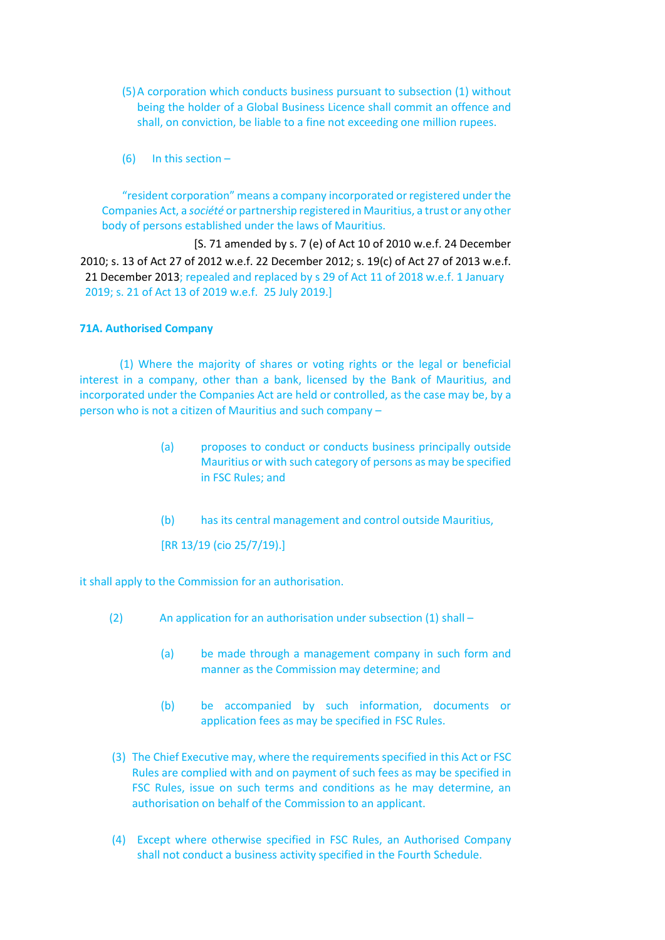- (5)A corporation which conducts business pursuant to subsection (1) without being the holder of a Global Business Licence shall commit an offence and shall, on conviction, be liable to a fine not exceeding one million rupees.
- (6) In this section –

"resident corporation" means a company incorporated or registered under the Companies Act, a *société* or partnership registered in Mauritius, a trust or any other body of persons established under the laws of Mauritius.

[S. 71 amended by s. 7 (e) of Act 10 of 2010 w.e.f. 24 December 2010; s. 13 of Act 27 of 2012 w.e.f. 22 December 2012; s. 19(c) of Act 27 of 2013 w.e.f. 21 December 2013; repealed and replaced by s 29 of Act 11 of 2018 w.e.f. 1 January 2019; s. 21 of Act 13 of 2019 w.e.f. 25 July 2019.]

## **71A. Authorised Company**

(1) Where the majority of shares or voting rights or the legal or beneficial interest in a company, other than a bank, licensed by the Bank of Mauritius, and incorporated under the Companies Act are held or controlled, as the case may be, by a person who is not a citizen of Mauritius and such company –

- (a) proposes to conduct or conducts business principally outside Mauritius or with such category of persons as may be specified in FSC Rules; and
- (b) has its central management and control outside Mauritius,

[RR 13/19 (cio 25/7/19).]

it shall apply to the Commission for an authorisation.

- (2) An application for an authorisation under subsection (1) shall
	- (a) be made through a management company in such form and manner as the Commission may determine; and
	- (b) be accompanied by such information, documents or application fees as may be specified in FSC Rules.
- (3) The Chief Executive may, where the requirements specified in this Act or FSC Rules are complied with and on payment of such fees as may be specified in FSC Rules, issue on such terms and conditions as he may determine, an authorisation on behalf of the Commission to an applicant.
- (4) Except where otherwise specified in FSC Rules, an Authorised Company shall not conduct a business activity specified in the Fourth Schedule.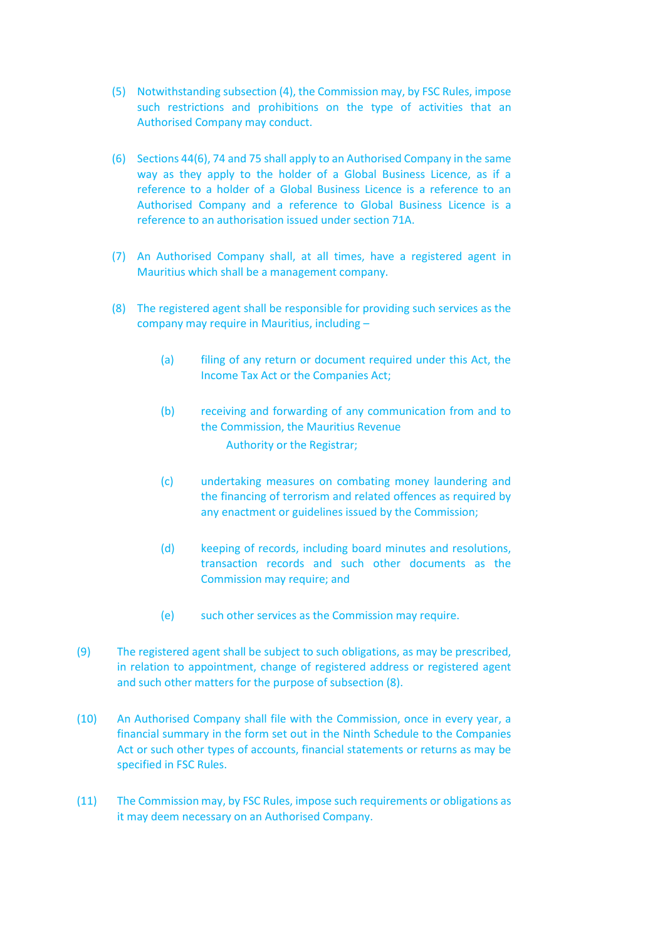- (5) Notwithstanding subsection (4), the Commission may, by FSC Rules, impose such restrictions and prohibitions on the type of activities that an Authorised Company may conduct.
- (6) Sections 44(6), 74 and 75 shall apply to an Authorised Company in the same way as they apply to the holder of a Global Business Licence, as if a reference to a holder of a Global Business Licence is a reference to an Authorised Company and a reference to Global Business Licence is a reference to an authorisation issued under section 71A.
- (7) An Authorised Company shall, at all times, have a registered agent in Mauritius which shall be a management company.
- (8) The registered agent shall be responsible for providing such services as the company may require in Mauritius, including –
	- (a) filing of any return or document required under this Act, the Income Tax Act or the Companies Act;
	- (b) receiving and forwarding of any communication from and to the Commission, the Mauritius Revenue Authority or the Registrar;
	- (c) undertaking measures on combating money laundering and the financing of terrorism and related offences as required by any enactment or guidelines issued by the Commission;
	- (d) keeping of records, including board minutes and resolutions, transaction records and such other documents as the Commission may require; and
	- (e) such other services as the Commission may require.
- (9) The registered agent shall be subject to such obligations, as may be prescribed, in relation to appointment, change of registered address or registered agent and such other matters for the purpose of subsection (8).
- (10) An Authorised Company shall file with the Commission, once in every year, a financial summary in the form set out in the Ninth Schedule to the Companies Act or such other types of accounts, financial statements or returns as may be specified in FSC Rules.
- (11) The Commission may, by FSC Rules, impose such requirements or obligations as it may deem necessary on an Authorised Company.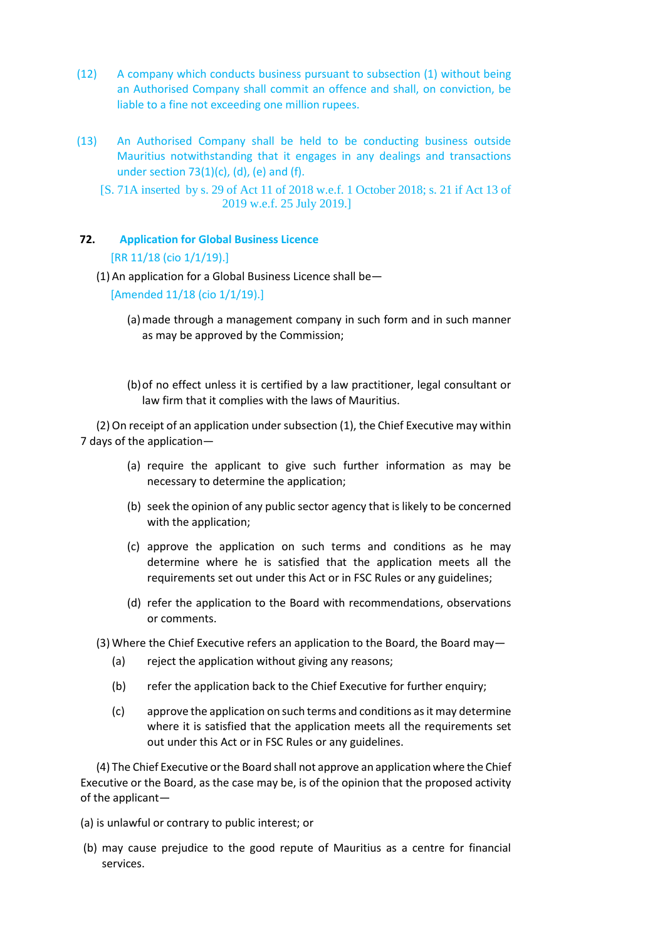- (12) A company which conducts business pursuant to subsection (1) without being an Authorised Company shall commit an offence and shall, on conviction, be liable to a fine not exceeding one million rupees.
- (13) An Authorised Company shall be held to be conducting business outside Mauritius notwithstanding that it engages in any dealings and transactions under section  $73(1)(c)$ , (d), (e) and (f).
	- [S. 71A inserted by s. 29 of Act 11 of 2018 w.e.f. 1 October 2018; s. 21 if Act 13 of 2019 w.e.f. 25 July 2019.]

## **72. Application for Global Business Licence**

## [RR 11/18 (cio 1/1/19).]

(1) An application for a Global Business Licence shall be—

[Amended 11/18 (cio 1/1/19).]

- (a)made through a management company in such form and in such manner as may be approved by the Commission;
- (b)of no effect unless it is certified by a law practitioner, legal consultant or law firm that it complies with the laws of Mauritius.

(2)On receipt of an application under subsection (1), the Chief Executive may within 7 days of the application—

- (a) require the applicant to give such further information as may be necessary to determine the application;
- (b) seek the opinion of any public sector agency that is likely to be concerned with the application;
- (c) approve the application on such terms and conditions as he may determine where he is satisfied that the application meets all the requirements set out under this Act or in FSC Rules or any guidelines;
- (d) refer the application to the Board with recommendations, observations or comments.
- (3) Where the Chief Executive refers an application to the Board, the Board may—
	- (a) reject the application without giving any reasons;
	- (b) refer the application back to the Chief Executive for further enquiry;
	- (c) approve the application on such terms and conditions as it may determine where it is satisfied that the application meets all the requirements set out under this Act or in FSC Rules or any guidelines.

(4) The Chief Executive or the Board shall not approve an application where the Chief Executive or the Board, as the case may be, is of the opinion that the proposed activity of the applicant—

- (a) is unlawful or contrary to public interest; or
- (b) may cause prejudice to the good repute of Mauritius as a centre for financial services.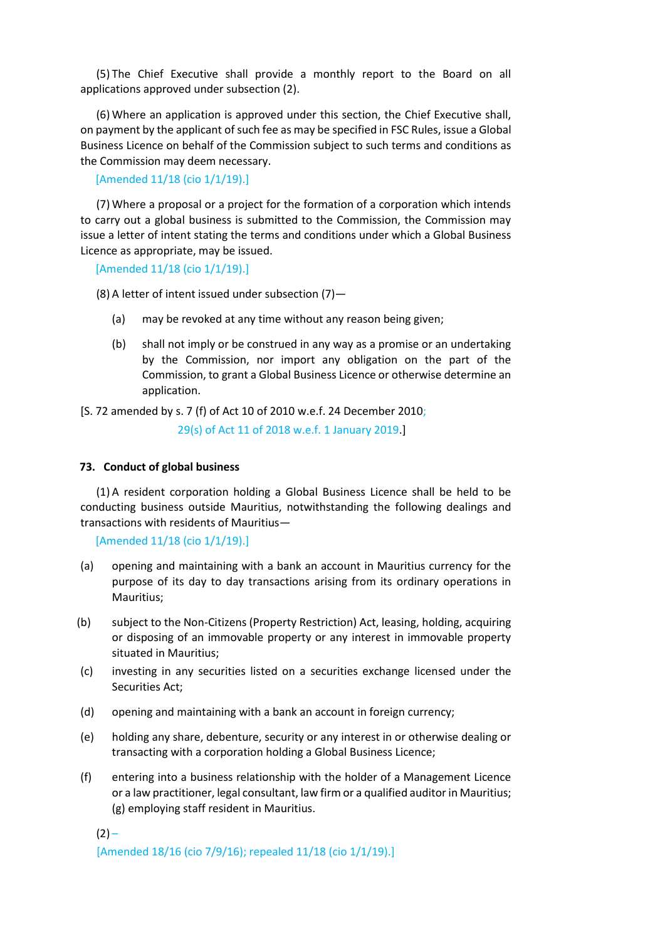(5) The Chief Executive shall provide a monthly report to the Board on all applications approved under subsection (2).

(6) Where an application is approved under this section, the Chief Executive shall, on payment by the applicant of such fee as may be specified in FSC Rules, issue a Global Business Licence on behalf of the Commission subject to such terms and conditions as the Commission may deem necessary.

[Amended 11/18 (cio 1/1/19).]

(7) Where a proposal or a project for the formation of a corporation which intends to carry out a global business is submitted to the Commission, the Commission may issue a letter of intent stating the terms and conditions under which a Global Business Licence as appropriate, may be issued.

[Amended 11/18 (cio 1/1/19).]

(8) A letter of intent issued under subsection  $(7)$  –

- (a) may be revoked at any time without any reason being given;
- (b) shall not imply or be construed in any way as a promise or an undertaking by the Commission, nor import any obligation on the part of the Commission, to grant a Global Business Licence or otherwise determine an application.

[S. 72 amended by s. 7 (f) of Act 10 of 2010 w.e.f. 24 December 2010;

29(s) of Act 11 of 2018 w.e.f. 1 January 2019.]

#### **73. Conduct of global business**

(1) A resident corporation holding a Global Business Licence shall be held to be conducting business outside Mauritius, notwithstanding the following dealings and transactions with residents of Mauritius—

[Amended 11/18 (cio 1/1/19).]

- (a) opening and maintaining with a bank an account in Mauritius currency for the purpose of its day to day transactions arising from its ordinary operations in Mauritius;
- (b) subject to the Non-Citizens (Property Restriction) Act, leasing, holding, acquiring or disposing of an immovable property or any interest in immovable property situated in Mauritius;
- (c) investing in any securities listed on a securities exchange licensed under the Securities Act;
- (d) opening and maintaining with a bank an account in foreign currency;
- (e) holding any share, debenture, security or any interest in or otherwise dealing or transacting with a corporation holding a Global Business Licence;
- (f) entering into a business relationship with the holder of a Management Licence or a law practitioner, legal consultant, law firm or a qualified auditor in Mauritius; (g) employing staff resident in Mauritius.

 $(2) -$ 

[Amended 18/16 (cio 7/9/16); repealed 11/18 (cio 1/1/19).]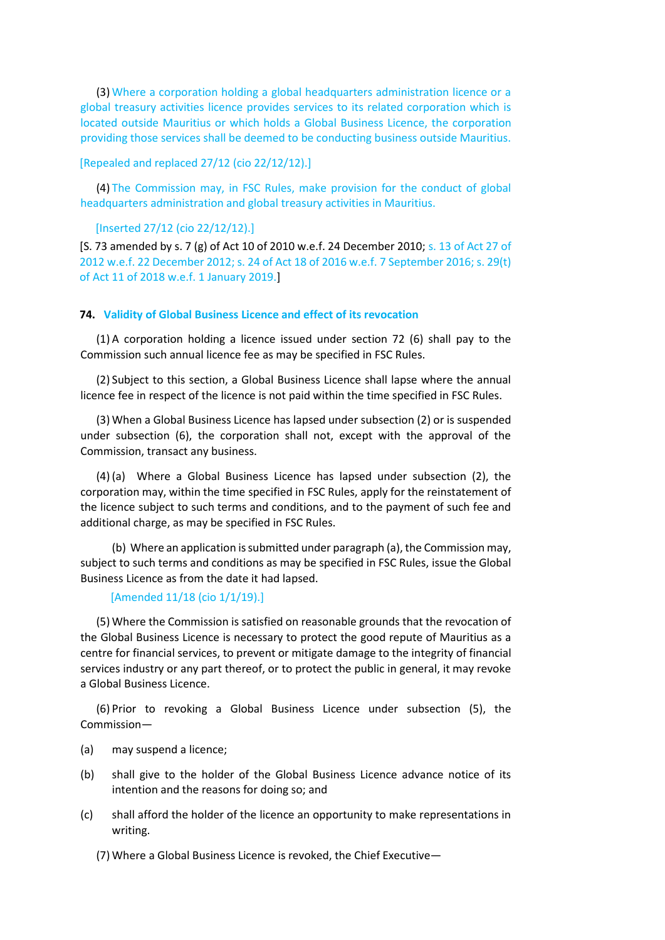(3) Where a corporation holding a global headquarters administration licence or a global treasury activities licence provides services to its related corporation which is located outside Mauritius or which holds a Global Business Licence, the corporation providing those services shall be deemed to be conducting business outside Mauritius.

#### [Repealed and replaced 27/12 (cio 22/12/12).]

(4) The Commission may, in FSC Rules, make provision for the conduct of global headquarters administration and global treasury activities in Mauritius.

#### [Inserted 27/12 (cio 22/12/12).]

[S. 73 amended by s. 7 (g) of Act 10 of 2010 w.e.f. 24 December 2010; s. 13 of Act 27 of 2012 w.e.f. 22 December 2012; s. 24 of Act 18 of 2016 w.e.f. 7 September 2016; s. 29(t) of Act 11 of 2018 w.e.f. 1 January 2019.]

#### **74. Validity of Global Business Licence and effect of its revocation**

(1) A corporation holding a licence issued under section 72 (6) shall pay to the Commission such annual licence fee as may be specified in FSC Rules.

(2) Subject to this section, a Global Business Licence shall lapse where the annual licence fee in respect of the licence is not paid within the time specified in FSC Rules.

(3) When a Global Business Licence has lapsed under subsection (2) or is suspended under subsection (6), the corporation shall not, except with the approval of the Commission, transact any business.

(4) (a) Where a Global Business Licence has lapsed under subsection (2), the corporation may, within the time specified in FSC Rules, apply for the reinstatement of the licence subject to such terms and conditions, and to the payment of such fee and additional charge, as may be specified in FSC Rules.

(b) Where an application is submitted under paragraph (a), the Commission may, subject to such terms and conditions as may be specified in FSC Rules, issue the Global Business Licence as from the date it had lapsed.

#### [Amended 11/18 (cio 1/1/19).]

(5) Where the Commission is satisfied on reasonable grounds that the revocation of the Global Business Licence is necessary to protect the good repute of Mauritius as a centre for financial services, to prevent or mitigate damage to the integrity of financial services industry or any part thereof, or to protect the public in general, it may revoke a Global Business Licence.

(6) Prior to revoking a Global Business Licence under subsection (5), the Commission—

- (a) may suspend a licence;
- (b) shall give to the holder of the Global Business Licence advance notice of its intention and the reasons for doing so; and
- (c) shall afford the holder of the licence an opportunity to make representations in writing.

(7) Where a Global Business Licence is revoked, the Chief Executive—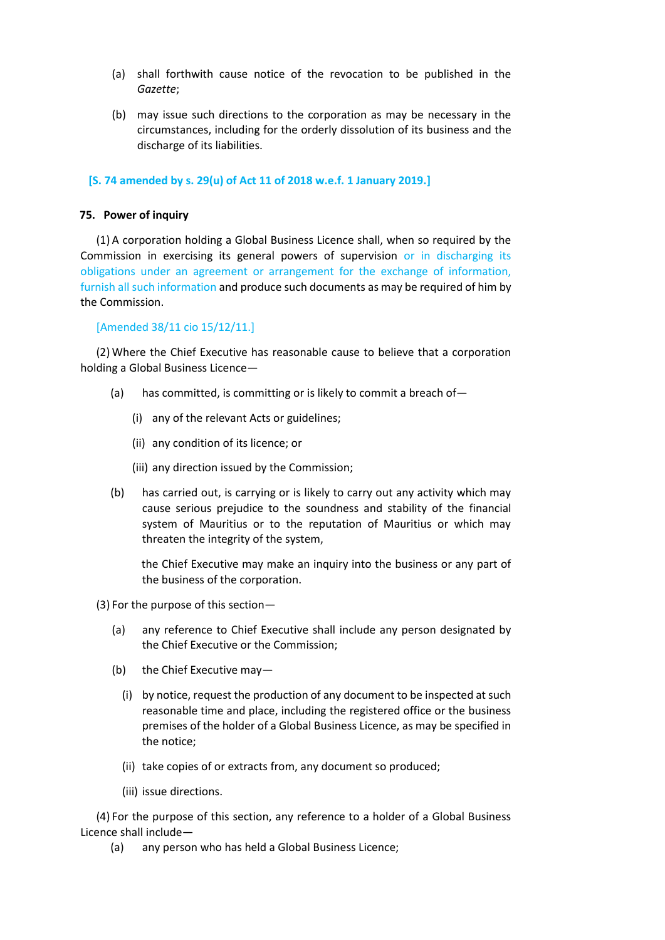- (a) shall forthwith cause notice of the revocation to be published in the *Gazette*;
- (b) may issue such directions to the corporation as may be necessary in the circumstances, including for the orderly dissolution of its business and the discharge of its liabilities.

#### **[S. 74 amended by s. 29(u) of Act 11 of 2018 w.e.f. 1 January 2019.]**

#### **75. Power of inquiry**

(1) A corporation holding a Global Business Licence shall, when so required by the Commission in exercising its general powers of supervision or in discharging its obligations under an agreement or arrangement for the exchange of information, furnish all such information and produce such documents as may be required of him by the Commission.

#### [Amended 38/11 cio 15/12/11.]

(2) Where the Chief Executive has reasonable cause to believe that a corporation holding a Global Business Licence—

- (a) has committed, is committing or is likely to commit a breach of—
	- (i) any of the relevant Acts or guidelines;
	- (ii) any condition of its licence; or
	- (iii) any direction issued by the Commission;
- (b) has carried out, is carrying or is likely to carry out any activity which may cause serious prejudice to the soundness and stability of the financial system of Mauritius or to the reputation of Mauritius or which may threaten the integrity of the system,

the Chief Executive may make an inquiry into the business or any part of the business of the corporation.

(3) For the purpose of this section—

- (a) any reference to Chief Executive shall include any person designated by the Chief Executive or the Commission;
- (b) the Chief Executive may—
	- (i) by notice, request the production of any document to be inspected at such reasonable time and place, including the registered office or the business premises of the holder of a Global Business Licence, as may be specified in the notice;
	- (ii) take copies of or extracts from, any document so produced;
	- (iii) issue directions.

(4) For the purpose of this section, any reference to a holder of a Global Business Licence shall include—

(a) any person who has held a Global Business Licence;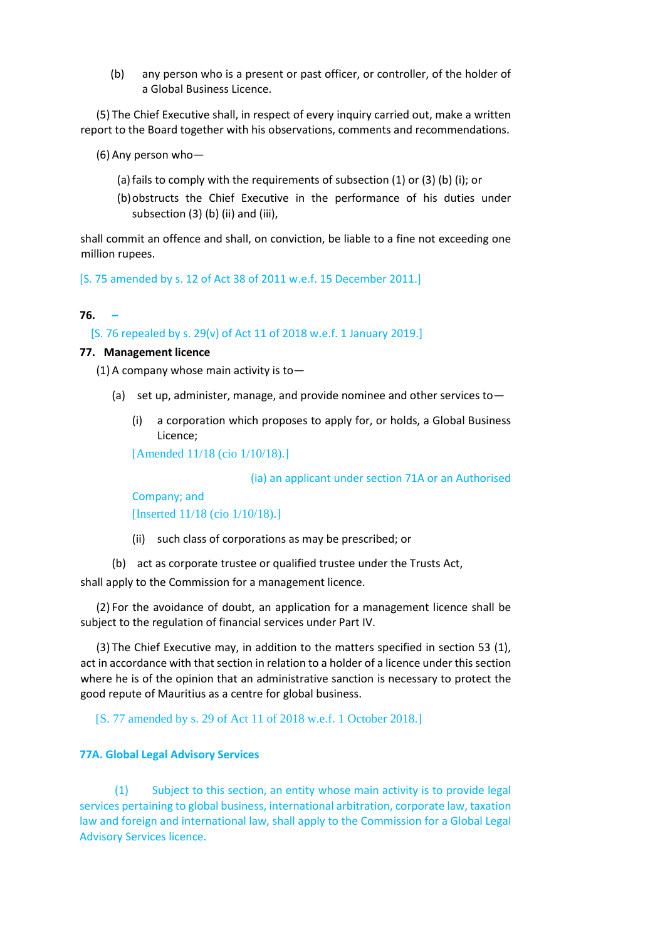(b) any person who is a present or past officer, or controller, of the holder of a Global Business Licence.

(5) The Chief Executive shall, in respect of every inquiry carried out, make a written report to the Board together with his observations, comments and recommendations.

(6) Any person who—

- (a)fails to comply with the requirements of subsection (1) or (3) (b) (i); or
- (b)obstructs the Chief Executive in the performance of his duties under subsection (3) (b) (ii) and (iii),

shall commit an offence and shall, on conviction, be liable to a fine not exceeding one million rupees.

[S. 75 amended by s. 12 of Act 38 of 2011 w.e.f. 15 December 2011.]

#### **76. –**

[S. 76 repealed by s. 29(v) of Act 11 of 2018 w.e.f. 1 January 2019.]

#### **77. Management licence**

(1) A company whose main activity is to  $-$ 

- (a) set up, administer, manage, and provide nominee and other services to—
	- (i) a corporation which proposes to apply for, or holds, a Global Business Licence;

[Amended 11/18 (cio 1/10/18).]

(ia) an applicant under section 71A or an Authorised

Company; and [Inserted 11/18 (cio 1/10/18).]

- (ii) such class of corporations as may be prescribed; or
- (b) act as corporate trustee or qualified trustee under the Trusts Act,

shall apply to the Commission for a management licence.

(2) For the avoidance of doubt, an application for a management licence shall be subject to the regulation of financial services under Part IV.

(3) The Chief Executive may, in addition to the matters specified in section 53 (1), act in accordance with that section in relation to a holder of a licence under this section where he is of the opinion that an administrative sanction is necessary to protect the good repute of Mauritius as a centre for global business.

[S. 77 amended by s. 29 of Act 11 of 2018 w.e.f. 1 October 2018.]

#### **77A. Global Legal Advisory Services**

(1) Subject to this section, an entity whose main activity is to provide legal services pertaining to global business, international arbitration, corporate law, taxation law and foreign and international law, shall apply to the Commission for a Global Legal Advisory Services licence.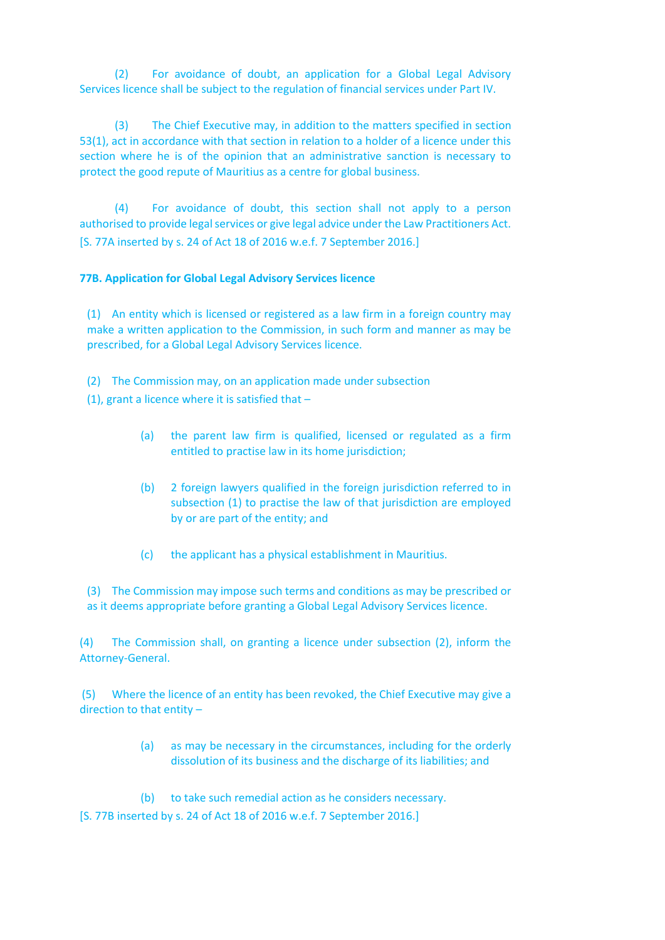(2) For avoidance of doubt, an application for a Global Legal Advisory Services licence shall be subject to the regulation of financial services under Part IV.

(3) The Chief Executive may, in addition to the matters specified in section 53(1), act in accordance with that section in relation to a holder of a licence under this section where he is of the opinion that an administrative sanction is necessary to protect the good repute of Mauritius as a centre for global business.

(4) For avoidance of doubt, this section shall not apply to a person authorised to provide legal services or give legal advice under the Law Practitioners Act. [S. 77A inserted by s. 24 of Act 18 of 2016 w.e.f. 7 September 2016.]

## **77B. Application for Global Legal Advisory Services licence**

(1) An entity which is licensed or registered as a law firm in a foreign country may make a written application to the Commission, in such form and manner as may be prescribed, for a Global Legal Advisory Services licence.

(2) The Commission may, on an application made under subsection

(1), grant a licence where it is satisfied that  $-$ 

- (a) the parent law firm is qualified, licensed or regulated as a firm entitled to practise law in its home jurisdiction;
- (b) 2 foreign lawyers qualified in the foreign jurisdiction referred to in subsection (1) to practise the law of that jurisdiction are employed by or are part of the entity; and
- (c) the applicant has a physical establishment in Mauritius.

(3) The Commission may impose such terms and conditions as may be prescribed or as it deems appropriate before granting a Global Legal Advisory Services licence.

(4) The Commission shall, on granting a licence under subsection (2), inform the Attorney-General.

(5) Where the licence of an entity has been revoked, the Chief Executive may give a direction to that entity –

- (a) as may be necessary in the circumstances, including for the orderly dissolution of its business and the discharge of its liabilities; and
- (b) to take such remedial action as he considers necessary.

[S. 77B inserted by s. 24 of Act 18 of 2016 w.e.f. 7 September 2016.]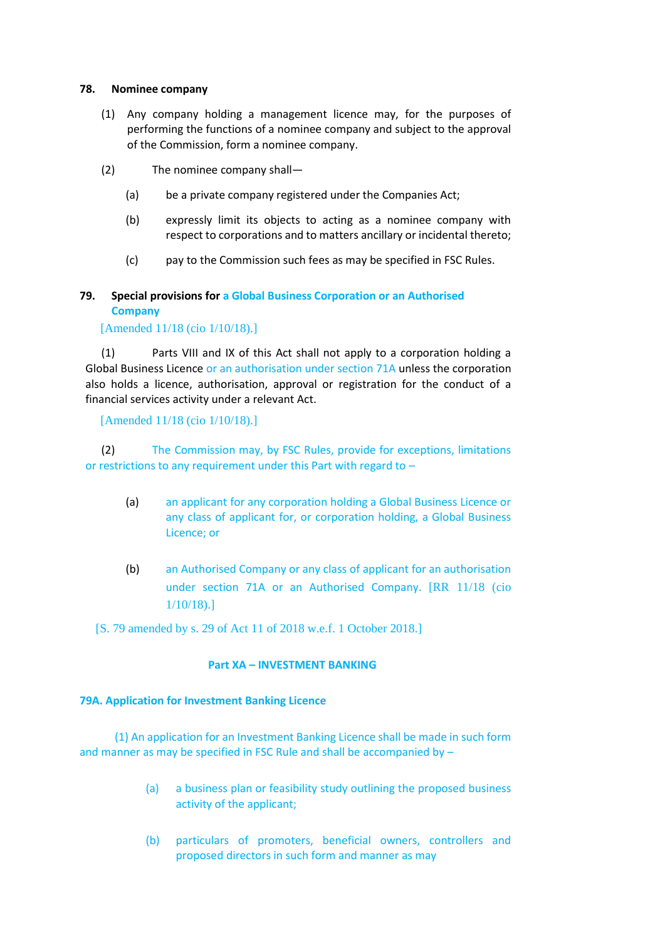#### **78. Nominee company**

- (1) Any company holding a management licence may, for the purposes of performing the functions of a nominee company and subject to the approval of the Commission, form a nominee company.
- (2) The nominee company shall—
	- (a) be a private company registered under the Companies Act;
	- (b) expressly limit its objects to acting as a nominee company with respect to corporations and to matters ancillary or incidental thereto;
	- (c) pay to the Commission such fees as may be specified in FSC Rules.

# **79. Special provisions for a Global Business Corporation or an Authorised Company**

## [Amended 11/18 (cio 1/10/18).]

(1) Parts VIII and IX of this Act shall not apply to a corporation holding a Global Business Licence or an authorisation under section 71A unless the corporation also holds a licence, authorisation, approval or registration for the conduct of a financial services activity under a relevant Act.

[Amended 11/18 (cio 1/10/18).]

(2) The Commission may, by FSC Rules, provide for exceptions, limitations or restrictions to any requirement under this Part with regard to –

- (a) an applicant for any corporation holding a Global Business Licence or any class of applicant for, or corporation holding, a Global Business Licence; or
- (b) an Authorised Company or any class of applicant for an authorisation under section 71A or an Authorised Company. [RR 11/18 (cio 1/10/18).]

[S. 79 amended by s. 29 of Act 11 of 2018 w.e.f. 1 October 2018.]

## **Part XA – INVESTMENT BANKING**

## **79A. Application for Investment Banking Licence**

(1) An application for an Investment Banking Licence shall be made in such form and manner as may be specified in FSC Rule and shall be accompanied by –

- (a) a business plan or feasibility study outlining the proposed business activity of the applicant;
- (b) particulars of promoters, beneficial owners, controllers and proposed directors in such form and manner as may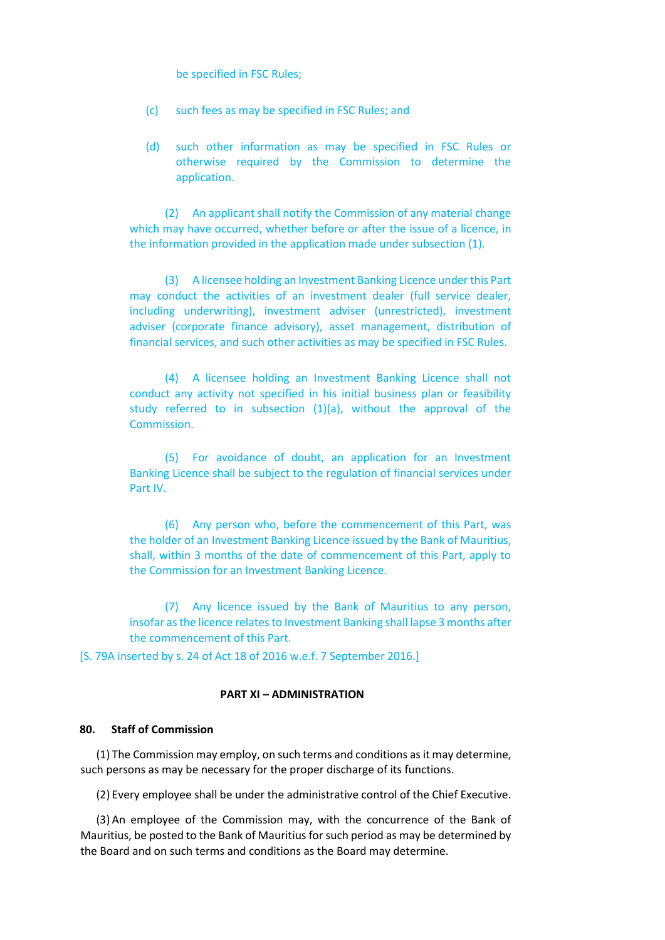be specified in FSC Rules;

- (c) such fees as may be specified in FSC Rules; and
- (d) such other information as may be specified in FSC Rules or otherwise required by the Commission to determine the application.

(2) An applicant shall notify the Commission of any material change which may have occurred, whether before or after the issue of a licence, in the information provided in the application made under subsection (1).

(3) A licensee holding an Investment Banking Licence under this Part may conduct the activities of an investment dealer (full service dealer, including underwriting), investment adviser (unrestricted), investment adviser (corporate finance advisory), asset management, distribution of financial services, and such other activities as may be specified in FSC Rules.

(4) A licensee holding an Investment Banking Licence shall not conduct any activity not specified in his initial business plan or feasibility study referred to in subsection (1)(a), without the approval of the Commission.

(5) For avoidance of doubt, an application for an Investment Banking Licence shall be subject to the regulation of financial services under Part IV.

(6) Any person who, before the commencement of this Part, was the holder of an Investment Banking Licence issued by the Bank of Mauritius, shall, within 3 months of the date of commencement of this Part, apply to the Commission for an Investment Banking Licence.

(7) Any licence issued by the Bank of Mauritius to any person, insofar as the licence relates to Investment Banking shall lapse 3 months after the commencement of this Part.

[S. 79A inserted by s. 24 of Act 18 of 2016 w.e.f. 7 September 2016.]

#### **PART XI – ADMINISTRATION**

## **80. Staff of Commission**

(1) The Commission may employ, on such terms and conditions as it may determine, such persons as may be necessary for the proper discharge of its functions.

(2) Every employee shall be under the administrative control of the Chief Executive.

(3) An employee of the Commission may, with the concurrence of the Bank of Mauritius, be posted to the Bank of Mauritius for such period as may be determined by the Board and on such terms and conditions as the Board may determine.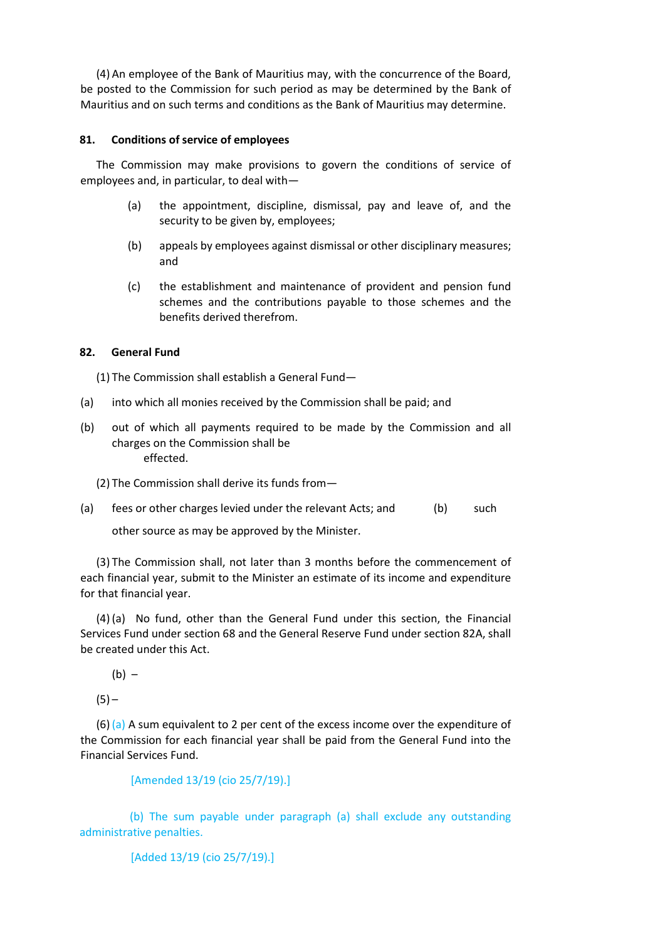(4) An employee of the Bank of Mauritius may, with the concurrence of the Board, be posted to the Commission for such period as may be determined by the Bank of Mauritius and on such terms and conditions as the Bank of Mauritius may determine.

## **81. Conditions of service of employees**

The Commission may make provisions to govern the conditions of service of employees and, in particular, to deal with—

- (a) the appointment, discipline, dismissal, pay and leave of, and the security to be given by, employees;
- (b) appeals by employees against dismissal or other disciplinary measures; and
- (c) the establishment and maintenance of provident and pension fund schemes and the contributions payable to those schemes and the benefits derived therefrom.

## **82. General Fund**

(1) The Commission shall establish a General Fund—

- (a) into which all monies received by the Commission shall be paid; and
- (b) out of which all payments required to be made by the Commission and all charges on the Commission shall be effected.
	- (2) The Commission shall derive its funds from—
- (a) fees or other charges levied under the relevant Acts; and (b) such other source as may be approved by the Minister.

(3) The Commission shall, not later than 3 months before the commencement of each financial year, submit to the Minister an estimate of its income and expenditure for that financial year.

(4) (a) No fund, other than the General Fund under this section, the Financial Services Fund under section 68 and the General Reserve Fund under section 82A, shall be created under this Act.

 $(b) -$ 

 $(5) -$ 

 $(6)$  (a) A sum equivalent to 2 per cent of the excess income over the expenditure of the Commission for each financial year shall be paid from the General Fund into the Financial Services Fund.

```
[Amended 13/19 (cio 25/7/19).]
```
(b) The sum payable under paragraph (a) shall exclude any outstanding administrative penalties.

[Added 13/19 (cio 25/7/19).]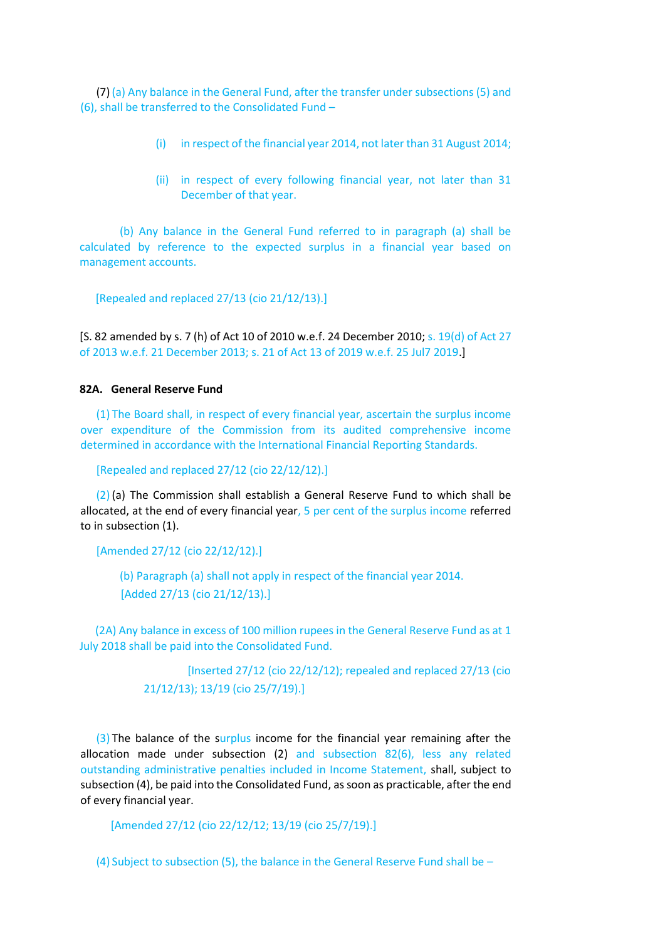(7) (a) Any balance in the General Fund, after the transfer under subsections (5) and (6), shall be transferred to the Consolidated Fund –

- (i) in respect of the financial year 2014, not later than 31 August 2014;
- (ii) in respect of every following financial year, not later than 31 December of that year.

(b) Any balance in the General Fund referred to in paragraph (a) shall be calculated by reference to the expected surplus in a financial year based on management accounts.

[Repealed and replaced 27/13 (cio 21/12/13).]

[S. 82 amended by s. 7 (h) of Act 10 of 2010 w.e.f. 24 December 2010; s. 19(d) of Act 27 of 2013 w.e.f. 21 December 2013; s. 21 of Act 13 of 2019 w.e.f. 25 Jul7 2019.]

#### **82A. General Reserve Fund**

(1) The Board shall, in respect of every financial year, ascertain the surplus income over expenditure of the Commission from its audited comprehensive income determined in accordance with the International Financial Reporting Standards.

[Repealed and replaced 27/12 (cio 22/12/12).]

(2) (a) The Commission shall establish a General Reserve Fund to which shall be allocated, at the end of every financial year, 5 per cent of the surplus income referred to in subsection (1).

[Amended 27/12 (cio 22/12/12).]

(b) Paragraph (a) shall not apply in respect of the financial year 2014. [Added 27/13 (cio 21/12/13).]

(2A) Any balance in excess of 100 million rupees in the General Reserve Fund as at 1 July 2018 shall be paid into the Consolidated Fund.

> [Inserted 27/12 (cio 22/12/12); repealed and replaced 27/13 (cio 21/12/13); 13/19 (cio 25/7/19).]

(3) The balance of the surplus income for the financial year remaining after the allocation made under subsection (2) and subsection 82(6), less any related outstanding administrative penalties included in Income Statement, shall, subject to subsection (4), be paid into the Consolidated Fund, as soon as practicable, after the end of every financial year.

[Amended 27/12 (cio 22/12/12; 13/19 (cio 25/7/19).]

(4) Subject to subsection (5), the balance in the General Reserve Fund shall be –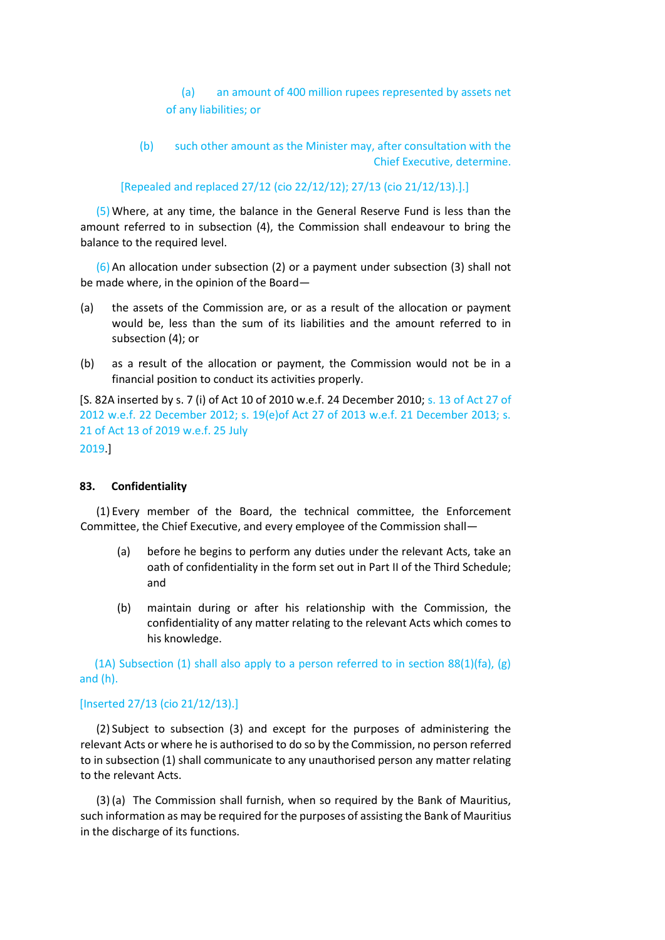(a) an amount of 400 million rupees represented by assets net of any liabilities; or

(b) such other amount as the Minister may, after consultation with the Chief Executive, determine.

[Repealed and replaced 27/12 (cio 22/12/12); 27/13 (cio 21/12/13).].]

(5) Where, at any time, the balance in the General Reserve Fund is less than the amount referred to in subsection (4), the Commission shall endeavour to bring the balance to the required level.

(6) An allocation under subsection (2) or a payment under subsection (3) shall not be made where, in the opinion of the Board—

- (a) the assets of the Commission are, or as a result of the allocation or payment would be, less than the sum of its liabilities and the amount referred to in subsection (4); or
- (b) as a result of the allocation or payment, the Commission would not be in a financial position to conduct its activities properly.

[S. 82A inserted by s. 7 (i) of Act 10 of 2010 w.e.f. 24 December 2010; s. 13 of Act 27 of 2012 w.e.f. 22 December 2012; s. 19(e)of Act 27 of 2013 w.e.f. 21 December 2013; s. 21 of Act 13 of 2019 w.e.f. 25 July 2019.]

# **83. Confidentiality**

(1) Every member of the Board, the technical committee, the Enforcement Committee, the Chief Executive, and every employee of the Commission shall—

- (a) before he begins to perform any duties under the relevant Acts, take an oath of confidentiality in the form set out in Part II of the Third Schedule; and
- (b) maintain during or after his relationship with the Commission, the confidentiality of any matter relating to the relevant Acts which comes to his knowledge.

(1A) Subsection (1) shall also apply to a person referred to in section 88(1)(fa), (g) and (h).

## [Inserted 27/13 (cio 21/12/13).]

(2) Subject to subsection (3) and except for the purposes of administering the relevant Acts or where he is authorised to do so by the Commission, no person referred to in subsection (1) shall communicate to any unauthorised person any matter relating to the relevant Acts.

(3) (a) The Commission shall furnish, when so required by the Bank of Mauritius, such information as may be required for the purposes of assisting the Bank of Mauritius in the discharge of its functions.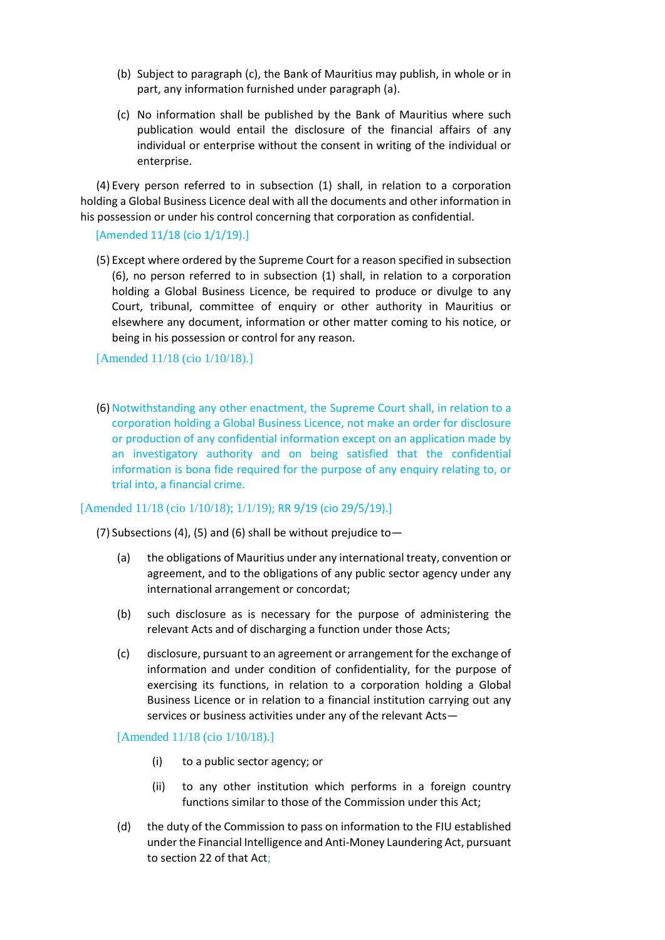- (b) Subject to paragraph (c), the Bank of Mauritius may publish, in whole or in part, any information furnished under paragraph (a).
- (c) No information shall be published by the Bank of Mauritius where such publication would entail the disclosure of the financial affairs of any individual or enterprise without the consent in writing of the individual or enterprise.

(4) Every person referred to in subsection (1) shall, in relation to a corporation holding a Global Business Licence deal with all the documents and other information in his possession or under his control concerning that corporation as confidential.

#### [Amended 11/18 (cio 1/1/19).]

(5) Except where ordered by the Supreme Court for a reason specified in subsection (6), no person referred to in subsection (1) shall, in relation to a corporation holding a Global Business Licence, be required to produce or divulge to any Court, tribunal, committee of enquiry or other authority in Mauritius or elsewhere any document, information or other matter coming to his notice, or being in his possession or control for any reason.

#### [Amended 11/18 (cio 1/10/18).]

(6) Notwithstanding any other enactment, the Supreme Court shall, in relation to a corporation holding a Global Business Licence, not make an order for disclosure or production of any confidential information except on an application made by an investigatory authority and on being satisfied that the confidential information is bona fide required for the purpose of any enquiry relating to, or trial into, a financial crime.

## [Amended 11/18 (cio 1/10/18); 1/1/19); RR 9/19 (cio 29/5/19).]

(7) Subsections (4), (5) and (6) shall be without prejudice to  $-$ 

- (a) the obligations of Mauritius under any international treaty, convention or agreement, and to the obligations of any public sector agency under any international arrangement or concordat;
- (b) such disclosure as is necessary for the purpose of administering the relevant Acts and of discharging a function under those Acts;
- (c) disclosure, pursuant to an agreement or arrangement for the exchange of information and under condition of confidentiality, for the purpose of exercising its functions, in relation to a corporation holding a Global Business Licence or in relation to a financial institution carrying out any services or business activities under any of the relevant Acts—

#### [Amended 11/18 (cio 1/10/18).]

- (i) to a public sector agency; or
- (ii) to any other institution which performs in a foreign country functions similar to those of the Commission under this Act;
- (d) the duty of the Commission to pass on information to the FIU established under the Financial Intelligence and Anti-Money Laundering Act, pursuant to section 22 of that Act;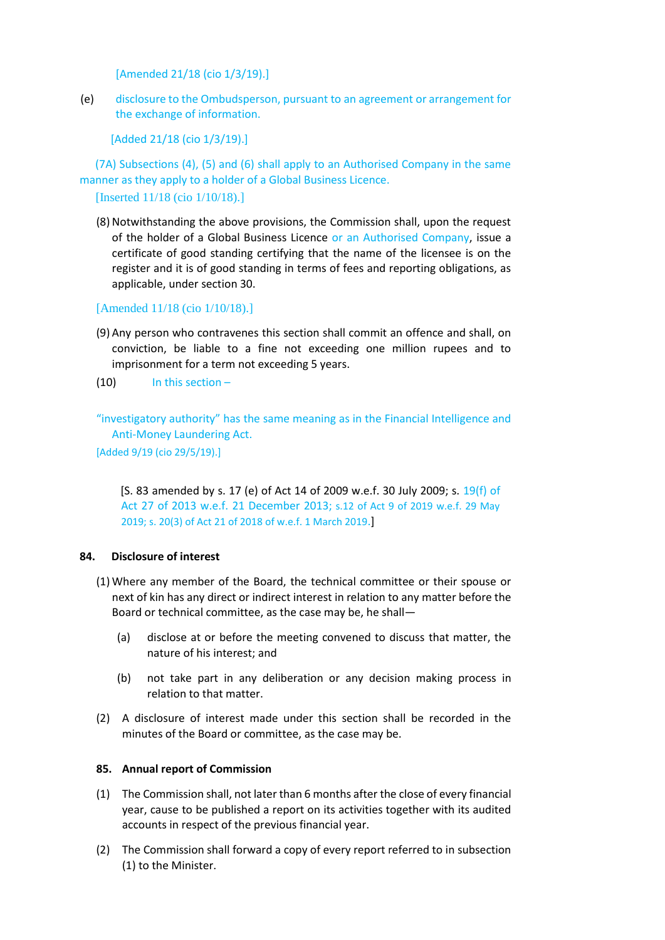[Amended 21/18 (cio 1/3/19).]

(e) disclosure to the Ombudsperson, pursuant to an agreement or arrangement for the exchange of information.

[Added 21/18 (cio 1/3/19).]

(7A) Subsections (4), (5) and (6) shall apply to an Authorised Company in the same manner as they apply to a holder of a Global Business Licence.

[Inserted 11/18 (cio 1/10/18).]

(8) Notwithstanding the above provisions, the Commission shall, upon the request of the holder of a Global Business Licence or an Authorised Company, issue a certificate of good standing certifying that the name of the licensee is on the register and it is of good standing in terms of fees and reporting obligations, as applicable, under section 30.

[Amended 11/18 (cio 1/10/18).]

- (9) Any person who contravenes this section shall commit an offence and shall, on conviction, be liable to a fine not exceeding one million rupees and to imprisonment for a term not exceeding 5 years.
- $(10)$  In this section –

"investigatory authority" has the same meaning as in the Financial Intelligence and Anti-Money Laundering Act.

[Added 9/19 (cio 29/5/19).]

[S. 83 amended by s. 17 (e) of Act 14 of 2009 w.e.f. 30 July 2009; s. 19(f) of Act 27 of 2013 w.e.f. 21 December 2013; s.12 of Act 9 of 2019 w.e.f. 29 May 2019; s. 20(3) of Act 21 of 2018 of w.e.f. 1 March 2019.]

## **84. Disclosure of interest**

- (1) Where any member of the Board, the technical committee or their spouse or next of kin has any direct or indirect interest in relation to any matter before the Board or technical committee, as the case may be, he shall—
	- (a) disclose at or before the meeting convened to discuss that matter, the nature of his interest; and
	- (b) not take part in any deliberation or any decision making process in relation to that matter.
- (2) A disclosure of interest made under this section shall be recorded in the minutes of the Board or committee, as the case may be.

#### **85. Annual report of Commission**

- (1) The Commission shall, not later than 6 months after the close of every financial year, cause to be published a report on its activities together with its audited accounts in respect of the previous financial year.
- (2) The Commission shall forward a copy of every report referred to in subsection (1) to the Minister.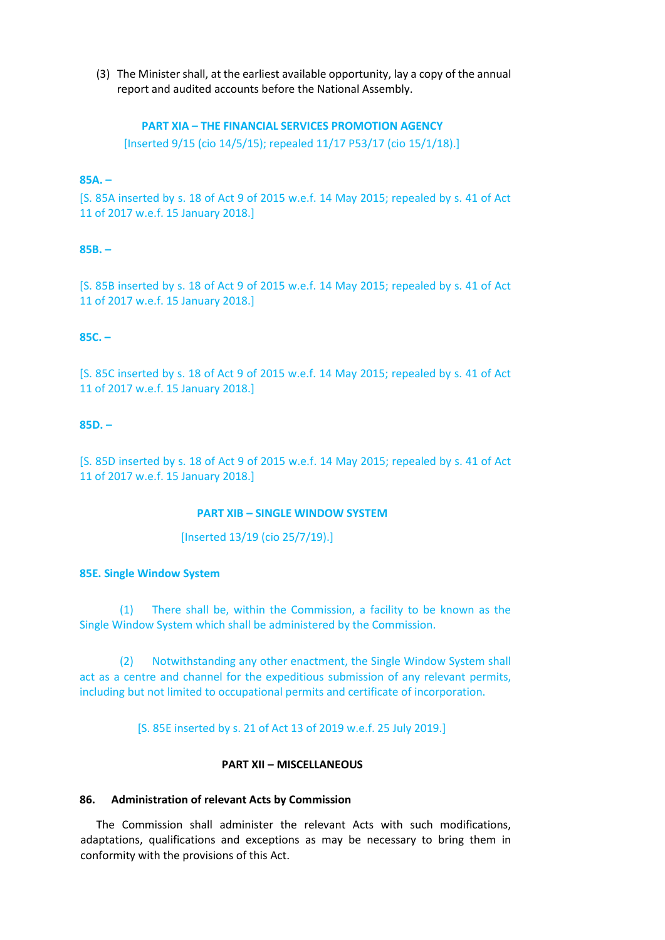(3) The Minister shall, at the earliest available opportunity, lay a copy of the annual report and audited accounts before the National Assembly.

#### **PART XIA – THE FINANCIAL SERVICES PROMOTION AGENCY**

[Inserted 9/15 (cio 14/5/15); repealed 11/17 P53/17 (cio 15/1/18).]

## **85A. –**

[S. 85A inserted by s. 18 of Act 9 of 2015 w.e.f. 14 May 2015; repealed by s. 41 of Act 11 of 2017 w.e.f. 15 January 2018.]

#### **85B. –**

[S. 85B inserted by s. 18 of Act 9 of 2015 w.e.f. 14 May 2015; repealed by s. 41 of Act 11 of 2017 w.e.f. 15 January 2018.]

#### **85C. –**

[S. 85C inserted by s. 18 of Act 9 of 2015 w.e.f. 14 May 2015; repealed by s. 41 of Act 11 of 2017 w.e.f. 15 January 2018.]

#### **85D. –**

[S. 85D inserted by s. 18 of Act 9 of 2015 w.e.f. 14 May 2015; repealed by s. 41 of Act 11 of 2017 w.e.f. 15 January 2018.]

#### **PART XIB – SINGLE WINDOW SYSTEM**

[Inserted 13/19 (cio 25/7/19).]

#### **85E. Single Window System**

(1) There shall be, within the Commission, a facility to be known as the Single Window System which shall be administered by the Commission.

(2) Notwithstanding any other enactment, the Single Window System shall act as a centre and channel for the expeditious submission of any relevant permits, including but not limited to occupational permits and certificate of incorporation.

[S. 85E inserted by s. 21 of Act 13 of 2019 w.e.f. 25 July 2019.]

## **PART XII – MISCELLANEOUS**

## **86. Administration of relevant Acts by Commission**

The Commission shall administer the relevant Acts with such modifications, adaptations, qualifications and exceptions as may be necessary to bring them in conformity with the provisions of this Act.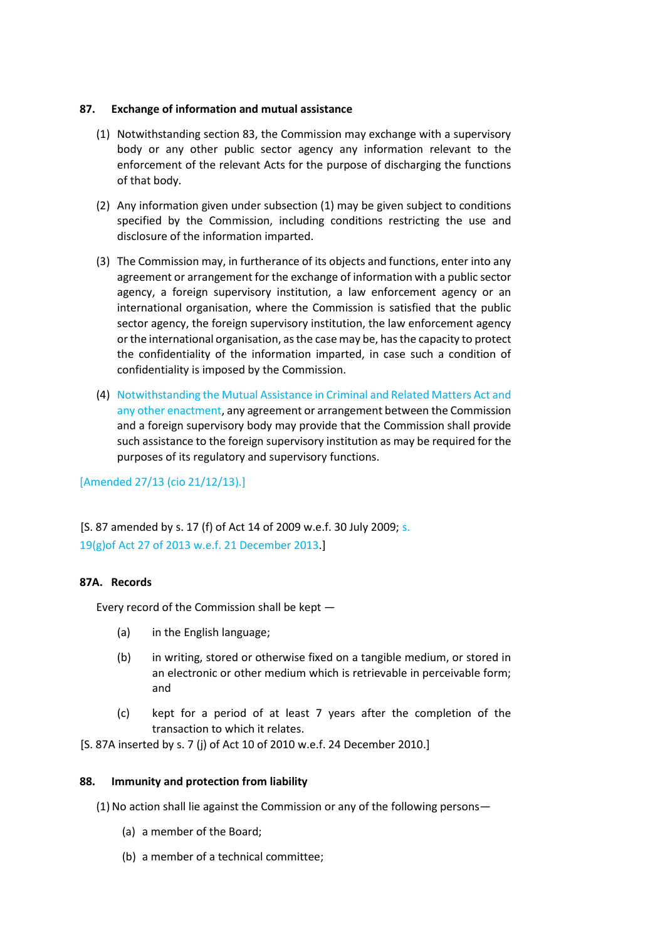## **87. Exchange of information and mutual assistance**

- (1) Notwithstanding section 83, the Commission may exchange with a supervisory body or any other public sector agency any information relevant to the enforcement of the relevant Acts for the purpose of discharging the functions of that body.
- (2) Any information given under subsection (1) may be given subject to conditions specified by the Commission, including conditions restricting the use and disclosure of the information imparted.
- (3) The Commission may, in furtherance of its objects and functions, enter into any agreement or arrangement for the exchange of information with a public sector agency, a foreign supervisory institution, a law enforcement agency or an international organisation, where the Commission is satisfied that the public sector agency, the foreign supervisory institution, the law enforcement agency or the international organisation, as the case may be, has the capacity to protect the confidentiality of the information imparted, in case such a condition of confidentiality is imposed by the Commission.
- (4) Notwithstanding the Mutual Assistance in Criminal and Related Matters Act and any other enactment, any agreement or arrangement between the Commission and a foreign supervisory body may provide that the Commission shall provide such assistance to the foreign supervisory institution as may be required for the purposes of its regulatory and supervisory functions.

[Amended 27/13 (cio 21/12/13).]

[S. 87 amended by s. 17 (f) of Act 14 of 2009 w.e.f. 30 July 2009; s. 19(g)of Act 27 of 2013 w.e.f. 21 December 2013.]

## **87A. Records**

Every record of the Commission shall be kept —

- (a) in the English language;
- (b) in writing, stored or otherwise fixed on a tangible medium, or stored in an electronic or other medium which is retrievable in perceivable form; and
- (c) kept for a period of at least 7 years after the completion of the transaction to which it relates.

[S. 87A inserted by s. 7 (j) of Act 10 of 2010 w.e.f. 24 December 2010.]

## **88. Immunity and protection from liability**

- (1) No action shall lie against the Commission or any of the following persons—
	- (a) a member of the Board;
	- (b) a member of a technical committee;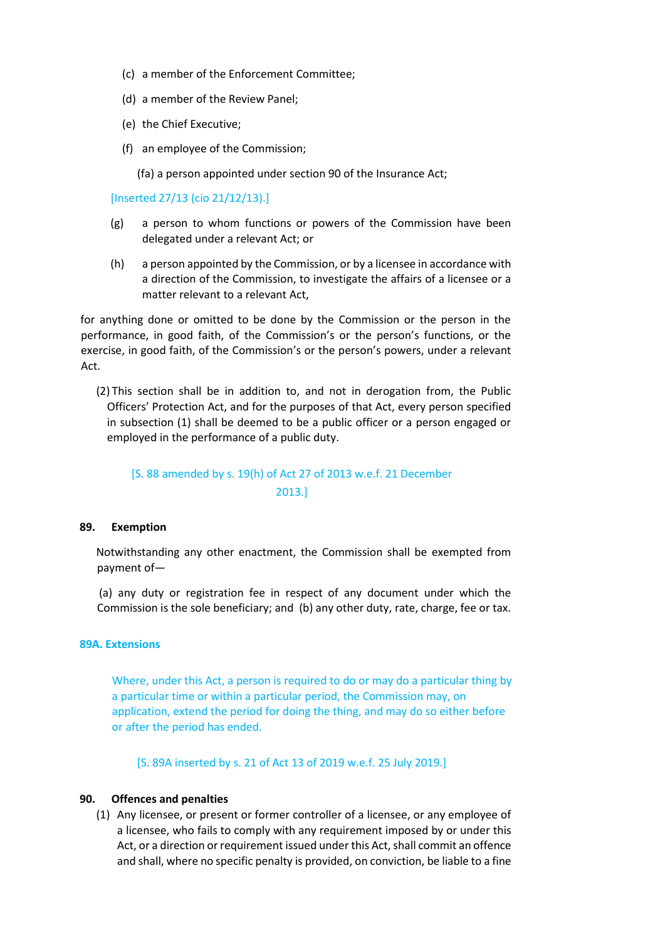- (c) a member of the Enforcement Committee;
- (d) a member of the Review Panel;
- (e) the Chief Executive;
- (f) an employee of the Commission;

(fa) a person appointed under section 90 of the Insurance Act;

[Inserted 27/13 (cio 21/12/13).]

- (g) a person to whom functions or powers of the Commission have been delegated under a relevant Act; or
- (h) a person appointed by the Commission, or by a licensee in accordance with a direction of the Commission, to investigate the affairs of a licensee or a matter relevant to a relevant Act,

for anything done or omitted to be done by the Commission or the person in the performance, in good faith, of the Commission's or the person's functions, or the exercise, in good faith, of the Commission's or the person's powers, under a relevant Act.

(2) This section shall be in addition to, and not in derogation from, the Public Officers' Protection Act, and for the purposes of that Act, every person specified in subsection (1) shall be deemed to be a public officer or a person engaged or employed in the performance of a public duty.

# [S. 88 amended by s. 19(h) of Act 27 of 2013 w.e.f. 21 December 2013.]

## **89. Exemption**

Notwithstanding any other enactment, the Commission shall be exempted from payment of—

(a) any duty or registration fee in respect of any document under which the Commission is the sole beneficiary; and (b) any other duty, rate, charge, fee or tax.

## **89A. Extensions**

Where, under this Act, a person is required to do or may do a particular thing by a particular time or within a particular period, the Commission may, on application, extend the period for doing the thing, and may do so either before or after the period has ended.

[S. 89A inserted by s. 21 of Act 13 of 2019 w.e.f. 25 July 2019.]

## **90. Offences and penalties**

(1) Any licensee, or present or former controller of a licensee, or any employee of a licensee, who fails to comply with any requirement imposed by or under this Act, or a direction or requirement issued under this Act, shall commit an offence and shall, where no specific penalty is provided, on conviction, be liable to a fine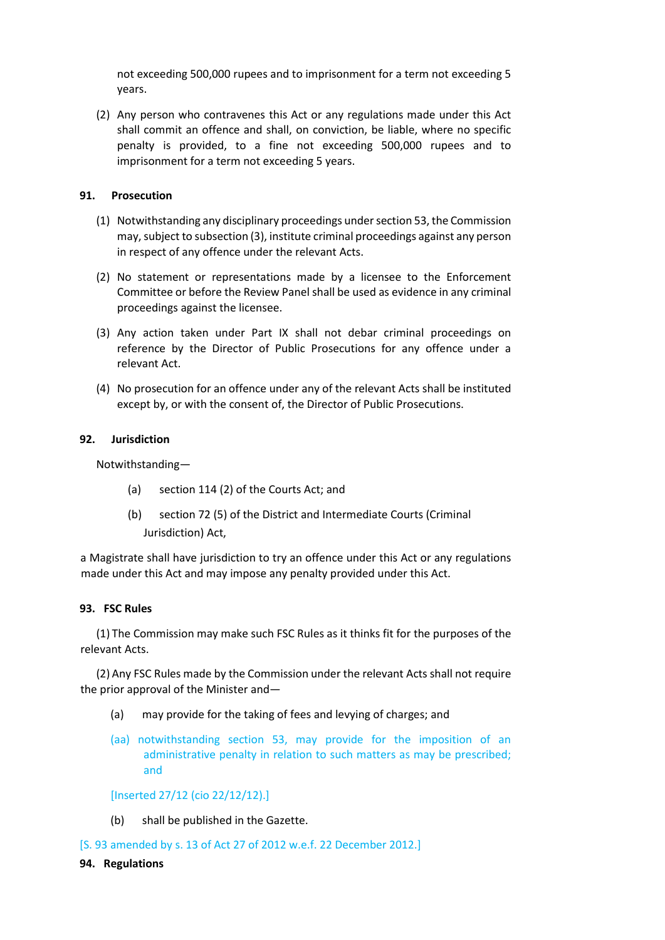not exceeding 500,000 rupees and to imprisonment for a term not exceeding 5 years.

(2) Any person who contravenes this Act or any regulations made under this Act shall commit an offence and shall, on conviction, be liable, where no specific penalty is provided, to a fine not exceeding 500,000 rupees and to imprisonment for a term not exceeding 5 years.

## **91. Prosecution**

- (1) Notwithstanding any disciplinary proceedings under section 53, the Commission may, subject to subsection (3), institute criminal proceedings against any person in respect of any offence under the relevant Acts.
- (2) No statement or representations made by a licensee to the Enforcement Committee or before the Review Panel shall be used as evidence in any criminal proceedings against the licensee.
- (3) Any action taken under Part IX shall not debar criminal proceedings on reference by the Director of Public Prosecutions for any offence under a relevant Act.
- (4) No prosecution for an offence under any of the relevant Acts shall be instituted except by, or with the consent of, the Director of Public Prosecutions.

## **92. Jurisdiction**

Notwithstanding—

- (a) section 114 (2) of the Courts Act; and
- (b) section 72 (5) of the District and Intermediate Courts (Criminal Jurisdiction) Act,

a Magistrate shall have jurisdiction to try an offence under this Act or any regulations made under this Act and may impose any penalty provided under this Act.

## **93. FSC Rules**

(1) The Commission may make such FSC Rules as it thinks fit for the purposes of the relevant Acts.

(2) Any FSC Rules made by the Commission under the relevant Acts shall not require the prior approval of the Minister and—

- (a) may provide for the taking of fees and levying of charges; and
- (aa) notwithstanding section 53, may provide for the imposition of an administrative penalty in relation to such matters as may be prescribed; and

## [Inserted 27/12 (cio 22/12/12).]

(b) shall be published in the Gazette.

[S. 93 amended by s. 13 of Act 27 of 2012 w.e.f. 22 December 2012.]

## **94. Regulations**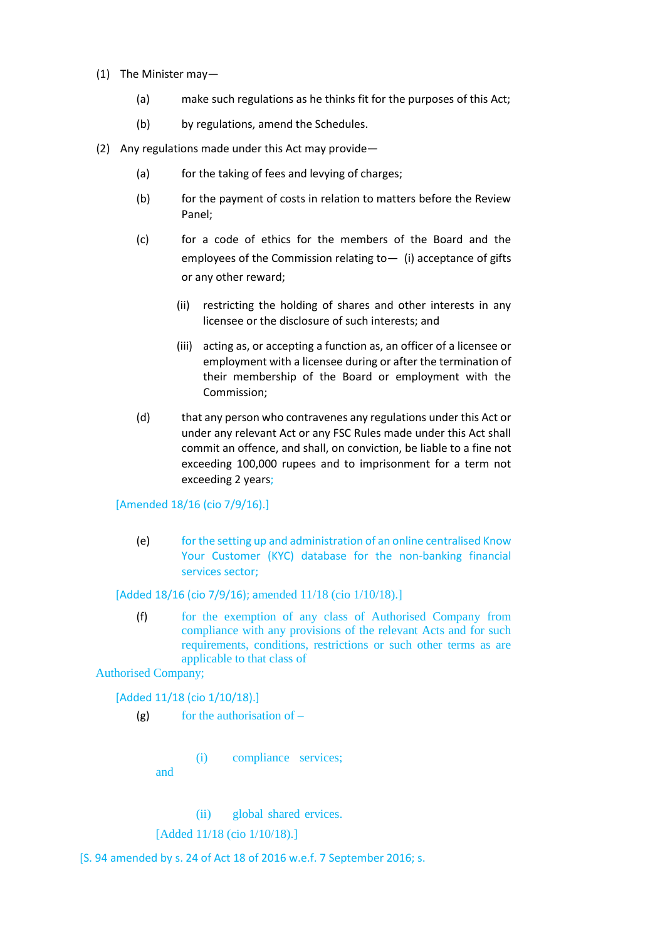- (1) The Minister may—
	- (a) make such regulations as he thinks fit for the purposes of this Act;
	- (b) by regulations, amend the Schedules.
- (2) Any regulations made under this Act may provide—
	- (a) for the taking of fees and levying of charges;
	- (b) for the payment of costs in relation to matters before the Review Panel;
	- (c) for a code of ethics for the members of the Board and the employees of the Commission relating to - (i) acceptance of gifts or any other reward;
		- (ii) restricting the holding of shares and other interests in any licensee or the disclosure of such interests; and
		- (iii) acting as, or accepting a function as, an officer of a licensee or employment with a licensee during or after the termination of their membership of the Board or employment with the Commission;
	- (d) that any person who contravenes any regulations under this Act or under any relevant Act or any FSC Rules made under this Act shall commit an offence, and shall, on conviction, be liable to a fine not exceeding 100,000 rupees and to imprisonment for a term not exceeding 2 years;

## [Amended 18/16 (cio 7/9/16).]

(e) for the setting up and administration of an online centralised Know Your Customer (KYC) database for the non-banking financial services sector;

## [Added 18/16 (cio 7/9/16); amended 11/18 (cio 1/10/18).]

(f) for the exemption of any class of Authorised Company from compliance with any provisions of the relevant Acts and for such requirements, conditions, restrictions or such other terms as are applicable to that class of

Authorised Company;

[Added 11/18 (cio 1/10/18).]

 $(g)$  for the authorisation of –

(i) compliance services;

and

(ii) global shared ervices.

[Added 11/18 (cio 1/10/18).]

[S. 94 amended by s. 24 of Act 18 of 2016 w.e.f. 7 September 2016; s.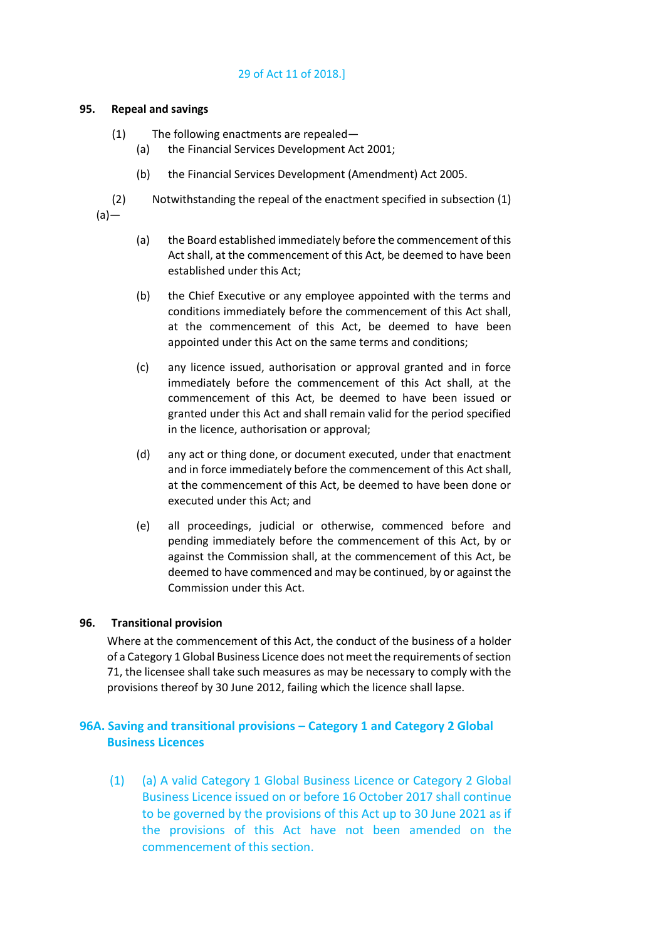## 29 of Act 11 of 2018.]

#### **95. Repeal and savings**

- (1) The following enactments are repealed—
	- (a) the Financial Services Development Act 2001;
	- (b) the Financial Services Development (Amendment) Act 2005.
- (2) Notwithstanding the repeal of the enactment specified in subsection (1)  $(a)$ —
	- (a) the Board established immediately before the commencement of this Act shall, at the commencement of this Act, be deemed to have been established under this Act;
	- (b) the Chief Executive or any employee appointed with the terms and conditions immediately before the commencement of this Act shall, at the commencement of this Act, be deemed to have been appointed under this Act on the same terms and conditions;
	- (c) any licence issued, authorisation or approval granted and in force immediately before the commencement of this Act shall, at the commencement of this Act, be deemed to have been issued or granted under this Act and shall remain valid for the period specified in the licence, authorisation or approval;
	- (d) any act or thing done, or document executed, under that enactment and in force immediately before the commencement of this Act shall, at the commencement of this Act, be deemed to have been done or executed under this Act; and
	- (e) all proceedings, judicial or otherwise, commenced before and pending immediately before the commencement of this Act, by or against the Commission shall, at the commencement of this Act, be deemed to have commenced and may be continued, by or against the Commission under this Act.

## **96. Transitional provision**

Where at the commencement of this Act, the conduct of the business of a holder of a Category 1 Global Business Licence does not meet the requirements of section 71, the licensee shall take such measures as may be necessary to comply with the provisions thereof by 30 June 2012, failing which the licence shall lapse.

# **96A. Saving and transitional provisions – Category 1 and Category 2 Global Business Licences**

(1) (a) A valid Category 1 Global Business Licence or Category 2 Global Business Licence issued on or before 16 October 2017 shall continue to be governed by the provisions of this Act up to 30 June 2021 as if the provisions of this Act have not been amended on the commencement of this section.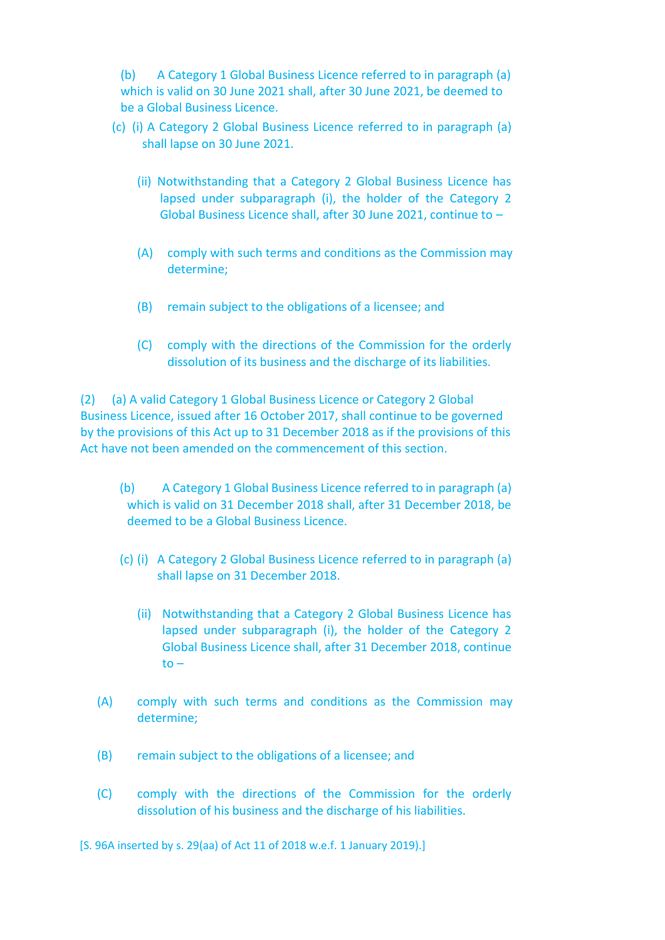(b) A Category 1 Global Business Licence referred to in paragraph (a) which is valid on 30 June 2021 shall, after 30 June 2021, be deemed to be a Global Business Licence.

- (c) (i) A Category 2 Global Business Licence referred to in paragraph (a) shall lapse on 30 June 2021.
	- (ii) Notwithstanding that a Category 2 Global Business Licence has lapsed under subparagraph (i), the holder of the Category 2 Global Business Licence shall, after 30 June 2021, continue to –
	- (A) comply with such terms and conditions as the Commission may determine;
	- (B) remain subject to the obligations of a licensee; and
	- (C) comply with the directions of the Commission for the orderly dissolution of its business and the discharge of its liabilities.

(2) (a) A valid Category 1 Global Business Licence or Category 2 Global Business Licence, issued after 16 October 2017, shall continue to be governed by the provisions of this Act up to 31 December 2018 as if the provisions of this Act have not been amended on the commencement of this section.

- (b) A Category 1 Global Business Licence referred to in paragraph (a) which is valid on 31 December 2018 shall, after 31 December 2018, be deemed to be a Global Business Licence.
- (c) (i) A Category 2 Global Business Licence referred to in paragraph (a) shall lapse on 31 December 2018.
	- (ii) Notwithstanding that a Category 2 Global Business Licence has lapsed under subparagraph (i), the holder of the Category 2 Global Business Licence shall, after 31 December 2018, continue  $to -$
- (A) comply with such terms and conditions as the Commission may determine;
- (B) remain subject to the obligations of a licensee; and
- (C) comply with the directions of the Commission for the orderly dissolution of his business and the discharge of his liabilities.

[S. 96A inserted by s. 29(aa) of Act 11 of 2018 w.e.f. 1 January 2019).]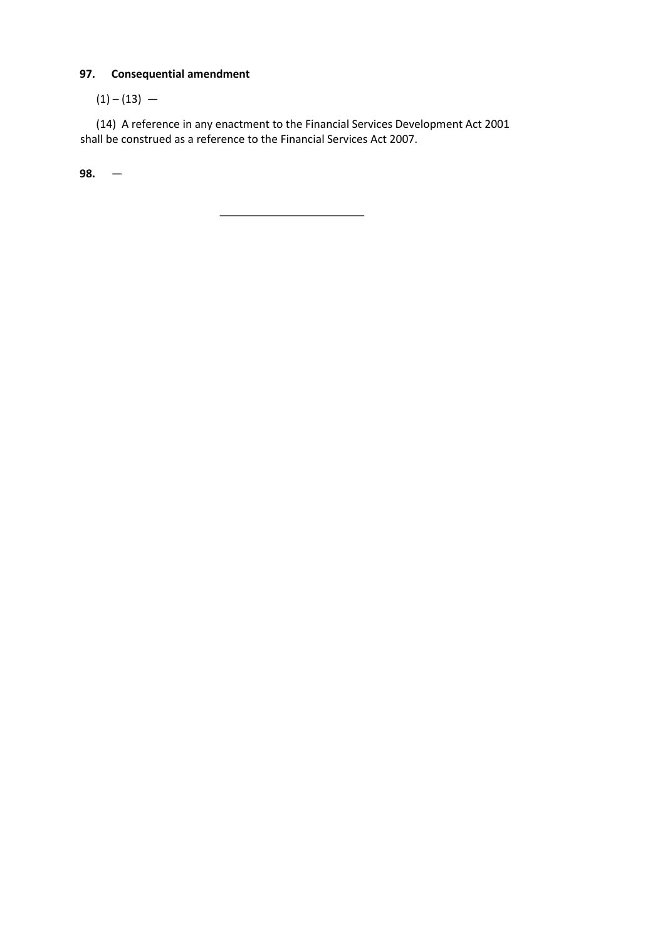# **97. Consequential amendment**

 $(1) - (13) -$ 

(14) A reference in any enactment to the Financial Services Development Act 2001 shall be construed as a reference to the Financial Services Act 2007.

 $\overline{\phantom{a}}$ 

**98.** —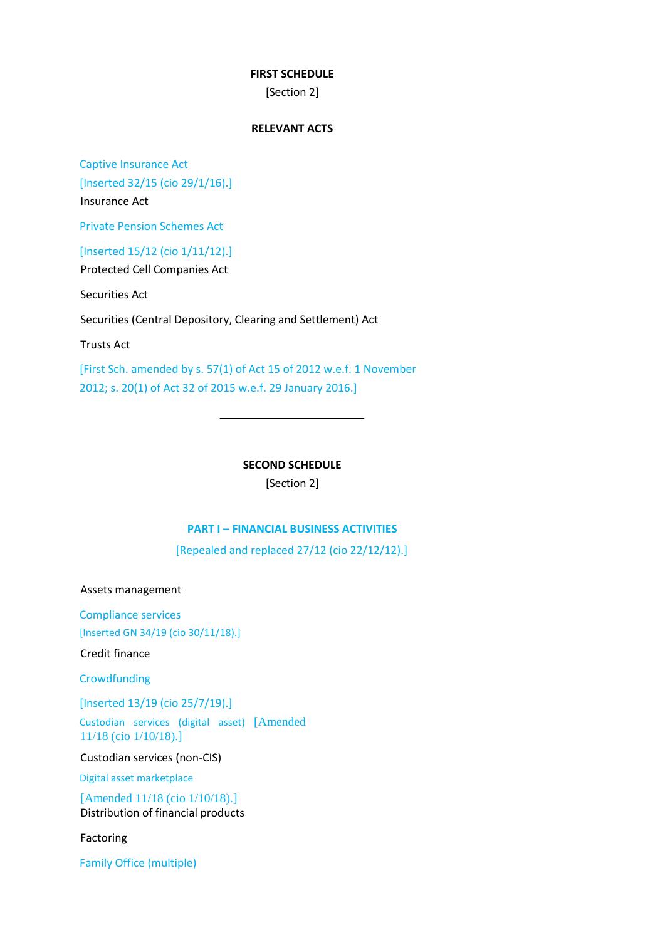## **FIRST SCHEDULE**

[Section 2]

# **RELEVANT ACTS**

Captive Insurance Act [Inserted 32/15 (cio 29/1/16).] Insurance Act

Private Pension Schemes Act

[Inserted 15/12 (cio 1/11/12).]

Protected Cell Companies Act

Securities Act

Securities (Central Depository, Clearing and Settlement) Act

Trusts Act

[First Sch. amended by s. 57(1) of Act 15 of 2012 w.e.f. 1 November 2012; s. 20(1) of Act 32 of 2015 w.e.f. 29 January 2016.]

**SECOND SCHEDULE** 

[Section 2]

# **PART I – FINANCIAL BUSINESS ACTIVITIES**

[Repealed and replaced 27/12 (cio 22/12/12).]

Assets management

Compliance services [Inserted GN 34/19 (cio 30/11/18).]

Credit finance

**Crowdfunding** 

[Inserted 13/19 (cio 25/7/19).]

Custodian services (digital asset) [Amended 11/18 (cio 1/10/18).]

Custodian services (non-CIS)

Digital asset marketplace

[Amended 11/18 (cio 1/10/18).] Distribution of financial products

Factoring

Family Office (multiple)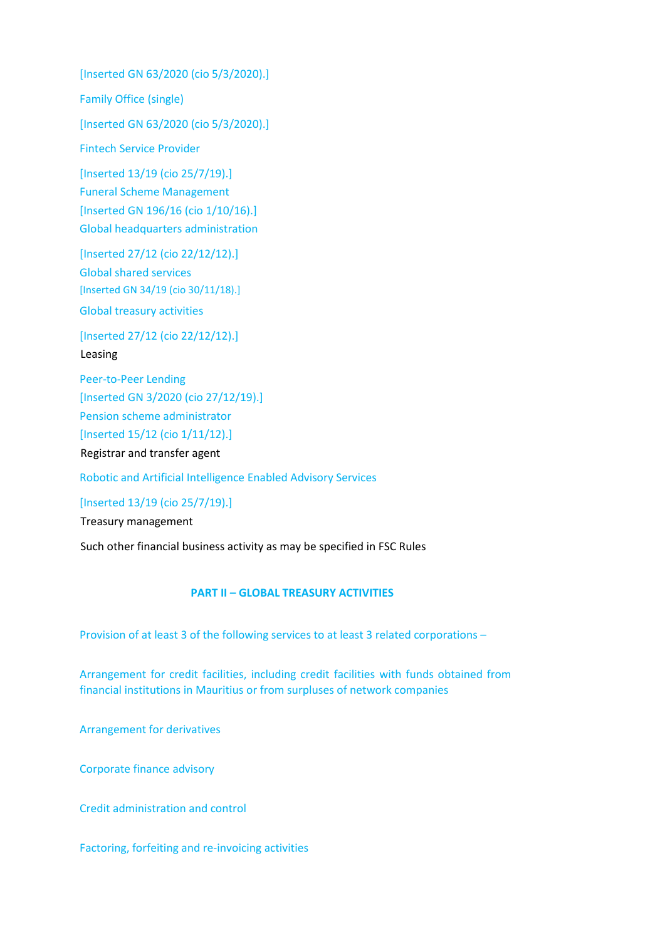[Inserted GN 63/2020 (cio 5/3/2020).] Family Office (single) [Inserted GN 63/2020 (cio 5/3/2020).] Fintech Service Provider [Inserted 13/19 (cio 25/7/19).] Funeral Scheme Management [Inserted GN 196/16 (cio 1/10/16).] Global headquarters administration

[Inserted 27/12 (cio 22/12/12).] Global shared services [Inserted GN 34/19 (cio 30/11/18).] Global treasury activities

[Inserted 27/12 (cio 22/12/12).] Leasing

Peer-to-Peer Lending [Inserted GN 3/2020 (cio 27/12/19).] Pension scheme administrator [Inserted 15/12 (cio 1/11/12).] Registrar and transfer agent

Robotic and Artificial Intelligence Enabled Advisory Services

[Inserted 13/19 (cio 25/7/19).]

Treasury management

Such other financial business activity as may be specified in FSC Rules

# **PART II – GLOBAL TREASURY ACTIVITIES**

Provision of at least 3 of the following services to at least 3 related corporations –

Arrangement for credit facilities, including credit facilities with funds obtained from financial institutions in Mauritius or from surpluses of network companies

Arrangement for derivatives

Corporate finance advisory

Credit administration and control

Factoring, forfeiting and re-invoicing activities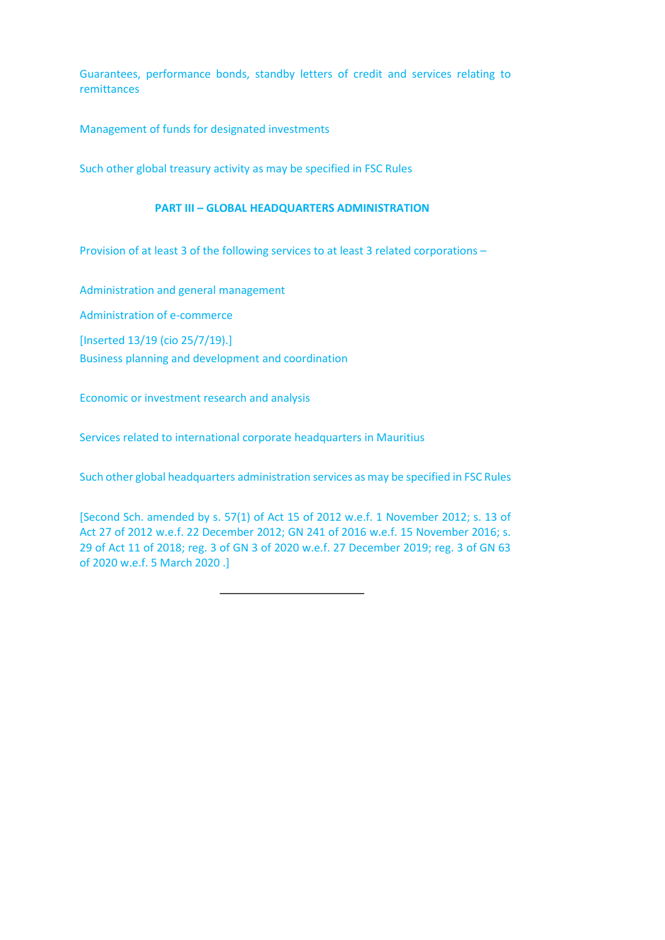Guarantees, performance bonds, standby letters of credit and services relating to remittances

Management of funds for designated investments

Such other global treasury activity as may be specified in FSC Rules

#### **PART III – GLOBAL HEADQUARTERS ADMINISTRATION**

Provision of at least 3 of the following services to at least 3 related corporations –

Administration and general management

Administration of e-commerce

[Inserted 13/19 (cio 25/7/19).]

Business planning and development and coordination

Economic or investment research and analysis

Services related to international corporate headquarters in Mauritius

Such other global headquarters administration services as may be specified in FSC Rules

[Second Sch. amended by s. 57(1) of Act 15 of 2012 w.e.f. 1 November 2012; s. 13 of Act 27 of 2012 w.e.f. 22 December 2012; GN 241 of 2016 w.e.f. 15 November 2016; s. 29 of Act 11 of 2018; reg. 3 of GN 3 of 2020 w.e.f. 27 December 2019; reg. 3 of GN 63 of 2020 w.e.f. 5 March 2020 .]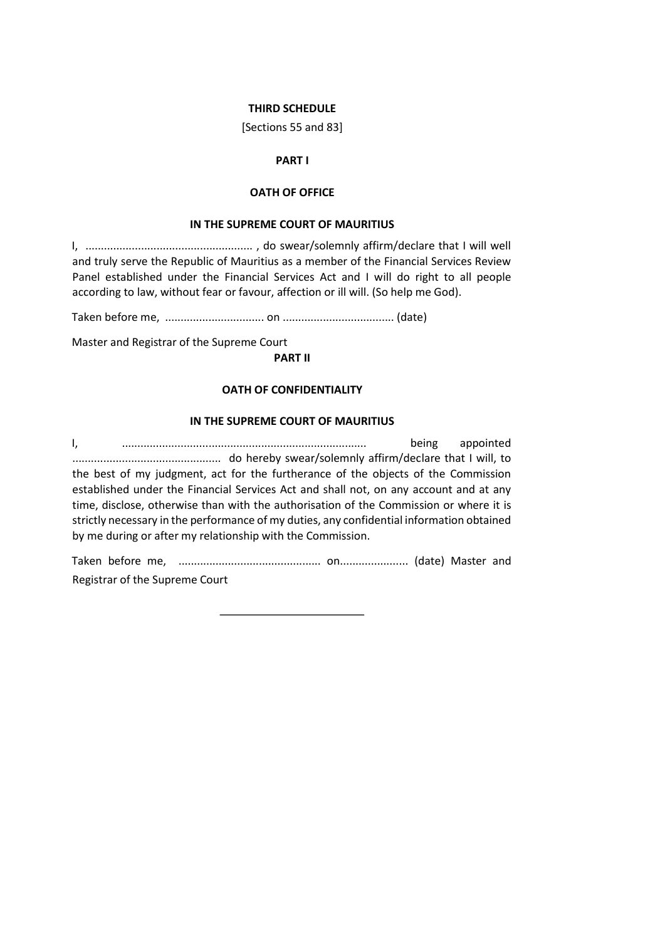#### **THIRD SCHEDULE**

[Sections 55 and 83]

## **PART I**

# **OATH OF OFFICE**

#### **IN THE SUPREME COURT OF MAURITIUS**

I, ...................................................... , do swear/solemnly affirm/declare that I will well and truly serve the Republic of Mauritius as a member of the Financial Services Review Panel established under the Financial Services Act and I will do right to all people according to law, without fear or favour, affection or ill will. (So help me God).

Taken before me, ................................ on .................................... (date)

Master and Registrar of the Supreme Court

**PART II** 

## **OATH OF CONFIDENTIALITY**

#### **IN THE SUPREME COURT OF MAURITIUS**

I, ............................................................................... being appointed ................................................ do hereby swear/solemnly affirm/declare that I will, to the best of my judgment, act for the furtherance of the objects of the Commission established under the Financial Services Act and shall not, on any account and at any time, disclose, otherwise than with the authorisation of the Commission or where it is strictly necessary in the performance of my duties, any confidential information obtained by me during or after my relationship with the Commission.

Taken before me, .............................................. on...................... (date) Master and Registrar of the Supreme Court